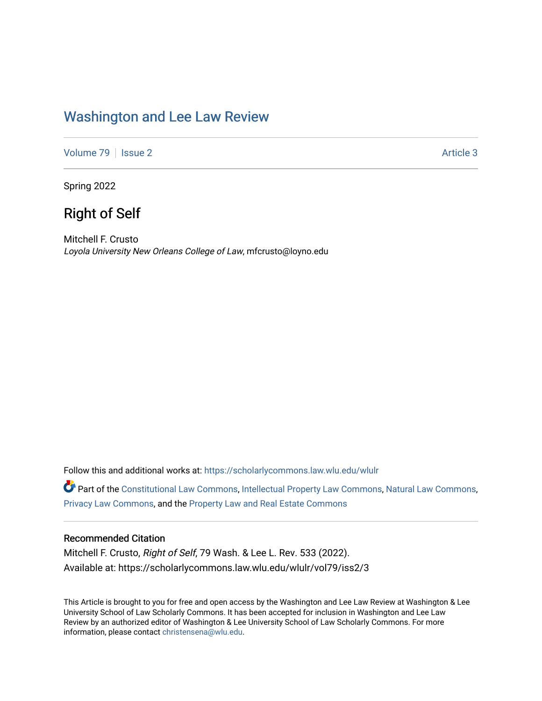## [Washington and Lee Law Review](https://scholarlycommons.law.wlu.edu/wlulr)

[Volume 79](https://scholarlycommons.law.wlu.edu/wlulr/vol79) | [Issue 2](https://scholarlycommons.law.wlu.edu/wlulr/vol79/iss2) Article 3

Spring 2022

## Right of Self

Mitchell F. Crusto Loyola University New Orleans College of Law, mfcrusto@loyno.edu

Follow this and additional works at: [https://scholarlycommons.law.wlu.edu/wlulr](https://scholarlycommons.law.wlu.edu/wlulr?utm_source=scholarlycommons.law.wlu.edu%2Fwlulr%2Fvol79%2Fiss2%2F3&utm_medium=PDF&utm_campaign=PDFCoverPages) 

Part of the [Constitutional Law Commons,](http://network.bepress.com/hgg/discipline/589?utm_source=scholarlycommons.law.wlu.edu%2Fwlulr%2Fvol79%2Fiss2%2F3&utm_medium=PDF&utm_campaign=PDFCoverPages) [Intellectual Property Law Commons,](http://network.bepress.com/hgg/discipline/896?utm_source=scholarlycommons.law.wlu.edu%2Fwlulr%2Fvol79%2Fiss2%2F3&utm_medium=PDF&utm_campaign=PDFCoverPages) [Natural Law Commons](http://network.bepress.com/hgg/discipline/1263?utm_source=scholarlycommons.law.wlu.edu%2Fwlulr%2Fvol79%2Fiss2%2F3&utm_medium=PDF&utm_campaign=PDFCoverPages), [Privacy Law Commons,](http://network.bepress.com/hgg/discipline/1234?utm_source=scholarlycommons.law.wlu.edu%2Fwlulr%2Fvol79%2Fiss2%2F3&utm_medium=PDF&utm_campaign=PDFCoverPages) and the [Property Law and Real Estate Commons](http://network.bepress.com/hgg/discipline/897?utm_source=scholarlycommons.law.wlu.edu%2Fwlulr%2Fvol79%2Fiss2%2F3&utm_medium=PDF&utm_campaign=PDFCoverPages)

## Recommended Citation

Mitchell F. Crusto, Right of Self, 79 Wash. & Lee L. Rev. 533 (2022). Available at: https://scholarlycommons.law.wlu.edu/wlulr/vol79/iss2/3

This Article is brought to you for free and open access by the Washington and Lee Law Review at Washington & Lee University School of Law Scholarly Commons. It has been accepted for inclusion in Washington and Lee Law Review by an authorized editor of Washington & Lee University School of Law Scholarly Commons. For more information, please contact [christensena@wlu.edu](mailto:christensena@wlu.edu).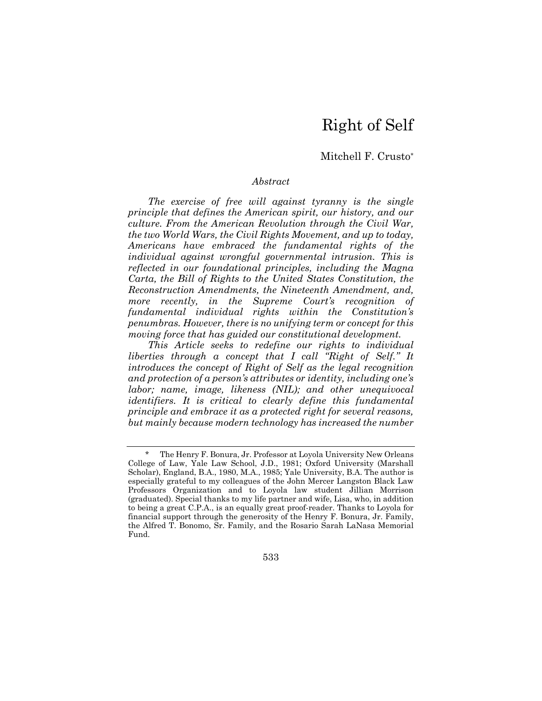# Right of Self

## Mitchell F. Crusto\*

#### *Abstract*

*The exercise of free will against tyranny is the single principle that defines the American spirit, our history, and our culture. From the American Revolution through the Civil War, the two World Wars, the Civil Rights Movement, and up to today, Americans have embraced the fundamental rights of the individual against wrongful governmental intrusion. This is reflected in our foundational principles, including the Magna Carta, the Bill of Rights to the United States Constitution, the Reconstruction Amendments, the Nineteenth Amendment, and, more recently, in the Supreme Court's recognition of fundamental individual rights within the Constitution's penumbras. However, there is no unifying term or concept for this moving force that has guided our constitutional development.* 

*This Article seeks to redefine our rights to individual liberties through a concept that I call "Right of Self." It introduces the concept of Right of Self as the legal recognition and protection of a person's attributes or identity, including one's labor; name, image, likeness (NIL); and other unequivocal identifiers. It is critical to clearly define this fundamental principle and embrace it as a protected right for several reasons, but mainly because modern technology has increased the number* 

The Henry F. Bonura, Jr. Professor at Loyola University New Orleans College of Law, Yale Law School, J.D., 1981; Oxford University (Marshall Scholar), England, B.A., 1980, M.A., 1985; Yale University, B.A. The author is especially grateful to my colleagues of the John Mercer Langston Black Law Professors Organization and to Loyola law student Jillian Morrison (graduated). Special thanks to my life partner and wife, Lisa, who, in addition to being a great C.P.A., is an equally great proof-reader. Thanks to Loyola for financial support through the generosity of the Henry F. Bonura, Jr. Family, the Alfred T. Bonomo, Sr. Family, and the Rosario Sarah LaNasa Memorial Fund.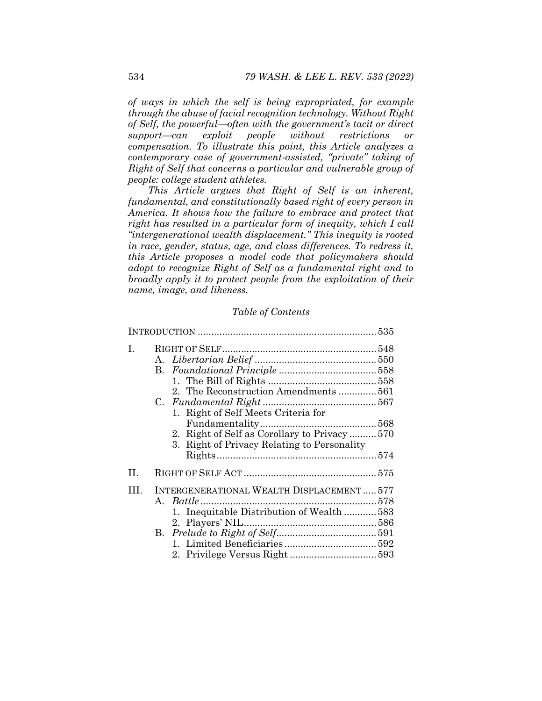*of ways in which the self is being expropriated, for example through the abuse of facial recognition technology. Without Right of Self, the powerfuloften with the government's tacit or direct supportcan exploit people without restrictions or compensation. To illustrate this point, this Article analyzes a contemporary case of government-assisted, "private" taking of Right of Self that concerns a particular and vulnerable group of people: college student athletes.* 

*This Article argues that Right of Self is an inherent, fundamental, and constitutionally based right of every person in America. It shows how the failure to embrace and protect that right has resulted in a particular form of inequity, which I call "intergenerational wealth displacement." This inequity is rooted in race, gender, status, age, and class differences. To redress it, this Article proposes a model code that policymakers should adopt to recognize Right of Self as a fundamental right and to broadly apply it to protect people from the exploitation of their name, image, and likeness.* 

## *Table of Contents*

| L.           | 2. The Reconstruction Amendments  561<br>1. Right of Self Meets Criteria for<br>2. Right of Self as Corollary to Privacy 570<br>3. Right of Privacy Relating to Personality |
|--------------|-----------------------------------------------------------------------------------------------------------------------------------------------------------------------------|
| H.           |                                                                                                                                                                             |
| $\mathbf{H}$ | INTERGENERATIONAL WEALTH DISPLACEMENT577<br>1. Inequitable Distribution of Wealth583                                                                                        |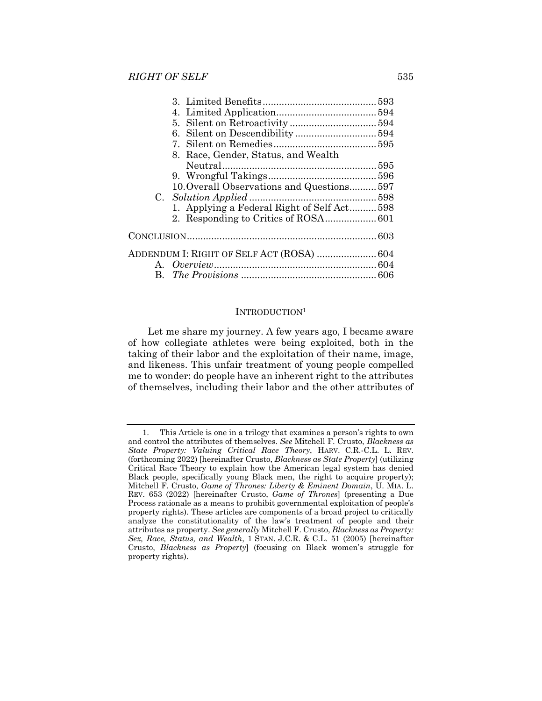|  | 8. Race, Gender, Status, and Wealth        |  |  |  |
|--|--------------------------------------------|--|--|--|
|  |                                            |  |  |  |
|  |                                            |  |  |  |
|  | 10. Overall Observations and Questions 597 |  |  |  |
|  |                                            |  |  |  |
|  | 1. Applying a Federal Right of Self Act598 |  |  |  |
|  |                                            |  |  |  |
|  |                                            |  |  |  |
|  | ADDENDUM I: RIGHT OF SELF ACT (ROSA)  604  |  |  |  |
|  |                                            |  |  |  |
|  |                                            |  |  |  |
|  |                                            |  |  |  |

#### INTRODUCTION1

Let me share my journey. A few years ago, I became aware of how collegiate athletes were being exploited, both in the taking of their labor and the exploitation of their name, image, and likeness. This unfair treatment of young people compelled me to wonder: do people have an inherent right to the attributes of themselves, including their labor and the other attributes of

 <sup>1.</sup> This Article is one in a trilogy that examines a person's rights to own and control the attributes of themselves. *See* Mitchell F. Crusto, *Blackness as State Property: Valuing Critical Race Theory*, HARV. C.R.-C.L. L. REV. (forthcoming 2022) [hereinafter Crusto, *Blackness as State Property*] (utilizing Critical Race Theory to explain how the American legal system has denied Black people, specifically young Black men, the right to acquire property); Mitchell F. Crusto, *Game of Thrones: Liberty & Eminent Domain*, U. MIA. L. REV. 653 (2022) [hereinafter Crusto, *Game of Thrones*] (presenting a Due Process rationale as a means to prohibit governmental exploitation of people's property rights). These articles are components of a broad project to critically analyze the constitutionality of the law's treatment of people and their attributes as property. *See generally* Mitchell F. Crusto, *Blackness as Property: Sex, Race, Status, and Wealth*, 1 STAN. J.C.R. & C.L. 51 (2005) [hereinafter Crusto, *Blackness as Property*] (focusing on Black women's struggle for property rights).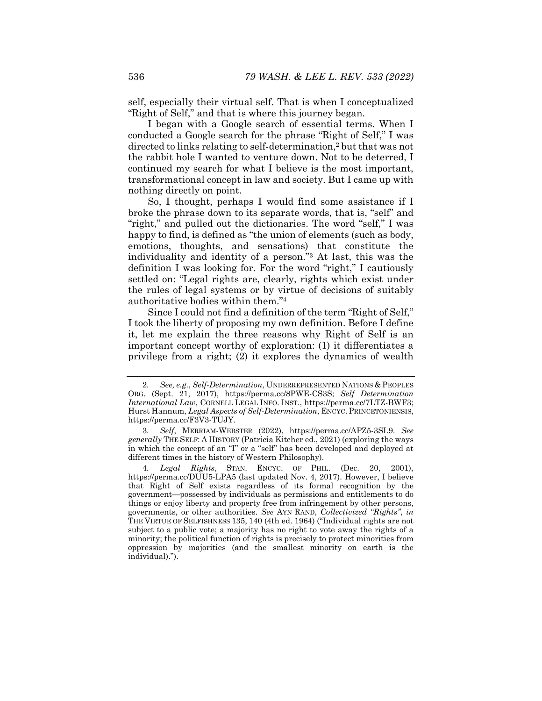self, especially their virtual self. That is when I conceptualized "Right of Self," and that is where this journey began.

I began with a Google search of essential terms. When I conducted a Google search for the phrase "Right of Self," I was directed to links relating to self-determination,2 but that was not the rabbit hole I wanted to venture down. Not to be deterred, I continued my search for what I believe is the most important, transformational concept in law and society. But I came up with nothing directly on point.

So, I thought, perhaps I would find some assistance if I broke the phrase down to its separate words, that is, "self" and "right," and pulled out the dictionaries. The word "self," I was happy to find, is defined as "the union of elements (such as body, emotions, thoughts, and sensations) that constitute the individuality and identity of a person."3 At last, this was the definition I was looking for. For the word "right," I cautiously settled on: "Legal rights are, clearly, rights which exist under the rules of legal systems or by virtue of decisions of suitably authoritative bodies within them."4

Since I could not find a definition of the term "Right of Self," I took the liberty of proposing my own definition. Before I define it, let me explain the three reasons why Right of Self is an important concept worthy of exploration: (1) it differentiates a privilege from a right; (2) it explores the dynamics of wealth

<sup>2</sup>*. See, e.g.*, *Self-Determination*, UNDERREPRESENTED NATIONS & PEOPLES ORG. (Sept. 21, 2017), https://perma.cc/8PWE-CS3S; *Self Determination International Law*, CORNELL LEGAL INFO. INST., https://perma.cc/7LTZ-BWF3; Hurst Hannum, *Legal Aspects of Self-Determination*, ENCYC. PRINCETONIENSIS, https://perma.cc/F3V3-TUJY.

<sup>3</sup>*. Self*, MERRIAM-WEBSTER (2022), https://perma.cc/APZ5-3SL9. *See generally* THE SELF: A HISTORY (Patricia Kitcher ed., 2021) (exploring the ways in which the concept of an "I" or a "self" has been developed and deployed at different times in the history of Western Philosophy).

<sup>4</sup>*. Legal Rights*, STAN. ENCYC. OF PHIL. (Dec. 20, 2001), https://perma.cc/DUU5-LPA5 (last updated Nov. 4, 2017). However, I believe that Right of Self exists regardless of its formal recognition by the government—possessed by individuals as permissions and entitlements to do things or enjoy liberty and property free from infringement by other persons, governments, or other authorities. *See* AYN RAND, *Collectivized "Rights"*, *in* THE VIRTUE OF SELFISHNESS 135, 140 (4th ed. 1964) ("Individual rights are not subject to a public vote; a majority has no right to vote away the rights of a minority; the political function of rights is precisely to protect minorities from oppression by majorities (and the smallest minority on earth is the individual).").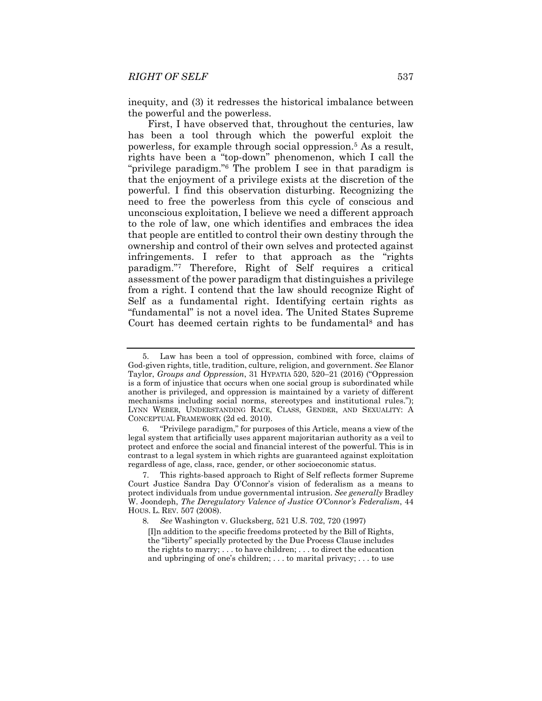inequity, and (3) it redresses the historical imbalance between the powerful and the powerless.

First, I have observed that, throughout the centuries, law has been a tool through which the powerful exploit the powerless, for example through social oppression.5 As a result, rights have been a "top-down" phenomenon, which I call the "privilege paradigm."6 The problem I see in that paradigm is that the enjoyment of a privilege exists at the discretion of the powerful. I find this observation disturbing. Recognizing the need to free the powerless from this cycle of conscious and unconscious exploitation, I believe we need a different approach to the role of law, one which identifies and embraces the idea that people are entitled to control their own destiny through the ownership and control of their own selves and protected against infringements. I refer to that approach as the "rights paradigm."7 Therefore, Right of Self requires a critical assessment of the power paradigm that distinguishes a privilege from a right. I contend that the law should recognize Right of Self as a fundamental right. Identifying certain rights as "fundamental" is not a novel idea. The United States Supreme Court has deemed certain rights to be fundamental<sup>8</sup> and has

 <sup>5.</sup> Law has been a tool of oppression, combined with force, claims of God-given rights, title, tradition, culture, religion, and government. *See* Elanor Taylor, *Groups and Oppression*, 31 HYPATIA 520, 520–21 (2016) ("Oppression is a form of injustice that occurs when one social group is subordinated while another is privileged, and oppression is maintained by a variety of different mechanisms including social norms, stereotypes and institutional rules."); LYNN WEBER, UNDERSTANDING RACE, CLASS, GENDER, AND SEXUALITY: A CONCEPTUAL FRAMEWORK (2d ed. 2010).

 <sup>6. &</sup>quot;Privilege paradigm," for purposes of this Article, means a view of the legal system that artificially uses apparent majoritarian authority as a veil to protect and enforce the social and financial interest of the powerful. This is in contrast to a legal system in which rights are guaranteed against exploitation regardless of age, class, race, gender, or other socioeconomic status.

 <sup>7.</sup> This rights-based approach to Right of Self reflects former Supreme Court Justice Sandra Day O'Connor's vision of federalism as a means to protect individuals from undue governmental intrusion. *See generally* Bradley W. Joondeph, *The Deregulatory Valence of Justice O'Connor's Federalism*, 44 HOUS. L. REV. 507 (2008).

<sup>8</sup>*. See* Washington v. Glucksberg, 521 U.S. 702, 720 (1997)

<sup>[</sup>I]n addition to the specific freedoms protected by the Bill of Rights, the "liberty" specially protected by the Due Process Clause includes the rights to marry; . . . to have children; . . . to direct the education and upbringing of one's children; . . . to marital privacy; . . . to use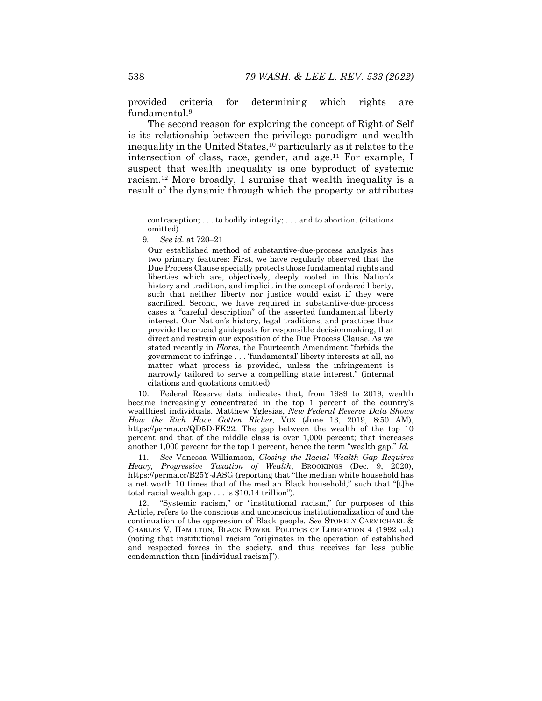provided criteria for determining which rights are fundamental.9

The second reason for exploring the concept of Right of Self is its relationship between the privilege paradigm and wealth inequality in the United States,10 particularly as it relates to the intersection of class, race, gender, and age.<sup>11</sup> For example, I suspect that wealth inequality is one byproduct of systemic racism.12 More broadly, I surmise that wealth inequality is a result of the dynamic through which the property or attributes

Our established method of substantive*-*due-process analysis has two primary features: First, we have regularly observed that the Due Process Clause specially protects those fundamental rights and liberties which are, objectively, deeply rooted in this Nation's history and tradition, and implicit in the concept of ordered liberty, such that neither liberty nor justice would exist if they were sacrificed. Second, we have required in substantive-due-process cases a "careful description" of the asserted fundamental liberty interest. Our Nation's history, legal traditions, and practices thus provide the crucial guideposts for responsible decisionmaking, that direct and restrain our exposition of the Due Process Clause. As we stated recently in *Flores*, the Fourteenth Amendment "forbids the government to infringe . . . 'fundamental' liberty interests at all, no matter what process is provided, unless the infringement is narrowly tailored to serve a compelling state interest." (internal citations and quotations omitted)

 10. Federal Reserve data indicates that, from 1989 to 2019, wealth became increasingly concentrated in the top 1 percent of the country's wealthiest individuals. Matthew Yglesias, *New Federal Reserve Data Shows How the Rich Have Gotten Richer*, VOX (June 13, 2019, 8:50 AM), https://perma.cc/QD5D-FK22. The gap between the wealth of the top 10 percent and that of the middle class is over 1,000 percent; that increases another 1,000 percent for the top 1 percent, hence the term "wealth gap." *Id.* 

11*. See* Vanessa Williamson, *Closing the Racial Wealth Gap Requires Heavy, Progressive Taxation of Wealth*, BROOKINGS (Dec. 9, 2020), https://perma.cc/B25Y-JASG (reporting that "the median white household has a net worth 10 times that of the median Black household," such that "[t]he total racial wealth gap . . . is \$10.14 trillion").

 12. "Systemic racism," or "institutional racism," for purposes of this Article, refers to the conscious and unconscious institutionalization of and the continuation of the oppression of Black people. *See* STOKELY CARMICHAEL & CHARLES V. HAMILTON, BLACK POWER: POLITICS OF LIBERATION 4 (1992 ed.) (noting that institutional racism "originates in the operation of established and respected forces in the society, and thus receives far less public condemnation than [individual racism]").

contraception; . . . to bodily integrity; . . . and to abortion. (citations omitted)

<sup>9</sup>*. See id.* at 720–21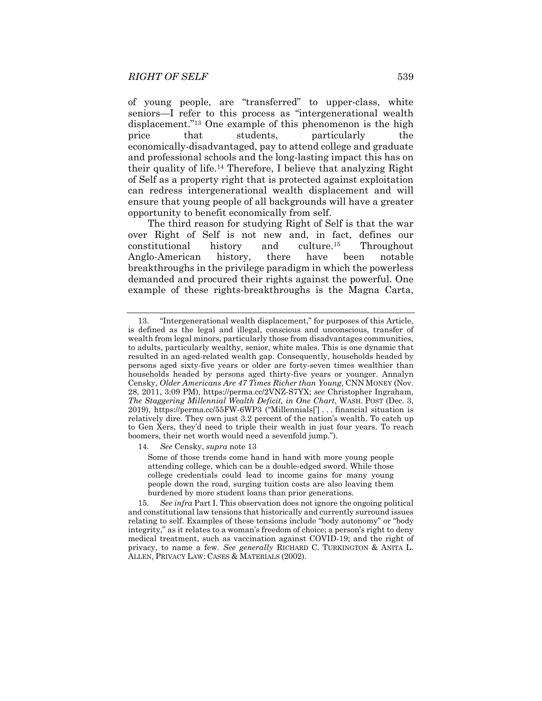of young people, are "transferred" to upper-class, white seniors—I refer to this process as "intergenerational wealth displacement."13 One example of this phenomenon is the high price that students, particularly the economically-disadvantaged, pay to attend college and graduate and professional schools and the long-lasting impact this has on their quality of life.14 Therefore, I believe that analyzing Right of Self as a property right that is protected against exploitation can redress intergenerational wealth displacement and will ensure that young people of all backgrounds will have a greater opportunity to benefit economically from self.

The third reason for studying Right of Self is that the war over Right of Self is not new and, in fact, defines our constitutional history and culture.15 Throughout Anglo-American history, there have been notable breakthroughs in the privilege paradigm in which the powerless demanded and procured their rights against the powerful. One example of these rights-breakthroughs is the Magna Carta,

14*. See* Censky, *supra* note 13

Some of those trends come hand in hand with more young people attending college, which can be a double-edged sword. While those college credentials could lead to income gains for many young people down the road, surging tuition costs are also leaving them burdened by more student loans than prior generations.

15*. See infra* Part I. This observation does not ignore the ongoing political and constitutional law tensions that historically and currently surround issues relating to self. Examples of these tensions include "body autonomy" or "body integrity," as it relates to a woman's freedom of choice; a person's right to deny medical treatment, such as vaccination against COVID-19; and the right of privacy, to name a few. *See generally* RICHARD C. TURKINGTON & ANITA L. ALLEN, PRIVACY LAW: CASES & MATERIALS (2002).

 <sup>13. &</sup>quot;Intergenerational wealth displacement," for purposes of this Article, is defined as the legal and illegal, conscious and unconscious, transfer of wealth from legal minors, particularly those from disadvantages communities, to adults, particularly wealthy, senior, white males. This is one dynamic that resulted in an aged-related wealth gap. Consequently, households headed by persons aged sixty-five years or older are forty-seven times wealthier than households headed by persons aged thirty-five years or younger. Annalyn Censky, *Older Americans Are 47 Times Richer than Young*, CNN MONEY (Nov. 28, 2011, 3:09 PM), https://perma.cc/2VNZ-S7YX; *see* Christopher Ingraham, *The Staggering Millennial Wealth Deficit, in One Chart*, WASH. POST (Dec. 3, 2019), https://perma.cc/55FW-6WP3 ("Millennials['] . . . financial situation is relatively dire. They own just 3.2 percent of the nation's wealth. To catch up to Gen Xers, they'd need to triple their wealth in just four years. To reach boomers, their net worth would need a sevenfold jump.").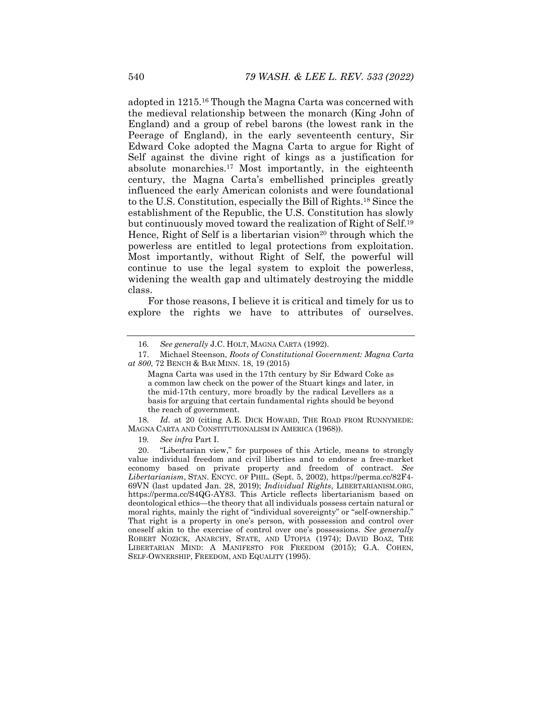adopted in 1215.16 Though the Magna Carta was concerned with the medieval relationship between the monarch (King John of England) and a group of rebel barons (the lowest rank in the Peerage of England), in the early seventeenth century, Sir Edward Coke adopted the Magna Carta to argue for Right of Self against the divine right of kings as a justification for absolute monarchies.17 Most importantly, in the eighteenth century, the Magna Carta's embellished principles greatly influenced the early American colonists and were foundational to the U.S. Constitution, especially the Bill of Rights.18 Since the establishment of the Republic, the U.S. Constitution has slowly but continuously moved toward the realization of Right of Self.19 Hence, Right of Self is a libertarian vision<sup>20</sup> through which the powerless are entitled to legal protections from exploitation. Most importantly, without Right of Self, the powerful will continue to use the legal system to exploit the powerless, widening the wealth gap and ultimately destroying the middle class.

For those reasons, I believe it is critical and timely for us to explore the rights we have to attributes of ourselves.

Magna Carta was used in the 17th century by Sir Edward Coke as a common law check on the power of the Stuart kings and later, in the mid-17th century, more broadly by the radical Levellers as a basis for arguing that certain fundamental rights should be beyond the reach of government.

18*. Id*. at 20 (citing A.E. DICK HOWARD, THE ROAD FROM RUNNYMEDE: MAGNA CARTA AND CONSTITUTIONALISM IN AMERICA (1968)).

19*. See infra* Part I.

 20. "Libertarian view," for purposes of this Article, means to strongly value individual freedom and civil liberties and to endorse a free-market economy based on private property and freedom of contract. *See Libertarianism*, STAN. ENCYC. OF PHIL. (Sept. 5, 2002), https://perma.cc/82F4- 69VN (last updated Jan. 28, 2019); *Individual Rights*, LIBERTARIANISM.ORG, https://perma.cc/S4QG-AY83. This Article reflects libertarianism based on deontological ethics—the theory that all individuals possess certain natural or moral rights, mainly the right of "individual sovereignty" or "self-ownership." That right is a property in one's person, with possession and control over oneself akin to the exercise of control over one's possessions. *See generally*  ROBERT NOZICK, ANARCHY, STATE, AND UTOPIA (1974); DAVID BOAZ, THE LIBERTARIAN MIND: A MANIFESTO FOR FREEDOM (2015); G.A. COHEN, SELF-OWNERSHIP, FREEDOM, AND EQUALITY (1995).

<sup>16</sup>*. See generally* J.C. HOLT, MAGNA CARTA (1992).

 <sup>17.</sup> Michael Steenson, *Roots of Constitutional Government: Magna Carta at 800*, 72 BENCH & BAR MINN. 18, 19 (2015)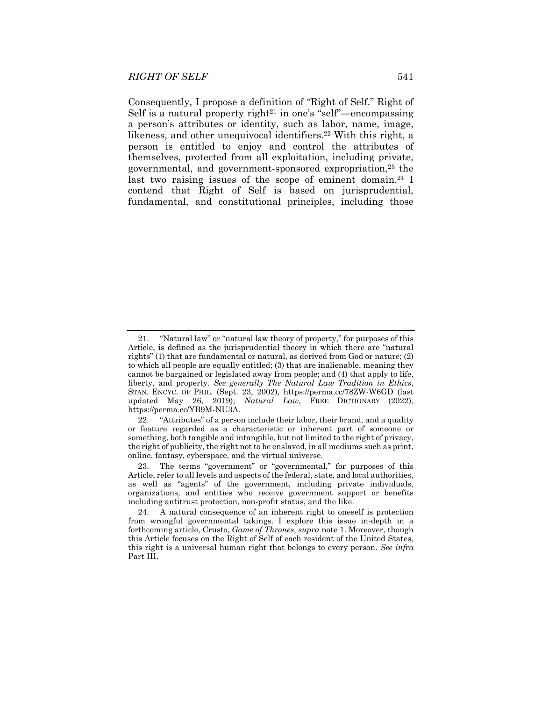Consequently, I propose a definition of "Right of Self." Right of Self is a natural property right<sup>21</sup> in one's "self"—encompassing a person's attributes or identity, such as labor, name, image, likeness, and other unequivocal identifiers.<sup>22</sup> With this right, a person is entitled to enjoy and control the attributes of themselves, protected from all exploitation, including private, governmental, and government-sponsored expropriation,23 the last two raising issues of the scope of eminent domain.<sup>24</sup> I contend that Right of Self is based on jurisprudential, fundamental, and constitutional principles, including those

 <sup>21. &</sup>quot;Natural law" or "natural law theory of property," for purposes of this Article, is defined as the jurisprudential theory in which there are "natural rights" (1) that are fundamental or natural, as derived from God or nature; (2) to which all people are equally entitled; (3) that are inalienable, meaning they cannot be bargained or legislated away from people; and (4) that apply to life, liberty, and property. *See generally The Natural Law Tradition in Ethics*, STAN. ENCYC. OF PHIL. (Sept. 23, 2002), https://perma.cc/78ZW-W6GD (last updated May 26, 2019); *Natural Law*, FREE DICTIONARY (2022), https://perma.cc/YB9M-NU3A.

 <sup>22. &</sup>quot;Attributes" of a person include their labor, their brand, and a quality or feature regarded as a characteristic or inherent part of someone or something, both tangible and intangible, but not limited to the right of privacy, the right of publicity, the right not to be enslaved, in all mediums such as print, online, fantasy, cyberspace, and the virtual universe.

 <sup>23.</sup> The terms "government" or "governmental," for purposes of this Article, refer to all levels and aspects of the federal, state, and local authorities, as well as "agents" of the government, including private individuals, organizations, and entities who receive government support or benefits including antitrust protection, non-profit status, and the like.

 <sup>24.</sup> A natural consequence of an inherent right to oneself is protection from wrongful governmental takings. I explore this issue in-depth in a forthcoming article, Crusto, *Game of Thrones*, *supra* note 1. Moreover, though this Article focuses on the Right of Self of each resident of the United States, this right is a universal human right that belongs to every person. *See infra*  Part III.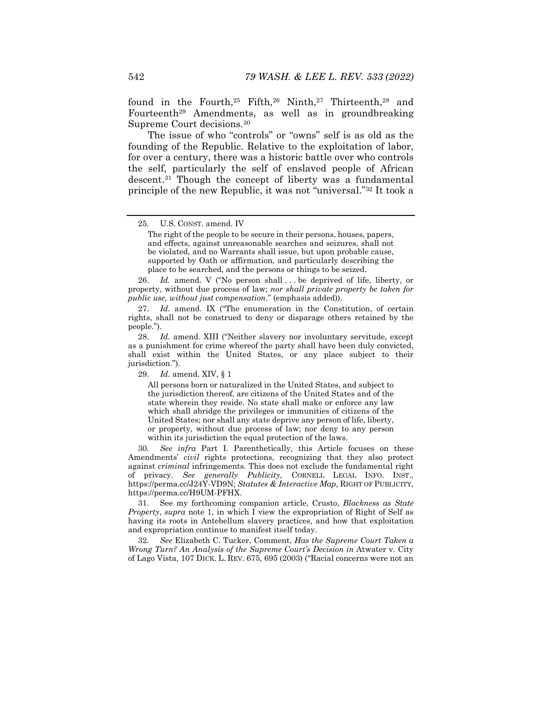found in the Fourth,<sup>25</sup> Fifth,<sup>26</sup> Ninth,<sup>27</sup> Thirteenth,<sup>28</sup> and Fourteenth29 Amendments, as well as in groundbreaking Supreme Court decisions.30

The issue of who "controls" or "owns" self is as old as the founding of the Republic. Relative to the exploitation of labor, for over a century, there was a historic battle over who controls the self, particularly the self of enslaved people of African descent.31 Though the concept of liberty was a fundamental principle of the new Republic, it was not "universal."32 It took a

26. *Id.* amend. V ("No person shall ... be deprived of life, liberty, or property, without due process of law; *nor shall private property be taken for public use, without just compensation*." (emphasis added)).

 27. *Id.* amend. IX ("The enumeration in the Constitution, of certain rights, shall not be construed to deny or disparage others retained by the people.").

 28. *Id.* amend. XIII ("Neither slavery nor involuntary servitude, except as a punishment for crime whereof the party shall have been duly convicted, shall exist within the United States, or any place subject to their jurisdiction.").

29. *Id.* amend. XIV, § 1

All persons born or naturalized in the United States, and subject to the jurisdiction thereof, are citizens of the United States and of the state wherein they reside. No state shall make or enforce any law which shall abridge the privileges or immunities of citizens of the United States; nor shall any state deprive any person of life, liberty, or property, without due process of law; nor deny to any person within its jurisdiction the equal protection of the laws.

30*. See infra* Part I. Parenthetically, this Article focuses on these Amendments' *civil* rights protections, recognizing that they also protect against *criminal* infringements. This does not exclude the fundamental right of privacy. *See generally Publicity*, CORNELL LEGAL INFO. INST., https://perma.cc/J24Y-VD9N; *Statutes & Interactive Map*, RIGHT OF PUBLICITY, https://perma.cc/H9UM-PFHX.

 31. See my forthcoming companion article, Crusto, *Blackness as State Property*, *supra* note 1, in which I view the expropriation of Right of Self as having its roots in Antebellum slavery practices, and how that exploitation and expropriation continue to manifest itself today.

32*. See* Elizabeth C. Tucker, Comment, *Has the Supreme Court Taken a Wrong Turn? An Analysis of the Supreme Court's Decision in Atwater v. City* of Lago Vista, 107 DICK. L. REV. 675, 695 (2003) ("Racial concerns were not an

 <sup>25.</sup> U.S. CONST. amend. IV

The right of the people to be secure in their persons, houses, papers, and effects, against unreasonable searches and seizures, shall not be violated, and no Warrants shall issue, but upon probable cause, supported by Oath or affirmation, and particularly describing the place to be searched, and the persons or things to be seized.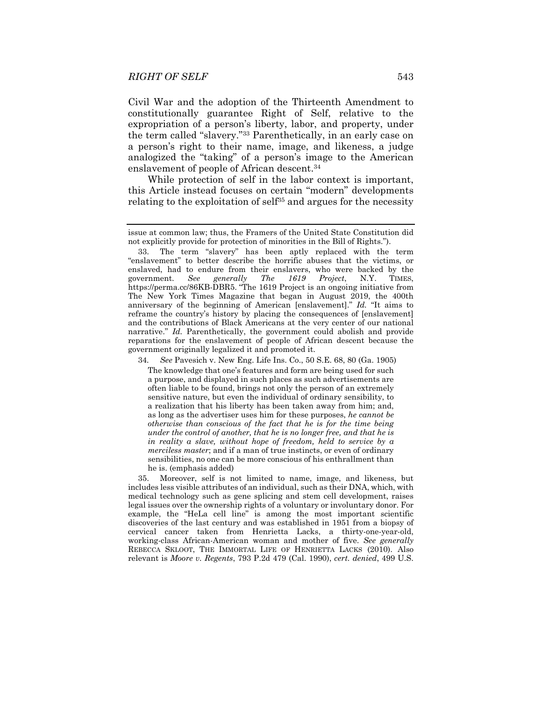Civil War and the adoption of the Thirteenth Amendment to constitutionally guarantee Right of Self, relative to the expropriation of a person's liberty, labor, and property, under the term called "slavery."33 Parenthetically, in an early case on a person's right to their name, image, and likeness, a judge analogized the "taking" of a person's image to the American enslavement of people of African descent.34

While protection of self in the labor context is important, this Article instead focuses on certain "modern" developments relating to the exploitation of self<sup>35</sup> and argues for the necessity

34*. See* Pavesich v. New Eng. Life Ins. Co., 50 S.E. 68, 80 (Ga. 1905)

The knowledge that one's features and form are being used for such a purpose, and displayed in such places as such advertisements are often liable to be found, brings not only the person of an extremely sensitive nature, but even the individual of ordinary sensibility, to a realization that his liberty has been taken away from him; and, as long as the advertiser uses him for these purposes, *he cannot be otherwise than conscious of the fact that he is for the time being under the control of another, that he is no longer free, and that he is in reality a slave, without hope of freedom, held to service by a merciless master*; and if a man of true instincts, or even of ordinary sensibilities, no one can be more conscious of his enthrallment than he is. (emphasis added)

 35. Moreover, self is not limited to name, image, and likeness, but includes less visible attributes of an individual, such as their DNA, which, with medical technology such as gene splicing and stem cell development, raises legal issues over the ownership rights of a voluntary or involuntary donor. For example, the "HeLa cell line" is among the most important scientific discoveries of the last century and was established in 1951 from a biopsy of cervical cancer taken from Henrietta Lacks, a thirty-one-year-old, working-class African-American woman and mother of five. *See generally* REBECCA SKLOOT, THE IMMORTAL LIFE OF HENRIETTA LACKS (2010). Also relevant is *Moore v. Regents*, 793 P.2d 479 (Cal. 1990), *cert. denied*, 499 U.S.

issue at common law; thus, the Framers of the United State Constitution did not explicitly provide for protection of minorities in the Bill of Rights.").

 <sup>33.</sup> The term "slavery" has been aptly replaced with the term "enslavement" to better describe the horrific abuses that the victims, or enslaved, had to endure from their enslavers, who were backed by the government. *See generally The 1619 Project*, N.Y. TIMES, https://perma.cc/86KB-DBR5. "The 1619 Project is an ongoing initiative from The New York Times Magazine that began in August 2019, the 400th anniversary of the beginning of American [enslavement]." *Id.* "It aims to reframe the country's history by placing the consequences of [enslavement] and the contributions of Black Americans at the very center of our national narrative." *Id.* Parenthetically, the government could abolish and provide reparations for the enslavement of people of African descent because the government originally legalized it and promoted it.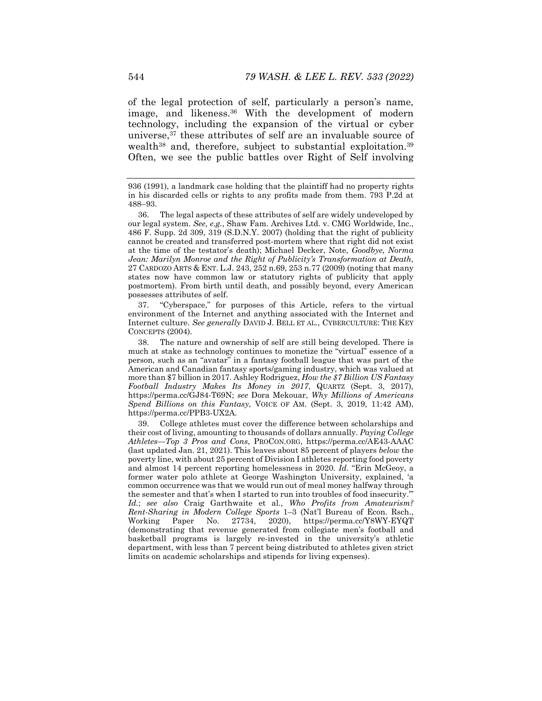of the legal protection of self, particularly a person's name, image, and likeness.36 With the development of modern technology, including the expansion of the virtual or cyber universe,37 these attributes of self are an invaluable source of wealth<sup>38</sup> and, therefore, subject to substantial exploitation.<sup>39</sup> Often, we see the public battles over Right of Self involving

 37. "Cyberspace," for purposes of this Article, refers to the virtual environment of the Internet and anything associated with the Internet and Internet culture. *See generally* DAVID J. BELL ET AL., CYBERCULTURE: THE KEY CONCEPTS (2004).

 38. The nature and ownership of self are still being developed. There is much at stake as technology continues to monetize the "virtual" essence of a person, such as an "avatar" in a fantasy football league that was part of the American and Canadian fantasy sports/gaming industry, which was valued at more than \$7 billion in 2017. Ashley Rodriguez, *How the \$7 Billion US Fantasy Football Industry Makes Its Money in 2017*, QUARTZ (Sept. 3, 2017), https://perma.cc/GJ84-T69N; *see* Dora Mekouar, *Why Millions of Americans Spend Billions on this Fantasy*, VOICE OF AM. (Sept. 3, 2019, 11:42 AM), https://perma.cc/PPB3-UX2A.

 39. College athletes must cover the difference between scholarships and their cost of living, amounting to thousands of dollars annually. *Paying College Athletes—Top 3 Pros and Cons*, PROCON.ORG, https://perma.cc/AE43-AAAC (last updated Jan. 21, 2021). This leaves about 85 percent of players *below* the poverty line, with about 25 percent of Division I athletes reporting food poverty and almost 14 percent reporting homelessness in 2020. *Id.* "Erin McGeoy, a former water polo athlete at George Washington University, explained, 'a common occurrence was that we would run out of meal money halfway through the semester and that's when I started to run into troubles of food insecurity.'" *Id.*; *see also* Craig Garthwaite et al., *Who Profits from Amateurism? Rent-Sharing in Modern College Sports* 1–3 (Nat'l Bureau of Econ. Rsch., Working Paper No. 27734, 2020), https://perma.cc/Y8WY-EYQT (demonstrating that revenue generated from collegiate men's football and basketball programs is largely re-invested in the university's athletic department, with less than 7 percent being distributed to athletes given strict limits on academic scholarships and stipends for living expenses).

<sup>936 (1991),</sup> a landmark case holding that the plaintiff had no property rights in his discarded cells or rights to any profits made from them. 793 P.2d at 488–93.

 <sup>36.</sup> The legal aspects of these attributes of self are widely undeveloped by our legal system. *See, e.g.*, Shaw Fam. Archives Ltd. v. CMG Worldwide, Inc., 486 F. Supp. 2d 309, 319 (S.D.N.Y. 2007) (holding that the right of publicity cannot be created and transferred post-mortem where that right did not exist at the time of the testator's death); Michael Decker, Note, *Goodbye, Norma Jean: Marilyn Monroe and the Right of Publicity's Transformation at Death*, 27 CARDOZO ARTS & ENT. L.J. 243, 252 n.69, 253 n.77 (2009) (noting that many states now have common law or statutory rights of publicity that apply postmortem). From birth until death, and possibly beyond, every American possesses attributes of self.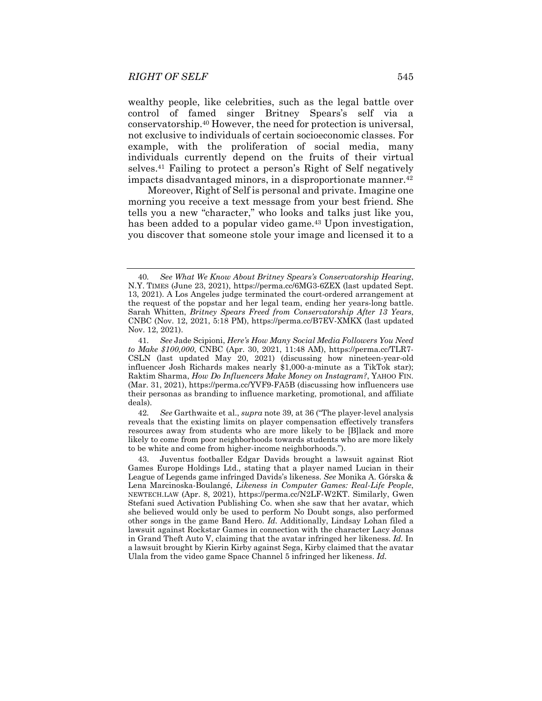wealthy people, like celebrities, such as the legal battle over control of famed singer Britney Spears's self via a conservatorship.40 However, the need for protection is universal, not exclusive to individuals of certain socioeconomic classes. For example, with the proliferation of social media, many individuals currently depend on the fruits of their virtual selves.41 Failing to protect a person's Right of Self negatively impacts disadvantaged minors, in a disproportionate manner.<sup>42</sup>

Moreover, Right of Self is personal and private. Imagine one morning you receive a text message from your best friend. She tells you a new "character," who looks and talks just like you, has been added to a popular video game.<sup>43</sup> Upon investigation, you discover that someone stole your image and licensed it to a

42*. See* Garthwaite et al., *supra* note 39, at 36 ("The player-level analysis reveals that the existing limits on player compensation effectively transfers resources away from students who are more likely to be [B]lack and more likely to come from poor neighborhoods towards students who are more likely to be white and come from higher-income neighborhoods.").

<sup>40</sup>*. See What We Know About Britney Spears's Conservatorship Hearing*, N.Y. TIMES (June 23, 2021), https://perma.cc/6MG3-6ZEX (last updated Sept. 13, 2021). A Los Angeles judge terminated the court-ordered arrangement at the request of the popstar and her legal team, ending her years-long battle. Sarah Whitten, *Britney Spears Freed from Conservatorship After 13 Years*, CNBC (Nov. 12, 2021, 5:18 PM), https://perma.cc/B7EV-XMKX (last updated Nov. 12, 2021).

<sup>41</sup>*. See* Jade Scipioni, *Here's How Many Social Media Followers You Need to Make \$100,000*, CNBC (Apr. 30, 2021, 11:48 AM), https://perma.cc/TLR7- CSLN (last updated May 20, 2021) (discussing how nineteen-year-old influencer Josh Richards makes nearly \$1,000-a-minute as a TikTok star); Raktim Sharma, *How Do Influencers Make Money on Instagram?*, YAHOO FIN. (Mar. 31, 2021), https://perma.cc/YVF9-FA5B (discussing how influencers use their personas as branding to influence marketing, promotional, and affiliate deals).

 <sup>43.</sup> Juventus footballer Edgar Davids brought a lawsuit against Riot Games Europe Holdings Ltd., stating that a player named Lucian in their League of Legends game infringed Davids's likeness. *See* Monika A. Górska & Lena Marcinoska-Boulangé, *Likeness in Computer Games: Real-Life People*, NEWTECH.LAW (Apr. 8, 2021), https://perma.cc/N2LF-W2KT. Similarly, Gwen Stefani sued Activation Publishing Co. when she saw that her avatar, which she believed would only be used to perform No Doubt songs, also performed other songs in the game Band Hero. *Id.* Additionally, Lindsay Lohan filed a lawsuit against Rockstar Games in connection with the character Lacy Jonas in Grand Theft Auto V, claiming that the avatar infringed her likeness. *Id.* In a lawsuit brought by Kierin Kirby against Sega, Kirby claimed that the avatar Ulala from the video game Space Channel 5 infringed her likeness. *Id.*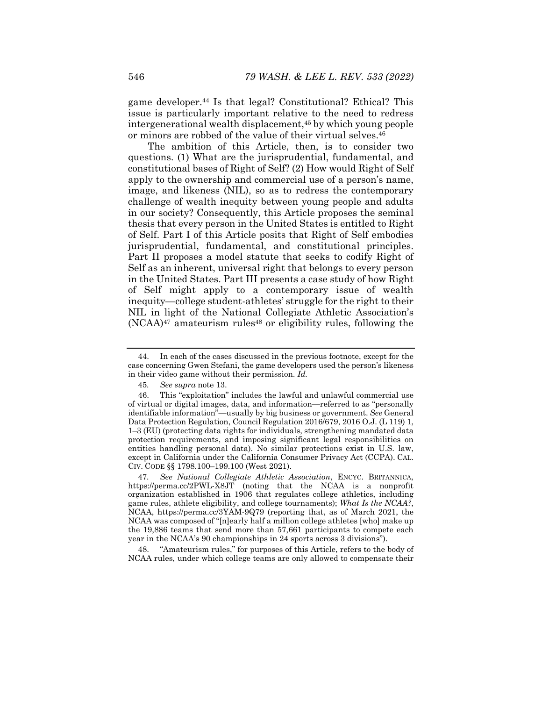game developer.44 Is that legal? Constitutional? Ethical? This issue is particularly important relative to the need to redress intergenerational wealth displacement,45 by which young people or minors are robbed of the value of their virtual selves.<sup>46</sup>

The ambition of this Article, then, is to consider two questions. (1) What are the jurisprudential, fundamental, and constitutional bases of Right of Self? (2) How would Right of Self apply to the ownership and commercial use of a person's name, image, and likeness (NIL), so as to redress the contemporary challenge of wealth inequity between young people and adults in our society? Consequently, this Article proposes the seminal thesis that every person in the United States is entitled to Right of Self. Part I of this Article posits that Right of Self embodies jurisprudential, fundamental, and constitutional principles. Part II proposes a model statute that seeks to codify Right of Self as an inherent, universal right that belongs to every person in the United States. Part III presents a case study of how Right of Self might apply to a contemporary issue of wealth inequity—college student-athletes' struggle for the right to their NIL in light of the National Collegiate Athletic Association's  $(NCAA)^{47}$  amateurism rules<sup>48</sup> or eligibility rules, following the

 48. "Amateurism rules," for purposes of this Article, refers to the body of NCAA rules, under which college teams are only allowed to compensate their

 <sup>44.</sup> In each of the cases discussed in the previous footnote, except for the case concerning Gwen Stefani, the game developers used the person's likeness in their video game without their permission. *Id.*

<sup>45</sup>*. See supra* note 13.

 <sup>46.</sup> This "exploitation" includes the lawful and unlawful commercial use of virtual or digital images, data, and information—referred to as "personally identifiable information"—usually by big business or government. *See* General Data Protection Regulation, Council Regulation 2016/679, 2016 O.J. (L 119) 1, 1–3 (EU) (protecting data rights for individuals, strengthening mandated data protection requirements, and imposing significant legal responsibilities on entities handling personal data). No similar protections exist in U.S. law, except in California under the California Consumer Privacy Act (CCPA). CAL. CIV. CODE §§ 1798.100–199.100 (West 2021).

<sup>47</sup>*. See National Collegiate Athletic Association*, ENCYC. BRITANNICA, https://perma.cc/2PWL-X8JT (noting that the NCAA is a nonprofit organization established in 1906 that regulates college athletics, including game rules, athlete eligibility, and college tournaments); *What Is the NCAA?*, NCAA, https://perma.cc/3YAM-9Q79 (reporting that, as of March 2021, the NCAA was composed of "[n]early half a million college athletes [who] make up the 19,886 teams that send more than 57,661 participants to compete each year in the NCAA's 90 championships in 24 sports across 3 divisions").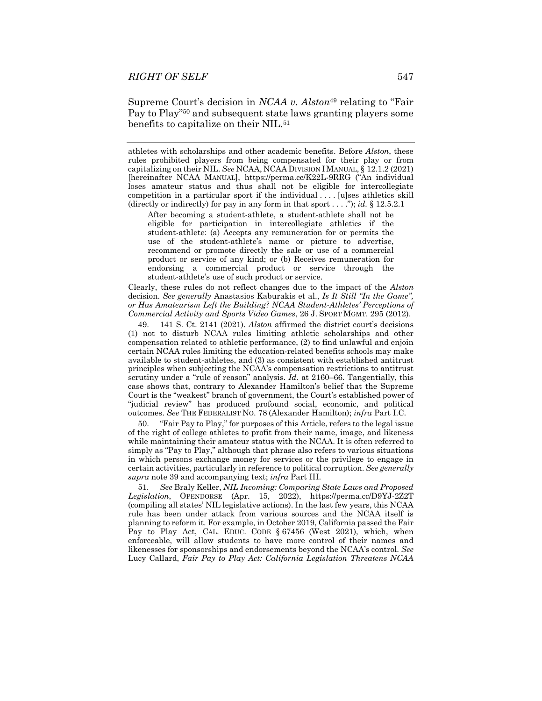Supreme Court's decision in *NCAA v. Alston*49 relating to "Fair Pay to Play"50 and subsequent state laws granting players some benefits to capitalize on their NIL.<sup>51</sup>

athletes with scholarships and other academic benefits. Before *Alston*, these rules prohibited players from being compensated for their play or from capitalizing on their NIL. *See* NCAA, NCAA DIVISION I MANUAL, § 12.1.2 (2021) [hereinafter NCAA MANUAL], https://perma.cc/K22L-9RRG ("An individual loses amateur status and thus shall not be eligible for intercollegiate competition in a particular sport if the individual . . . . [u]ses athletics skill (directly or indirectly) for pay in any form in that sport . . . ."); *id.* § 12.5.2.1

After becoming a student-athlete, a student-athlete shall not be eligible for participation in intercollegiate athletics if the student-athlete: (a) Accepts any remuneration for or permits the use of the student-athlete's name or picture to advertise, recommend or promote directly the sale or use of a commercial product or service of any kind; or (b) Receives remuneration for endorsing a commercial product or service through the student-athlete's use of such product or service.

Clearly, these rules do not reflect changes due to the impact of the *Alston* decision. *See generally* Anastasios Kaburakis et al., *Is It Still "In the Game", or Has Amateurism Left the Building? NCAA Student-Athletes' Perceptions of Commercial Activity and Sports Video Games*, 26 J. SPORT MGMT. 295 (2012).

 49. 141 S. Ct. 2141 (2021). *Alston* affirmed the district court's decisions (1) not to disturb NCAA rules limiting athletic scholarships and other compensation related to athletic performance, (2) to find unlawful and enjoin certain NCAA rules limiting the education-related benefits schools may make available to student-athletes, and (3) as consistent with established antitrust principles when subjecting the NCAA's compensation restrictions to antitrust scrutiny under a "rule of reason" analysis. *Id.* at 2160–66. Tangentially, this case shows that, contrary to Alexander Hamilton's belief that the Supreme Court is the "weakest" branch of government, the Court's established power of "judicial review" has produced profound social, economic, and political outcomes. *See* THE FEDERALIST NO. 78 (Alexander Hamilton); *infra* Part I.C.

 50. "Fair Pay to Play," for purposes of this Article, refers to the legal issue of the right of college athletes to profit from their name, image, and likeness while maintaining their amateur status with the NCAA. It is often referred to simply as "Pay to Play," although that phrase also refers to various situations in which persons exchange money for services or the privilege to engage in certain activities, particularly in reference to political corruption. *See generally supra* note 39 and accompanying text; *infra* Part III.

51*. See* Braly Keller, *NIL Incoming: Comparing State Laws and Proposed Legislation*, OPENDORSE (Apr. 15, 2022), https://perma.cc/D9YJ-2Z2T (compiling all states' NIL legislative actions). In the last few years, this NCAA rule has been under attack from various sources and the NCAA itself is planning to reform it. For example, in October 2019, California passed the Fair Pay to Play Act, CAL. EDUC. CODE § 67456 (West 2021), which, when enforceable, will allow students to have more control of their names and likenesses for sponsorships and endorsements beyond the NCAA's control. *See*  Lucy Callard, *Fair Pay to Play Act: California Legislation Threatens NCAA*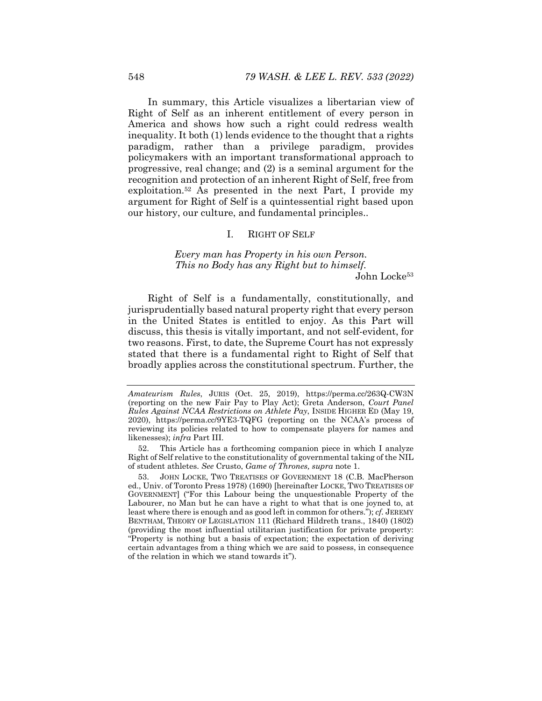In summary, this Article visualizes a libertarian view of Right of Self as an inherent entitlement of every person in America and shows how such a right could redress wealth inequality. It both (1) lends evidence to the thought that a rights paradigm, rather than a privilege paradigm, provides policymakers with an important transformational approach to progressive, real change; and (2) is a seminal argument for the recognition and protection of an inherent Right of Self, free from exploitation.52 As presented in the next Part, I provide my argument for Right of Self is a quintessential right based upon our history, our culture, and fundamental principles..

## I. RIGHT OF SELF

*Every man has Property in his own Person. This no Body has any Right but to himself.*  John Locke53

Right of Self is a fundamentally, constitutionally, and jurisprudentially based natural property right that every person in the United States is entitled to enjoy. As this Part will discuss, this thesis is vitally important, and not self-evident, for two reasons. First, to date, the Supreme Court has not expressly stated that there is a fundamental right to Right of Self that broadly applies across the constitutional spectrum. Further, the

*Amateurism Rules*, JURIS (Oct. 25, 2019), https://perma.cc/263Q-CW3N (reporting on the new Fair Pay to Play Act); Greta Anderson, *Court Panel Rules Against NCAA Restrictions on Athlete Pay*, INSIDE HIGHER ED (May 19, 2020), https://perma.cc/9YE3-TQFG (reporting on the NCAA's process of reviewing its policies related to how to compensate players for names and likenesses); *infra* Part III.

 <sup>52.</sup> This Article has a forthcoming companion piece in which I analyze Right of Self relative to the constitutionality of governmental taking of the NIL of student athletes. *See* Crusto, *Game of Thrones, supra* note 1.

JOHN LOCKE, TWO TREATISES OF GOVERNMENT 18 (C.B. MacPherson ed., Univ. of Toronto Press 1978) (1690) [hereinafter LOCKE, TWO TREATISES OF GOVERNMENT] ("For this Labour being the unquestionable Property of the Labourer, no Man but he can have a right to what that is one joyned to, at least where there is enough and as good left in common for others."); *cf.* JEREMY BENTHAM, THEORY OF LEGISLATION 111 (Richard Hildreth trans., 1840) (1802) (providing the most influential utilitarian justification for private property: "Property is nothing but a basis of expectation; the expectation of deriving certain advantages from a thing which we are said to possess, in consequence of the relation in which we stand towards it").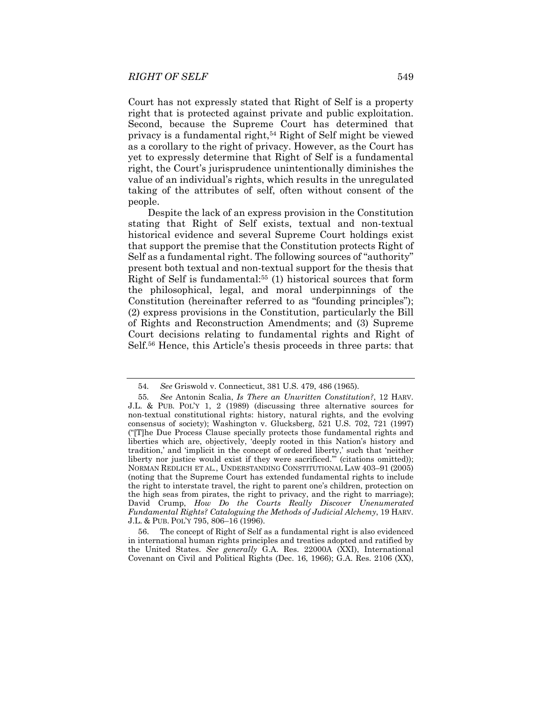Court has not expressly stated that Right of Self is a property right that is protected against private and public exploitation. Second, because the Supreme Court has determined that privacy is a fundamental right,<sup>54</sup> Right of Self might be viewed as a corollary to the right of privacy. However, as the Court has yet to expressly determine that Right of Self is a fundamental right, the Court's jurisprudence unintentionally diminishes the value of an individual's rights, which results in the unregulated taking of the attributes of self, often without consent of the people.

Despite the lack of an express provision in the Constitution stating that Right of Self exists, textual and non-textual historical evidence and several Supreme Court holdings exist that support the premise that the Constitution protects Right of Self as a fundamental right. The following sources of "authority" present both textual and non-textual support for the thesis that Right of Self is fundamental:55 (1) historical sources that form the philosophical, legal, and moral underpinnings of the Constitution (hereinafter referred to as "founding principles"); (2) express provisions in the Constitution, particularly the Bill of Rights and Reconstruction Amendments; and (3) Supreme Court decisions relating to fundamental rights and Right of Self.56 Hence, this Article's thesis proceeds in three parts: that

 56. The concept of Right of Self as a fundamental right is also evidenced in international human rights principles and treaties adopted and ratified by the United States. *See generally* G.A. Res. 22000A (XXI), International Covenant on Civil and Political Rights (Dec. 16, 1966); G.A. Res. 2106 (XX),

<sup>54</sup>*. See* Griswold v. Connecticut, 381 U.S. 479, 486 (1965).

<sup>55</sup>*. See* Antonin Scalia, *Is There an Unwritten Constitution?*, 12 HARV. J.L. & PUB. POL'Y 1, 2 (1989) (discussing three alternative sources for non-textual constitutional rights: history, natural rights, and the evolving consensus of society); Washington v. Glucksberg, 521 U.S. 702, 721 (1997) ("[T]he Due Process Clause specially protects those fundamental rights and liberties which are, objectively, 'deeply rooted in this Nation's history and tradition,' and 'implicit in the concept of ordered liberty,' such that 'neither liberty nor justice would exist if they were sacrificed.'" (citations omitted)); NORMAN REDLICH ET AL*.*, UNDERSTANDING CONSTITUTIONAL LAW 403–91 (2005) (noting that the Supreme Court has extended fundamental rights to include the right to interstate travel, the right to parent one's children, protection on the high seas from pirates, the right to privacy, and the right to marriage); David Crump, *How Do the Courts Really Discover Unenumerated Fundamental Rights? Cataloguing the Methods of Judicial Alchemy*, 19 HARV. J.L. & PUB. POL'Y 795, 806–16 (1996).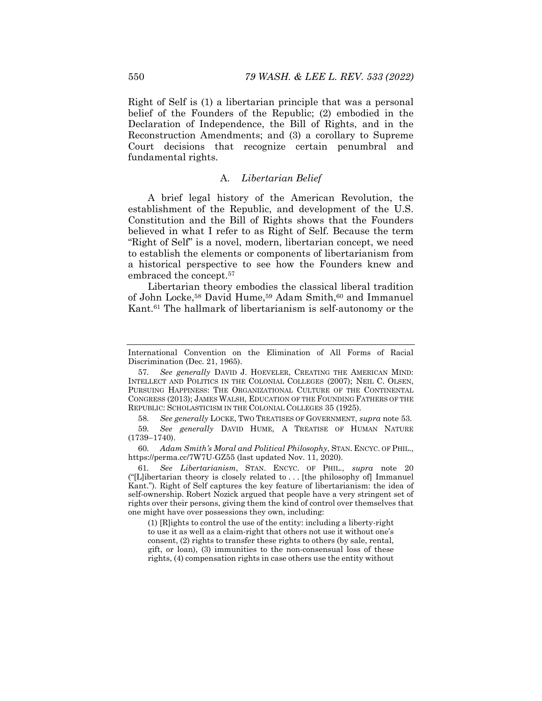Right of Self is (1) a libertarian principle that was a personal belief of the Founders of the Republic; (2) embodied in the Declaration of Independence, the Bill of Rights, and in the Reconstruction Amendments; and (3) a corollary to Supreme Court decisions that recognize certain penumbral and fundamental rights.

#### A. *Libertarian Belief*

A brief legal history of the American Revolution, the establishment of the Republic, and development of the U.S. Constitution and the Bill of Rights shows that the Founders believed in what I refer to as Right of Self. Because the term "Right of Self" is a novel, modern, libertarian concept, we need to establish the elements or components of libertarianism from a historical perspective to see how the Founders knew and embraced the concept.57

Libertarian theory embodies the classical liberal tradition of John Locke,<sup>58</sup> David Hume,<sup>59</sup> Adam Smith,<sup>60</sup> and Immanuel Kant.61 The hallmark of libertarianism is self-autonomy or the

60*. Adam Smith's Moral and Political Philosophy*, STAN. ENCYC. OF PHIL., https://perma.cc/7W7U-GZ55 (last updated Nov. 11, 2020).

61*. See Libertarianism*, STAN. ENCYC. OF PHIL., *supra* note 20 ("[L]ibertarian theory is closely related to . . . [the philosophy of] Immanuel Kant."). Right of Self captures the key feature of libertarianism: the idea of self-ownership. Robert Nozick argued that people have a very stringent set of rights over their persons, giving them the kind of control over themselves that one might have over possessions they own, including:

(1) [R]ights to control the use of the entity: including a liberty-right to use it as well as a claim-right that others not use it without one's consent, (2) rights to transfer these rights to others (by sale, rental, gift, or loan), (3) immunities to the non-consensual loss of these rights, (4) compensation rights in case others use the entity without

International Convention on the Elimination of All Forms of Racial Discrimination (Dec. 21, 1965).

<sup>57</sup>*. See generally* DAVID J. HOEVELER, CREATING THE AMERICAN MIND: INTELLECT AND POLITICS IN THE COLONIAL COLLEGES (2007); NEIL C. OLSEN, PURSUING HAPPINESS: THE ORGANIZATIONAL CULTURE OF THE CONTINENTAL CONGRESS (2013); JAMES WALSH, EDUCATION OF THE FOUNDING FATHERS OF THE REPUBLIC: SCHOLASTICISM IN THE COLONIAL COLLEGES 35 (1925).

<sup>58</sup>*. See generally* LOCKE, TWO TREATISES OF GOVERNMENT, *supra* note 53.

<sup>59</sup>*. See generally* DAVID HUME, A TREATISE OF HUMAN NATURE (1739–1740).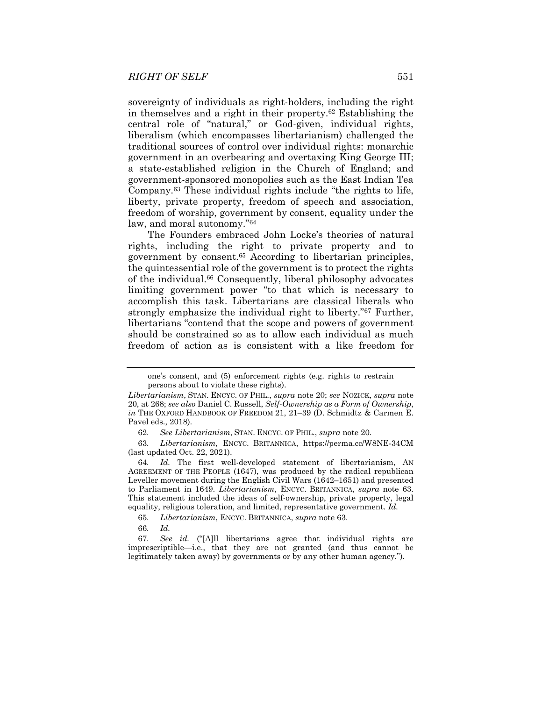sovereignty of individuals as right-holders, including the right in themselves and a right in their property.62 Establishing the central role of "natural," or God-given, individual rights, liberalism (which encompasses libertarianism) challenged the traditional sources of control over individual rights: monarchic government in an overbearing and overtaxing King George III; a state-established religion in the Church of England; and government-sponsored monopolies such as the East Indian Tea Company.63 These individual rights include "the rights to life, liberty, private property, freedom of speech and association, freedom of worship, government by consent, equality under the law, and moral autonomy."64

The Founders embraced John Locke's theories of natural rights, including the right to private property and to government by consent.65 According to libertarian principles, the quintessential role of the government is to protect the rights of the individual.66 Consequently, liberal philosophy advocates limiting government power "to that which is necessary to accomplish this task. Libertarians are classical liberals who strongly emphasize the individual right to liberty."67 Further, libertarians "contend that the scope and powers of government should be constrained so as to allow each individual as much freedom of action as is consistent with a like freedom for

63*. Libertarianism*, ENCYC. BRITANNICA, https://perma.cc/W8NE-34CM (last updated Oct. 22, 2021).

65*. Libertarianism*, ENCYC. BRITANNICA, *supra* note 63.

66*. Id.* 

one's consent, and (5) enforcement rights (e.g. rights to restrain persons about to violate these rights).

*Libertarianism*, STAN. ENCYC. OF PHIL., *supra* note 20; *see* NOZICK, *supra* note 20, at 268; *see also* Daniel C. Russell, *Self-Ownership as a Form of Ownership*, *in* THE OXFORD HANDBOOK OF FREEDOM 21, 21–39 (D. Schmidtz & Carmen E. Pavel eds., 2018).

<sup>62</sup>*. See Libertarianism*, STAN. ENCYC. OF PHIL., *supra* note 20.

<sup>64</sup>*. Id.* The first well-developed statement of libertarianism, AN AGREEMENT OF THE PEOPLE (1647), was produced by the radical republican Leveller movement during the English Civil Wars (1642–1651) and presented to Parliament in 1649. *Libertarianism*, ENCYC. BRITANNICA, *supra* note 63. This statement included the ideas of self-ownership, private property, legal equality, religious toleration, and limited, representative government. *Id.* 

<sup>67</sup>*. See id.* ("[A]ll libertarians agree that individual rights are imprescriptible—i.e., that they are not granted (and thus cannot be legitimately taken away) by governments or by any other human agency.").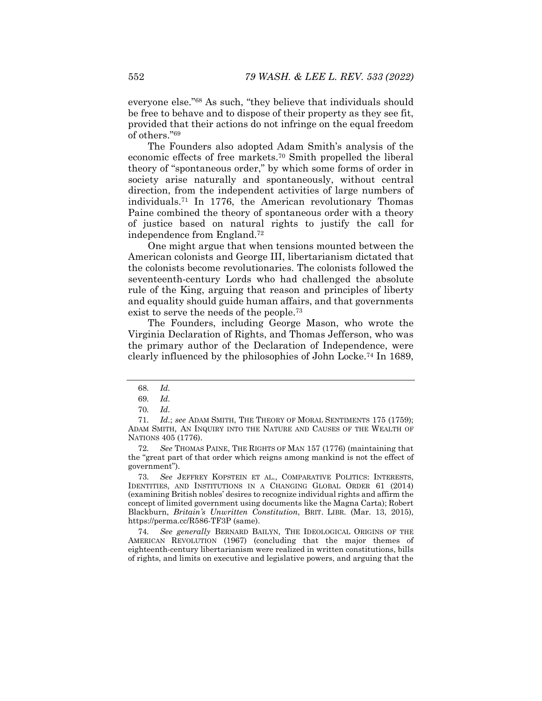everyone else."68 As such, "they believe that individuals should be free to behave and to dispose of their property as they see fit, provided that their actions do not infringe on the equal freedom of others."69

The Founders also adopted Adam Smith's analysis of the economic effects of free markets.70 Smith propelled the liberal theory of "spontaneous order," by which some forms of order in society arise naturally and spontaneously, without central direction, from the independent activities of large numbers of individuals.71 In 1776, the American revolutionary Thomas Paine combined the theory of spontaneous order with a theory of justice based on natural rights to justify the call for independence from England.72

One might argue that when tensions mounted between the American colonists and George III, libertarianism dictated that the colonists become revolutionaries. The colonists followed the seventeenth-century Lords who had challenged the absolute rule of the King, arguing that reason and principles of liberty and equality should guide human affairs, and that governments exist to serve the needs of the people.73

The Founders, including George Mason, who wrote the Virginia Declaration of Rights, and Thomas Jefferson, who was the primary author of the Declaration of Independence, were clearly influenced by the philosophies of John Locke.74 In 1689,

74*. See generally* BERNARD BAILYN, THE IDEOLOGICAL ORIGINS OF THE AMERICAN REVOLUTION (1967) (concluding that the major themes of eighteenth-century libertarianism were realized in written constitutions, bills of rights, and limits on executive and legislative powers, and arguing that the

<sup>68</sup>*. Id.*

<sup>69</sup>*. Id.*

<sup>70</sup>*. Id.* 

<sup>71</sup>*. Id.*; *see* ADAM SMITH, THE THEORY OF MORAL SENTIMENTS 175 (1759); ADAM SMITH, AN INQUIRY INTO THE NATURE AND CAUSES OF THE WEALTH OF NATIONS 405 (1776).

<sup>72</sup>*. See* THOMAS PAINE, THE RIGHTS OF MAN 157 (1776) (maintaining that the "great part of that order which reigns among mankind is not the effect of government").

<sup>73</sup>*. See* JEFFREY KOPSTEIN ET AL., COMPARATIVE POLITICS: INTERESTS, IDENTITIES, AND INSTITUTIONS IN A CHANGING GLOBAL ORDER 61 (2014) (examining British nobles' desires to recognize individual rights and affirm the concept of limited government using documents like the Magna Carta); Robert Blackburn, *Britain's Unwritten Constitution*, BRIT. LIBR. (Mar. 13, 2015), https://perma.cc/R586-TF3P (same).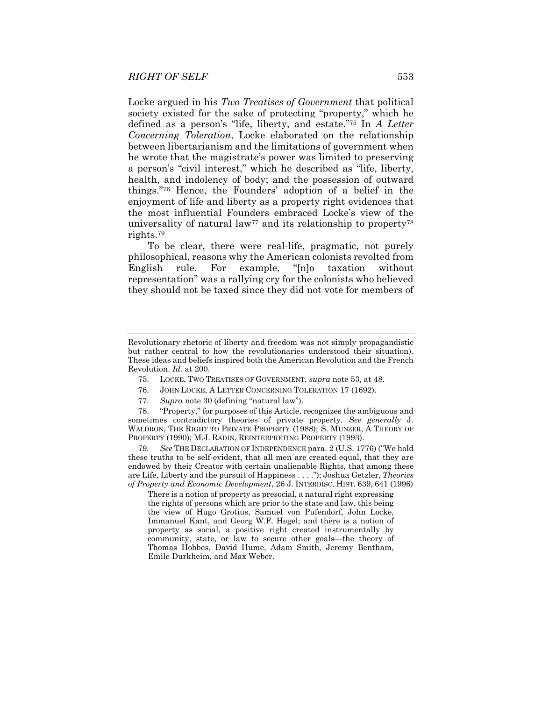Locke argued in his *Two Treatises of Government* that political society existed for the sake of protecting "property," which he defined as a person's "life, liberty, and estate."75 In *A Letter Concerning Toleration*, Locke elaborated on the relationship between libertarianism and the limitations of government when he wrote that the magistrate's power was limited to preserving a person's "civil interest," which he described as "life, liberty, health, and indolency of body; and the possession of outward things."76 Hence, the Founders' adoption of a belief in the enjoyment of life and liberty as a property right evidences that the most influential Founders embraced Locke's view of the universality of natural law<sup>77</sup> and its relationship to property<sup>78</sup> rights.79

To be clear, there were real-life, pragmatic, not purely philosophical, reasons why the American colonists revolted from English rule. For example, "[n]o taxation without representation" was a rallying cry for the colonists who believed they should not be taxed since they did not vote for members of

- 75. LOCKE, TWO TREATISES OF GOVERNMENT, *supra* note 53, at 48.
- 76. JOHN LOCKE, A LETTER CONCERNING TOLERATION 17 (1692).
- 77*. Supra* note 30 (defining "natural law").

 78. "Property," for purposes of this Article, recognizes the ambiguous and sometimes contradictory theories of private property. *See generally* J. WALDRON, THE RIGHT TO PRIVATE PROPERTY (1988); S. MUNZER, A THEORY OF PROPERTY (1990); M.J. RADIN, REINTERPRETING PROPERTY (1993).

79*. See* THE DECLARATION OF INDEPENDENCE para. 2 (U.S. 1776) ("We hold these truths to be self-evident, that all men are created equal, that they are endowed by their Creator with certain unalienable Rights, that among these are Life, Liberty and the pursuit of Happiness . . . ."); Joshua Getzler, *Theories of Property and Economic Development*, 26 J. INTERDISC. HIST. 639, 641 (1996)

There is a notion of property as presocial, a natural right expressing the rights of persons which are prior to the state and law, this being the view of Hugo Grotius, Samuel von Pufendorf, John Locke, Immanuel Kant, and Georg W.F. Hegel; and there is a notion of property as social, a positive right created instrumentally by community, state, or law to secure other goals—the theory of Thomas Hobbes, David Hume, Adam Smith, Jeremy Bentham, Emile Durkheim, and Max Weber.

Revolutionary rhetoric of liberty and freedom was not simply propagandistic but rather central to how the revolutionaries understood their situation). These ideas and beliefs inspired both the American Revolution and the French Revolution. *Id.* at 200.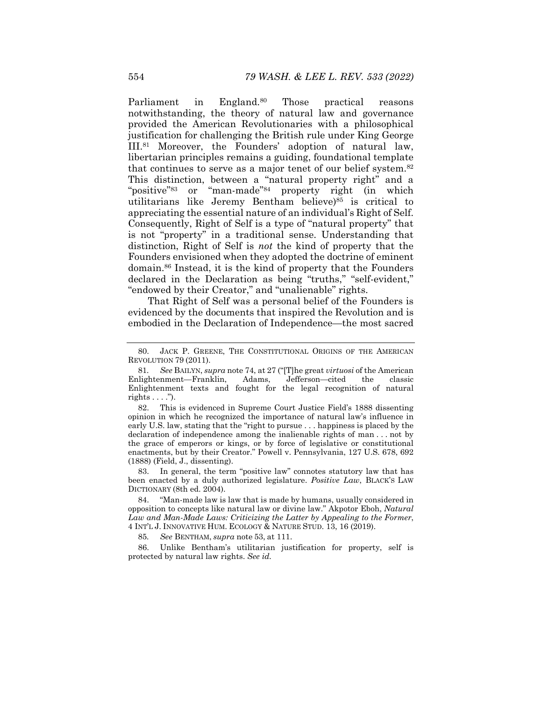Parliament in England.<sup>80</sup> Those practical reasons notwithstanding, the theory of natural law and governance provided the American Revolutionaries with a philosophical justification for challenging the British rule under King George III.81 Moreover, the Founders' adoption of natural law, libertarian principles remains a guiding, foundational template that continues to serve as a major tenet of our belief system.82 This distinction, between a "natural property right" and a "positive"<sup>83</sup> or "man-made"<sup>84</sup> property right (in which utilitarians like Jeremy Bentham believe)85 is critical to appreciating the essential nature of an individual's Right of Self. Consequently, Right of Self is a type of "natural property" that is not "property" in a traditional sense. Understanding that distinction, Right of Self is *not* the kind of property that the Founders envisioned when they adopted the doctrine of eminent domain.86 Instead, it is the kind of property that the Founders declared in the Declaration as being "truths," "self-evident," "endowed by their Creator," and "unalienable" rights.

That Right of Self was a personal belief of the Founders is evidenced by the documents that inspired the Revolution and is embodied in the Declaration of Independence—the most sacred

 82. This is evidenced in Supreme Court Justice Field's 1888 dissenting opinion in which he recognized the importance of natural law's influence in early U.S. law, stating that the "right to pursue . . . happiness is placed by the declaration of independence among the inalienable rights of man . . . not by the grace of emperors or kings, or by force of legislative or constitutional enactments, but by their Creator." Powell v. Pennsylvania, 127 U.S. 678, 692 (1888) (Field, J., dissenting).

In general, the term "positive law" connotes statutory law that has been enacted by a duly authorized legislature. *Positive Law*, BLACK'S LAW DICTIONARY (8th ed. 2004).

 84. "Man-made law is law that is made by humans, usually considered in opposition to concepts like natural law or divine law." Akpotor Eboh, *Natural Law and Man-Made Laws: Criticizing the Latter by Appealing to the Former*, 4 INT'L J. INNOVATIVE HUM. ECOLOGY & NATURE STUD. 13, 16 (2019).

85*. See* BENTHAM, *supra* note 53, at 111.

 86. Unlike Bentham's utilitarian justification for property, self is protected by natural law rights. *See id.*

 <sup>80.</sup> JACK P. GREENE, THE CONSTITUTIONAL ORIGINS OF THE AMERICAN REVOLUTION 79 (2011).

<sup>81</sup>*. See* BAILYN, *supra* note 74, at 27 ("[T]he great *virtuosi* of the American Enlightenment—Franklin, Adams, Jefferson—cited the classic Enlightenment texts and fought for the legal recognition of natural rights  $\dots$  .").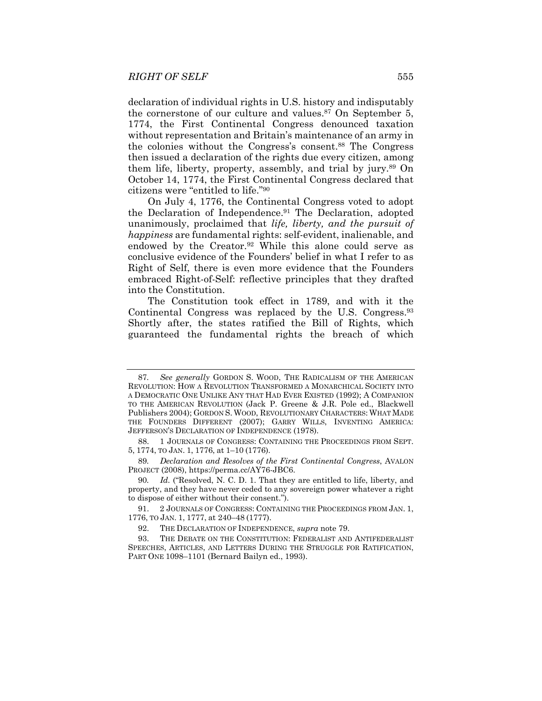declaration of individual rights in U.S. history and indisputably the cornerstone of our culture and values.87 On September 5, 1774, the First Continental Congress denounced taxation without representation and Britain's maintenance of an army in the colonies without the Congress's consent.88 The Congress then issued a declaration of the rights due every citizen, among them life, liberty, property, assembly, and trial by jury.89 On October 14, 1774, the First Continental Congress declared that citizens were "entitled to life."90

On July 4, 1776, the Continental Congress voted to adopt the Declaration of Independence.<sup>91</sup> The Declaration, adopted unanimously, proclaimed that *life, liberty, and the pursuit of happiness* are fundamental rights: self-evident, inalienable, and endowed by the Creator.<sup>92</sup> While this alone could serve as conclusive evidence of the Founders' belief in what I refer to as Right of Self, there is even more evidence that the Founders embraced Right-of-Self: reflective principles that they drafted into the Constitution.

The Constitution took effect in 1789, and with it the Continental Congress was replaced by the U.S. Congress.93 Shortly after, the states ratified the Bill of Rights, which guaranteed the fundamental rights the breach of which

89*. Declaration and Resolves of the First Continental Congress*, AVALON PROJECT (2008), https://perma.cc/AY76-JBC6.

90*. Id.* ("Resolved, N. C. D. 1. That they are entitled to life, liberty, and property, and they have never ceded to any sovereign power whatever a right to dispose of either without their consent.").

<sup>87</sup>*. See generally* GORDON S. WOOD, THE RADICALISM OF THE AMERICAN REVOLUTION: HOW A REVOLUTION TRANSFORMED A MONARCHICAL SOCIETY INTO A DEMOCRATIC ONE UNLIKE ANY THAT HAD EVER EXISTED (1992); A COMPANION TO THE AMERICAN REVOLUTION (Jack P. Greene & J.R. Pole ed., Blackwell Publishers 2004); GORDON S. WOOD, REVOLUTIONARY CHARACTERS: WHAT MADE THE FOUNDERS DIFFERENT (2007); GARRY WILLS, INVENTING AMERICA: JEFFERSON'S DECLARATION OF INDEPENDENCE (1978).

 <sup>88. 1</sup> JOURNALS OF CONGRESS: CONTAINING THE PROCEEDINGS FROM SEPT. 5, 1774, TO JAN. 1, 1776, at 1–10 (1776).

 <sup>91. 2</sup> JOURNALS OF CONGRESS: CONTAINING THE PROCEEDINGS FROM JAN. 1, 1776, TO JAN. 1, 1777, at 240–48 (1777).

 <sup>92.</sup> THE DECLARATION OF INDEPENDENCE, *supra* note 79.

 <sup>93.</sup> THE DEBATE ON THE CONSTITUTION: FEDERALIST AND ANTIFEDERALIST SPEECHES, ARTICLES, AND LETTERS DURING THE STRUGGLE FOR RATIFICATION, PART ONE 1098–1101 (Bernard Bailyn ed., 1993).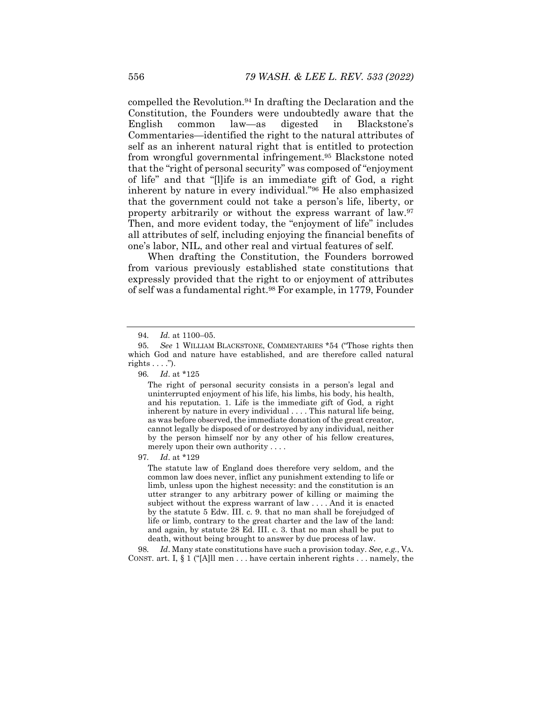compelled the Revolution.94 In drafting the Declaration and the Constitution, the Founders were undoubtedly aware that the English common law—as digested in Blackstone's Commentaries—identified the right to the natural attributes of self as an inherent natural right that is entitled to protection from wrongful governmental infringement.95 Blackstone noted that the "right of personal security" was composed of "enjoyment of life" and that "[l]ife is an immediate gift of God, a right inherent by nature in every individual."96 He also emphasized that the government could not take a person's life, liberty, or property arbitrarily or without the express warrant of law.<sup>97</sup> Then, and more evident today, the "enjoyment of life" includes all attributes of self, including enjoying the financial benefits of one's labor, NIL, and other real and virtual features of self.

When drafting the Constitution, the Founders borrowed from various previously established state constitutions that expressly provided that the right to or enjoyment of attributes of self was a fundamental right.<sup>98</sup> For example, in 1779, Founder

97*. Id*. at \*129

The statute law of England does therefore very seldom, and the common law does never, inflict any punishment extending to life or limb, unless upon the highest necessity: and the constitution is an utter stranger to any arbitrary power of killing or maiming the subject without the express warrant of law . . . . And it is enacted by the statute 5 Edw. III. c. 9. that no man shall be forejudged of life or limb, contrary to the great charter and the law of the land: and again, by statute 28 Ed. III. c. 3. that no man shall be put to death, without being brought to answer by due process of law.

98*. Id*. Many state constitutions have such a provision today. *See, e.g.*, VA. CONST. art. I,  $\S 1$  ("[A]ll men ... have certain inherent rights ... namely, the

<sup>94</sup>*. Id.* at 1100–05.

<sup>95</sup>*. See* 1 WILLIAM BLACKSTONE, COMMENTARIES \*54 ("Those rights then which God and nature have established, and are therefore called natural rights  $\dots$ .").

<sup>96</sup>*. Id*. at \*125

The right of personal security consists in a person's legal and uninterrupted enjoyment of his life, his limbs, his body, his health, and his reputation. 1. Life is the immediate gift of God, a right inherent by nature in every individual . . . . This natural life being, as was before observed, the immediate donation of the great creator, cannot legally be disposed of or destroyed by any individual, neither by the person himself nor by any other of his fellow creatures, merely upon their own authority . . . .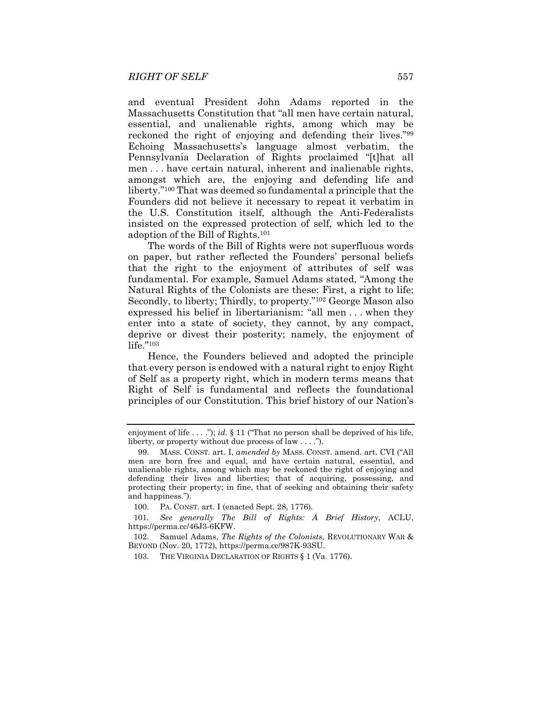and eventual President John Adams reported in the Massachusetts Constitution that "all men have certain natural, essential, and unalienable rights, among which may be reckoned the right of enjoying and defending their lives."99 Echoing Massachusetts's language almost verbatim, the Pennsylvania Declaration of Rights proclaimed "[t]hat all men . . . have certain natural, inherent and inalienable rights, amongst which are, the enjoying and defending life and liberty."100 That was deemed so fundamental a principle that the Founders did not believe it necessary to repeat it verbatim in the U.S. Constitution itself, although the Anti-Federalists insisted on the expressed protection of self, which led to the adoption of the Bill of Rights.101

The words of the Bill of Rights were not superfluous words on paper, but rather reflected the Founders' personal beliefs that the right to the enjoyment of attributes of self was fundamental. For example, Samuel Adams stated, "Among the Natural Rights of the Colonists are these: First, a right to life; Secondly, to liberty; Thirdly, to property."102 George Mason also expressed his belief in libertarianism: "all men . . . when they enter into a state of society, they cannot, by any compact, deprive or divest their posterity; namely, the enjoyment of life."103

Hence, the Founders believed and adopted the principle that every person is endowed with a natural right to enjoy Right of Self as a property right, which in modern terms means that Right of Self is fundamental and reflects the foundational principles of our Constitution. This brief history of our Nation's

100. PA. CONST. art. I (enacted Sept. 28, 1776).

101*. See generally The Bill of Rights: A Brief History*, ACLU, https://perma.cc/46J3-6KFW.

 102. Samuel Adams, *The Rights of the Colonists*, REVOLUTIONARY WAR & BEYOND (Nov. 20, 1772), https://perma.cc/987K-93SU.

103. THE VIRGINIA DECLARATION OF RIGHTS § 1 (Va. 1776).

enjoyment of life . . . ."); *id.* § 11 ("That no person shall be deprived of his life, liberty, or property without due process of law . . . .").

 <sup>99.</sup> MASS. CONST. art. I, *amended by* MASS. CONST. amend. art. CVI ("All men are born free and equal, and have certain natural, essential, and unalienable rights, among which may be reckoned the right of enjoying and defending their lives and liberties; that of acquiring, possessing, and protecting their property; in fine, that of seeking and obtaining their safety and happiness.").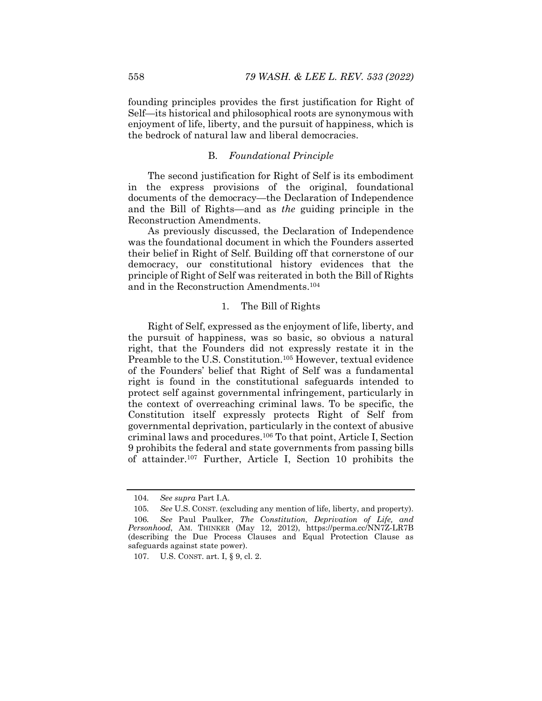founding principles provides the first justification for Right of Self—its historical and philosophical roots are synonymous with enjoyment of life, liberty, and the pursuit of happiness, which is the bedrock of natural law and liberal democracies.

## B. *Foundational Principle*

The second justification for Right of Self is its embodiment in the express provisions of the original, foundational documents of the democracy—the Declaration of Independence and the Bill of Rights—and as *the* guiding principle in the Reconstruction Amendments.

As previously discussed, the Declaration of Independence was the foundational document in which the Founders asserted their belief in Right of Self. Building off that cornerstone of our democracy, our constitutional history evidences that the principle of Right of Self was reiterated in both the Bill of Rights and in the Reconstruction Amendments.104

## 1. The Bill of Rights

Right of Self, expressed as the enjoyment of life, liberty, and the pursuit of happiness, was so basic, so obvious a natural right, that the Founders did not expressly restate it in the Preamble to the U.S. Constitution.105 However, textual evidence of the Founders' belief that Right of Self was a fundamental right is found in the constitutional safeguards intended to protect self against governmental infringement, particularly in the context of overreaching criminal laws. To be specific, the Constitution itself expressly protects Right of Self from governmental deprivation, particularly in the context of abusive criminal laws and procedures.106 To that point, Article I, Section 9 prohibits the federal and state governments from passing bills of attainder.107 Further, Article I, Section 10 prohibits the

<sup>104</sup>*. See supra* Part I.A.

<sup>105</sup>*. See* U.S. CONST. (excluding any mention of life, liberty, and property). 106*. See* Paul Paulker, *The Constitution, Deprivation of Life, and Personhood*, AM. THINKER (May 12, 2012), https://perma.cc/NN7Z-LR7B (describing the Due Process Clauses and Equal Protection Clause as safeguards against state power).

 <sup>107.</sup> U.S. CONST. art. I, § 9, cl. 2.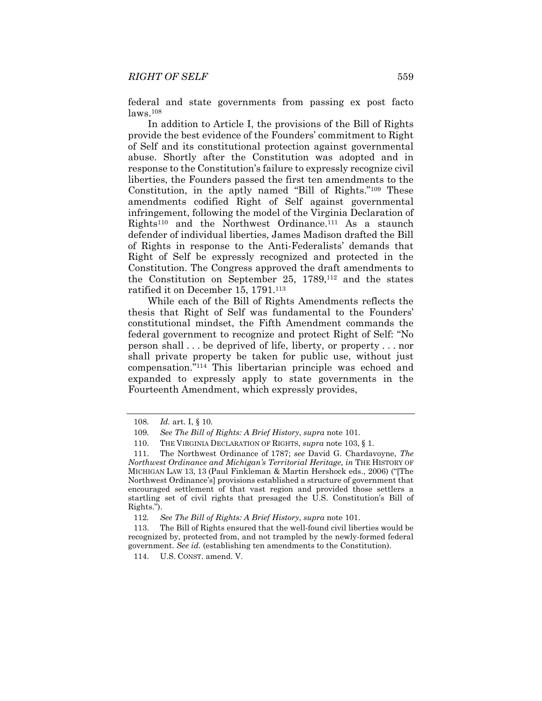federal and state governments from passing ex post facto laws.108

In addition to Article I, the provisions of the Bill of Rights provide the best evidence of the Founders' commitment to Right of Self and its constitutional protection against governmental abuse. Shortly after the Constitution was adopted and in response to the Constitution's failure to expressly recognize civil liberties, the Founders passed the first ten amendments to the Constitution, in the aptly named "Bill of Rights."109 These amendments codified Right of Self against governmental infringement, following the model of the Virginia Declaration of  $Rights<sup>110</sup>$  and the Northwest Ordinance.<sup>111</sup> As a staunch defender of individual liberties, James Madison drafted the Bill of Rights in response to the Anti-Federalists' demands that Right of Self be expressly recognized and protected in the Constitution. The Congress approved the draft amendments to the Constitution on September 25, 1789,112 and the states ratified it on December 15, 1791.113

While each of the Bill of Rights Amendments reflects the thesis that Right of Self was fundamental to the Founders' constitutional mindset, the Fifth Amendment commands the federal government to recognize and protect Right of Self: "No person shall . . . be deprived of life, liberty, or property . . . nor shall private property be taken for public use, without just compensation."114 This libertarian principle was echoed and expanded to expressly apply to state governments in the Fourteenth Amendment, which expressly provides,

114. U.S. CONST. amend. V.

<sup>108</sup>*. Id.* art. I, § 10.

<sup>109</sup>*. See The Bill of Rights: A Brief History*, *supra* note 101.

 <sup>110.</sup> THE VIRGINIA DECLARATION OF RIGHTS, *supra* note 103, § 1.

 <sup>111.</sup> The Northwest Ordinance of 1787; *see* David G. Chardavoyne, *The Northwest Ordinance and Michigan's Territorial Heritage*, *in* THE HISTORY OF MICHIGAN LAW 13, 13 (Paul Finkleman & Martin Hershock eds., 2006) ("[The Northwest Ordinance's] provisions established a structure of government that encouraged settlement of that vast region and provided those settlers a startling set of civil rights that presaged the U.S. Constitution's Bill of Rights.").

<sup>112</sup>*. See The Bill of Rights: A Brief History*, *supra* note 101.

 <sup>113.</sup> The Bill of Rights ensured that the well-found civil liberties would be recognized by, protected from, and not trampled by the newly-formed federal government. *See id.* (establishing ten amendments to the Constitution).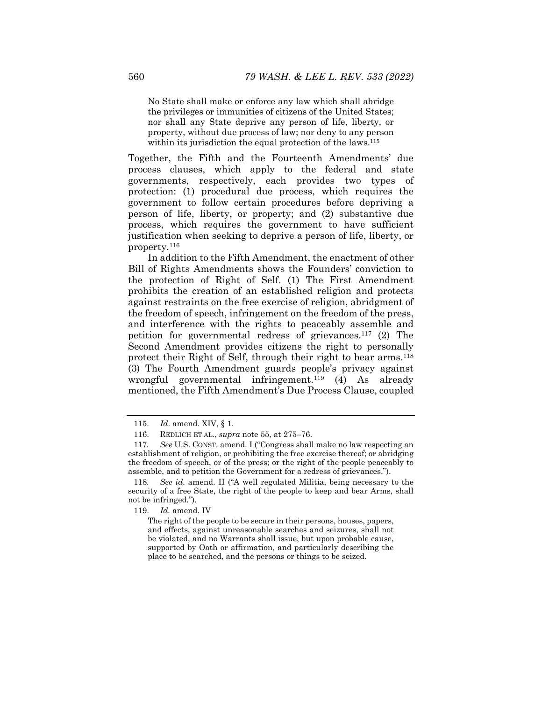No State shall make or enforce any law which shall abridge the privileges or immunities of citizens of the United States; nor shall any State deprive any person of life, liberty, or property, without due process of law; nor deny to any person within its jurisdiction the equal protection of the laws.<sup>115</sup>

Together, the Fifth and the Fourteenth Amendments' due process clauses, which apply to the federal and state governments, respectively, each provides two types of protection: (1) procedural due process, which requires the government to follow certain procedures before depriving a person of life, liberty, or property; and (2) substantive due process, which requires the government to have sufficient justification when seeking to deprive a person of life, liberty, or property.116

In addition to the Fifth Amendment, the enactment of other Bill of Rights Amendments shows the Founders' conviction to the protection of Right of Self. (1) The First Amendment prohibits the creation of an established religion and protects against restraints on the free exercise of religion, abridgment of the freedom of speech, infringement on the freedom of the press, and interference with the rights to peaceably assemble and petition for governmental redress of grievances.117 (2) The Second Amendment provides citizens the right to personally protect their Right of Self, through their right to bear arms.118 (3) The Fourth Amendment guards people's privacy against wrongful governmental infringement.<sup>119</sup> (4) As already mentioned, the Fifth Amendment's Due Process Clause, coupled

119. *Id.* amend. IV

 <sup>115.</sup> *Id*. amend. XIV, § 1.

 <sup>116.</sup> REDLICH ET AL*.*, *supra* note 55, at 275–76.

<sup>117</sup>*. See* U.S. CONST. amend. I ("Congress shall make no law respecting an establishment of religion, or prohibiting the free exercise thereof; or abridging the freedom of speech, or of the press; or the right of the people peaceably to assemble, and to petition the Government for a redress of grievances.").

<sup>118</sup>*. See id.* amend. II ("A well regulated Militia, being necessary to the security of a free State, the right of the people to keep and bear Arms, shall not be infringed.").

The right of the people to be secure in their persons, houses, papers, and effects, against unreasonable searches and seizures, shall not be violated, and no Warrants shall issue, but upon probable cause, supported by Oath or affirmation, and particularly describing the place to be searched, and the persons or things to be seized.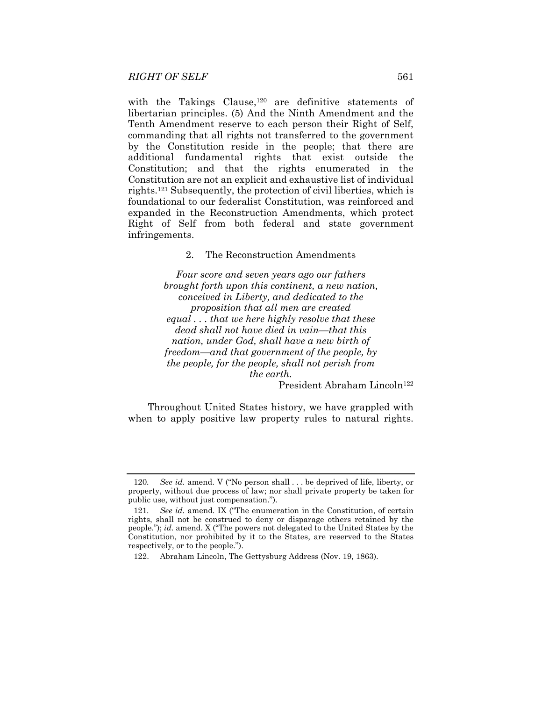with the Takings Clause,<sup>120</sup> are definitive statements of libertarian principles. (5) And the Ninth Amendment and the Tenth Amendment reserve to each person their Right of Self, commanding that all rights not transferred to the government by the Constitution reside in the people; that there are additional fundamental rights that exist outside the Constitution; and that the rights enumerated in the Constitution are not an explicit and exhaustive list of individual rights.121 Subsequently, the protection of civil liberties, which is foundational to our federalist Constitution, was reinforced and expanded in the Reconstruction Amendments, which protect Right of Self from both federal and state government infringements.

2. The Reconstruction Amendments

*Four score and seven years ago our fathers brought forth upon this continent, a new nation, conceived in Liberty, and dedicated to the proposition that all men are created equal . . . that we here highly resolve that these dead shall not have died in vain—that this nation, under God, shall have a new birth of freedom—and that government of the people, by the people, for the people, shall not perish from the earth.* 

President Abraham Lincoln<sup>122</sup>

Throughout United States history, we have grappled with when to apply positive law property rules to natural rights.

<sup>120</sup>*. See id.* amend. V ("No person shall . . . be deprived of life, liberty, or property, without due process of law; nor shall private property be taken for public use, without just compensation.").

<sup>121</sup>*. See id.* amend. IX ("The enumeration in the Constitution, of certain rights, shall not be construed to deny or disparage others retained by the people."); *id.* amend. X ("The powers not delegated to the United States by the Constitution, nor prohibited by it to the States, are reserved to the States respectively, or to the people.").

 <sup>122.</sup> Abraham Lincoln, The Gettysburg Address (Nov. 19, 1863).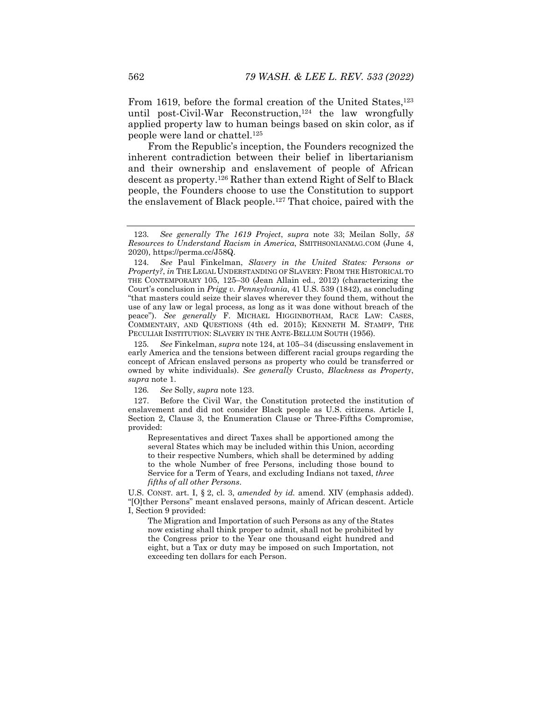From 1619, before the formal creation of the United States,<sup>123</sup> until post-Civil-War Reconstruction,<sup>124</sup> the law wrongfully applied property law to human beings based on skin color, as if people were land or chattel.125

From the Republic's inception, the Founders recognized the inherent contradiction between their belief in libertarianism and their ownership and enslavement of people of African descent as property.126 Rather than extend Right of Self to Black people, the Founders choose to use the Constitution to support the enslavement of Black people.127 That choice, paired with the

125*. See* Finkelman, *supra* note 124, at 105–34 (discussing enslavement in early America and the tensions between different racial groups regarding the concept of African enslaved persons as property who could be transferred or owned by white individuals). *See generally* Crusto, *Blackness as Property*, *supra* note 1.

126*. See* Solly, *supra* note 123.

 127. Before the Civil War, the Constitution protected the institution of enslavement and did not consider Black people as U.S. citizens. Article I, Section 2, Clause 3, the Enumeration Clause or Three-Fifths Compromise, provided:

Representatives and direct Taxes shall be apportioned among the several States which may be included within this Union, according to their respective Numbers, which shall be determined by adding to the whole Number of free Persons, including those bound to Service for a Term of Years, and excluding Indians not taxed, *three fifths of all other Persons*.

U.S. CONST. art. I, § 2, cl. 3, *amended by id.* amend. XIV (emphasis added). "[O]ther Persons" meant enslaved persons, mainly of African descent. Article I, Section 9 provided:

The Migration and Importation of such Persons as any of the States now existing shall think proper to admit, shall not be prohibited by the Congress prior to the Year one thousand eight hundred and eight, but a Tax or duty may be imposed on such Importation, not exceeding ten dollars for each Person.

<sup>123</sup>*. See generally The 1619 Project*, *supra* note 33; Meilan Solly, *58 Resources to Understand Racism in America*, SMITHSONIANMAG.COM (June 4, 2020), https://perma.cc/J58Q.

<sup>124</sup>*. See* Paul Finkelman, *Slavery in the United States: Persons or Property?*, *in* THE LEGAL UNDERSTANDING OF SLAVERY: FROM THE HISTORICAL TO THE CONTEMPORARY 105, 125–30 (Jean Allain ed., 2012) (characterizing the Court's conclusion in *Prigg v. Pennsylvania*, 41 U.S. 539 (1842), as concluding "that masters could seize their slaves wherever they found them, without the use of any law or legal process, as long as it was done without breach of the peace"). *See generally* F. MICHAEL HIGGINBOTHAM, RACE LAW: CASES, COMMENTARY, AND QUESTIONS (4th ed. 2015); KENNETH M. STAMPP, THE PECULIAR INSTITUTION: SLAVERY IN THE ANTE-BELLUM SOUTH (1956).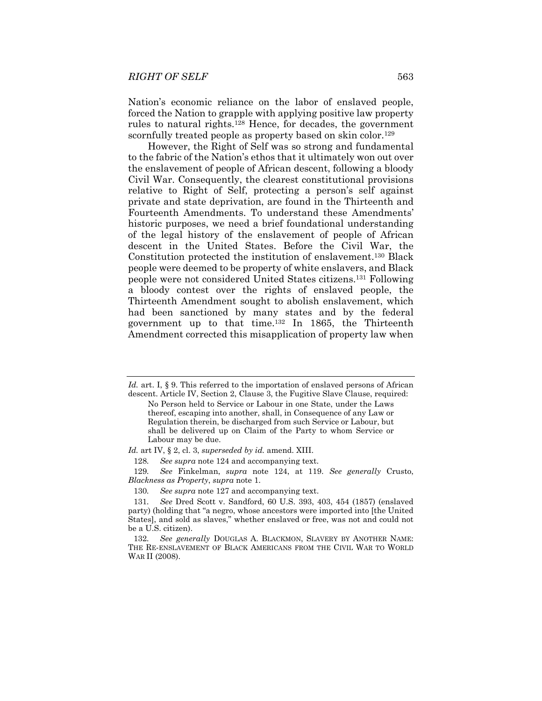Nation's economic reliance on the labor of enslaved people, forced the Nation to grapple with applying positive law property rules to natural rights.128 Hence, for decades, the government scornfully treated people as property based on skin color.<sup>129</sup>

However, the Right of Self was so strong and fundamental to the fabric of the Nation's ethos that it ultimately won out over the enslavement of people of African descent, following a bloody Civil War. Consequently, the clearest constitutional provisions relative to Right of Self, protecting a person's self against private and state deprivation, are found in the Thirteenth and Fourteenth Amendments. To understand these Amendments' historic purposes, we need a brief foundational understanding of the legal history of the enslavement of people of African descent in the United States. Before the Civil War, the Constitution protected the institution of enslavement.130 Black people were deemed to be property of white enslavers, and Black people were not considered United States citizens.131 Following a bloody contest over the rights of enslaved people, the Thirteenth Amendment sought to abolish enslavement, which had been sanctioned by many states and by the federal government up to that time.132 In 1865, the Thirteenth Amendment corrected this misapplication of property law when

128*. See supra* note 124 and accompanying text.

129*. See* Finkelman, *supra* note 124, at 119. *See generally* Crusto, *Blackness as Property*, *supra* note 1.

Id. art. I, § 9. This referred to the importation of enslaved persons of African descent. Article IV, Section 2, Clause 3, the Fugitive Slave Clause, required:

No Person held to Service or Labour in one State, under the Laws thereof, escaping into another, shall, in Consequence of any Law or Regulation therein, be discharged from such Service or Labour, but shall be delivered up on Claim of the Party to whom Service or Labour may be due.

*Id.* art IV, § 2, cl. 3, *superseded by id.* amend. XIII.

<sup>130</sup>*. See supra* note 127 and accompanying text.

<sup>131</sup>*. See* Dred Scott v. Sandford, 60 U.S. 393, 403, 454 (1857) (enslaved party) (holding that "a negro, whose ancestors were imported into [the United States], and sold as slaves," whether enslaved or free, was not and could not be a U.S. citizen).

<sup>132</sup>*. See generally* DOUGLAS A. BLACKMON, SLAVERY BY ANOTHER NAME: THE RE-ENSLAVEMENT OF BLACK AMERICANS FROM THE CIVIL WAR TO WORLD WAR II (2008).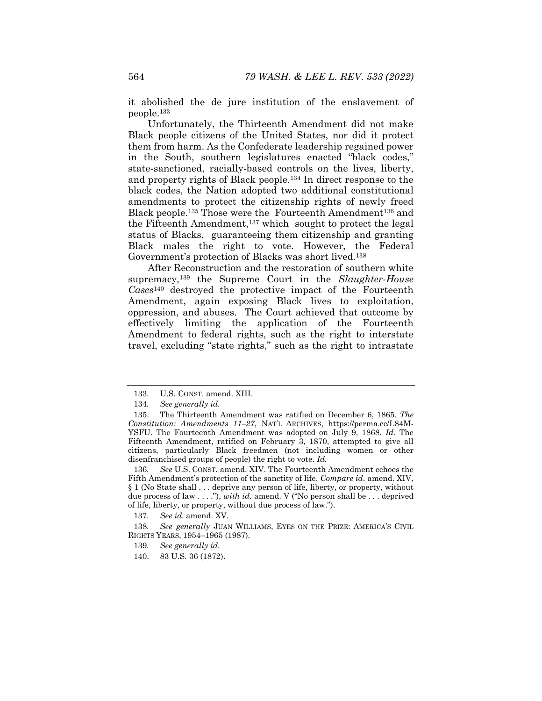it abolished the de jure institution of the enslavement of people.133

Unfortunately, the Thirteenth Amendment did not make Black people citizens of the United States, nor did it protect them from harm. As the Confederate leadership regained power in the South, southern legislatures enacted "black codes," state-sanctioned, racially-based controls on the lives, liberty, and property rights of Black people.134 In direct response to the black codes, the Nation adopted two additional constitutional amendments to protect the citizenship rights of newly freed Black people.<sup>135</sup> Those were the Fourteenth Amendment<sup>136</sup> and the Fifteenth Amendment,137 which sought to protect the legal status of Blacks, guaranteeing them citizenship and granting Black males the right to vote. However, the Federal Government's protection of Blacks was short lived.138

After Reconstruction and the restoration of southern white supremacy,139 the Supreme Court in the *Slaughter-House Cases*140 destroyed the protective impact of the Fourteenth Amendment, again exposing Black lives to exploitation, oppression, and abuses. The Court achieved that outcome by effectively limiting the application of the Fourteenth Amendment to federal rights, such as the right to interstate travel, excluding "state rights," such as the right to intrastate

- 139*. See generally id.*
- 140. 83 U.S. 36 (1872).

 <sup>133.</sup> U.S. CONST. amend. XIII.

<sup>134</sup>*. See generally id.*

 <sup>135.</sup> The Thirteenth Amendment was ratified on December 6, 1865. *The Constitution: Amendments 11–27*, NAT'L ARCHIVES, https://perma.cc/L84M-YSFU. The Fourteenth Amendment was adopted on July 9, 1868. *Id.* The Fifteenth Amendment, ratified on February 3, 1870, attempted to give all citizens, particularly Black freedmen (not including women or other disenfranchised groups of people) the right to vote. *Id.* 

<sup>136</sup>*. See* U.S. CONST. amend. XIV. The Fourteenth Amendment echoes the Fifth Amendment's protection of the sanctity of life. *Compare id*. amend. XIV, § 1 (No State shall . . . deprive any person of life, liberty, or property, without due process of law . . . ."), *with id.* amend. V ("No person shall be . . . deprived of life, liberty, or property, without due process of law.").

<sup>137</sup>*. See id.* amend. XV.

<sup>138</sup>*. See generally* JUAN WILLIAMS, EYES ON THE PRIZE: AMERICA'S CIVIL RIGHTS YEARS, 1954–1965 (1987).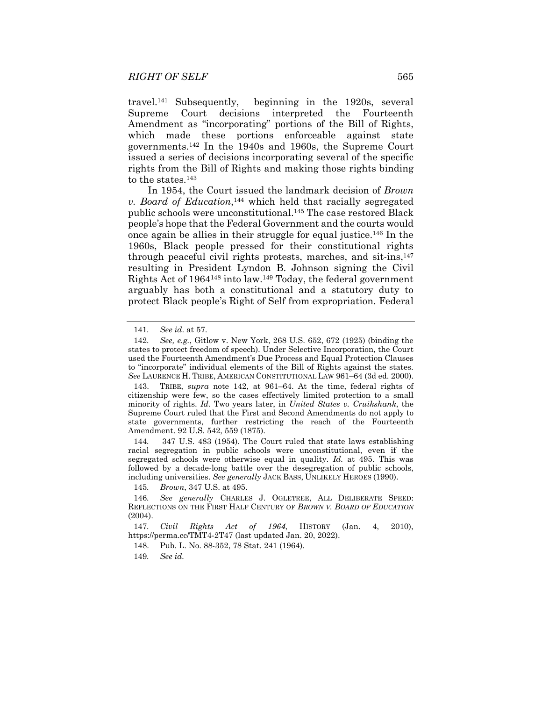travel.141 Subsequently, beginning in the 1920s, several Supreme Court decisions interpreted the Fourteenth Amendment as "incorporating" portions of the Bill of Rights, which made these portions enforceable against state governments.142 In the 1940s and 1960s, the Supreme Court issued a series of decisions incorporating several of the specific rights from the Bill of Rights and making those rights binding to the states.<sup>143</sup>

In 1954, the Court issued the landmark decision of *Brown v. Board of Education*,144 which held that racially segregated public schools were unconstitutional.145 The case restored Black people's hope that the Federal Government and the courts would once again be allies in their struggle for equal justice.146 In the 1960s, Black people pressed for their constitutional rights through peaceful civil rights protests, marches, and sit-ins,147 resulting in President Lyndon B. Johnson signing the Civil Rights Act of 1964148 into law.149 Today, the federal government arguably has both a constitutional and a statutory duty to protect Black people's Right of Self from expropriation. Federal

144*.* 347 U.S. 483 (1954). The Court ruled that state laws establishing racial segregation in public schools were unconstitutional, even if the segregated schools were otherwise equal in quality. *Id.* at 495. This was followed by a decade-long battle over the desegregation of public schools, including universities. *See generally* JACK BASS, UNLIKELY HEROES (1990).

145*. Brown*, 347 U.S. at 495.

147*. Civil Rights Act of 1964*, HISTORY (Jan. 4, 2010), https://perma.cc/TMT4-2T47 (last updated Jan. 20, 2022).

148. Pub. L. No. 88-352, 78 Stat. 241 (1964).

149*. See id.* 

<sup>141</sup>*. See id*. at 57.

<sup>142</sup>*. See, e.g.*, Gitlow v. New York, 268 U.S. 652, 672 (1925) (binding the states to protect freedom of speech). Under Selective Incorporation, the Court used the Fourteenth Amendment's Due Process and Equal Protection Clauses to "incorporate" individual elements of the Bill of Rights against the states. *See* LAURENCE H. TRIBE, AMERICAN CONSTITUTIONAL LAW 961–64 (3d ed. 2000).

 <sup>143.</sup> TRIBE, *supra* note 142, at 961–64. At the time, federal rights of citizenship were few, so the cases effectively limited protection to a small minority of rights. *Id.* Two years later, in *United States v. Cruikshank*, the Supreme Court ruled that the First and Second Amendments do not apply to state governments, further restricting the reach of the Fourteenth Amendment. 92 U.S. 542, 559 (1875).

<sup>146</sup>*. See generally* CHARLES J. OGLETREE, ALL DELIBERATE SPEED: REFLECTIONS ON THE FIRST HALF CENTURY OF *BROWN V. BOARD OF EDUCATION* (2004).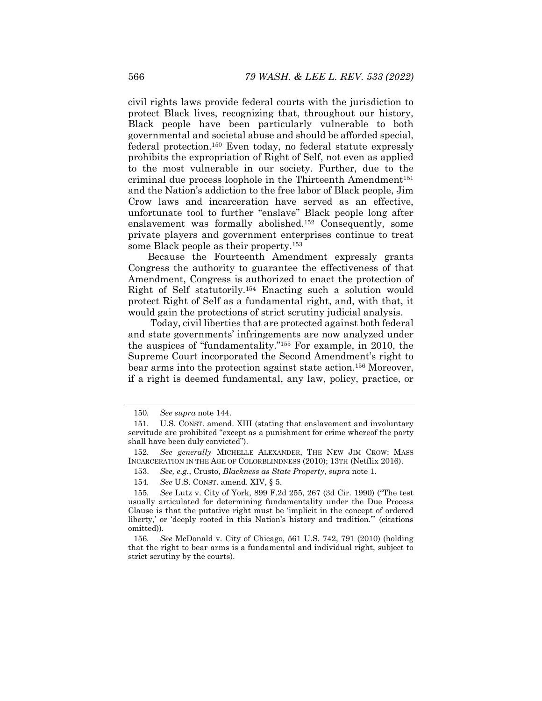civil rights laws provide federal courts with the jurisdiction to protect Black lives, recognizing that, throughout our history, Black people have been particularly vulnerable to both governmental and societal abuse and should be afforded special, federal protection.150 Even today, no federal statute expressly prohibits the expropriation of Right of Self, not even as applied to the most vulnerable in our society. Further, due to the criminal due process loophole in the Thirteenth Amendment<sup>151</sup> and the Nation's addiction to the free labor of Black people, Jim Crow laws and incarceration have served as an effective, unfortunate tool to further "enslave" Black people long after enslavement was formally abolished.152 Consequently, some private players and government enterprises continue to treat some Black people as their property.<sup>153</sup>

Because the Fourteenth Amendment expressly grants Congress the authority to guarantee the effectiveness of that Amendment, Congress is authorized to enact the protection of Right of Self statutorily.154 Enacting such a solution would protect Right of Self as a fundamental right, and, with that, it would gain the protections of strict scrutiny judicial analysis.

 Today, civil liberties that are protected against both federal and state governments' infringements are now analyzed under the auspices of "fundamentality."155 For example, in 2010, the Supreme Court incorporated the Second Amendment's right to bear arms into the protection against state action.156 Moreover, if a right is deemed fundamental, any law, policy, practice, or

<sup>150</sup>*. See supra* note 144.

<sup>151</sup>*.* U.S. CONST. amend. XIII (stating that enslavement and involuntary servitude are prohibited "except as a punishment for crime whereof the party shall have been duly convicted").

<sup>152</sup>*. See generally* MICHELLE ALEXANDER, THE NEW JIM CROW: MASS INCARCERATION IN THE AGE OF COLORBLINDNESS (2010); 13TH (Netflix 2016).

 <sup>153.</sup> *See, e.g.*, Crusto, *Blackness as State Property*, *supra* note 1.

<sup>154</sup>*. See* U.S. CONST. amend. XIV, § 5.

<sup>155</sup>*. See* Lutz v. City of York, 899 F.2d 255, 267 (3d Cir. 1990) ("The test usually articulated for determining fundamentality under the Due Process Clause is that the putative right must be 'implicit in the concept of ordered liberty,' or 'deeply rooted in this Nation's history and tradition.'" (citations omitted)).

<sup>156</sup>*. See* McDonald v. City of Chicago, 561 U.S. 742, 791 (2010) (holding that the right to bear arms is a fundamental and individual right, subject to strict scrutiny by the courts).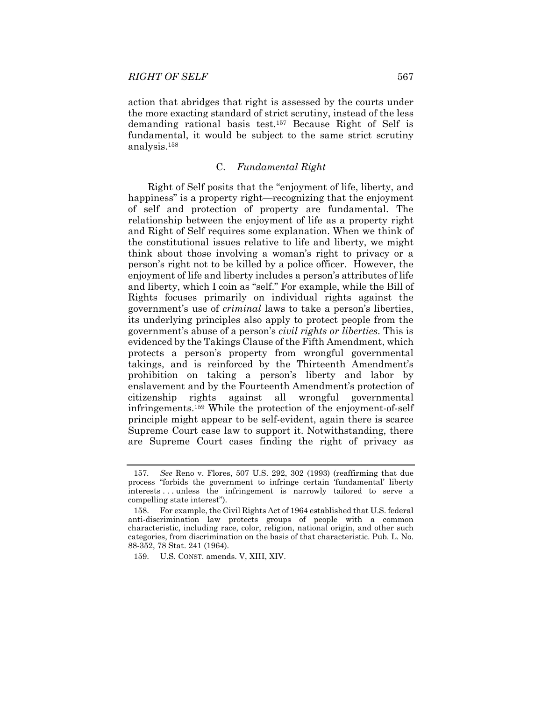action that abridges that right is assessed by the courts under the more exacting standard of strict scrutiny, instead of the less demanding rational basis test.157 Because Right of Self is fundamental, it would be subject to the same strict scrutiny analysis.158

## C. *Fundamental Right*

Right of Self posits that the "enjoyment of life, liberty, and happiness" is a property right—recognizing that the enjoyment of self and protection of property are fundamental. The relationship between the enjoyment of life as a property right and Right of Self requires some explanation. When we think of the constitutional issues relative to life and liberty, we might think about those involving a woman's right to privacy or a person's right not to be killed by a police officer. However, the enjoyment of life and liberty includes a person's attributes of life and liberty, which I coin as "self." For example, while the Bill of Rights focuses primarily on individual rights against the government's use of *criminal* laws to take a person's liberties, its underlying principles also apply to protect people from the government's abuse of a person's *civil rights or liberties*. This is evidenced by the Takings Clause of the Fifth Amendment, which protects a person's property from wrongful governmental takings, and is reinforced by the Thirteenth Amendment's prohibition on taking a person's liberty and labor by enslavement and by the Fourteenth Amendment's protection of citizenship rights against all wrongful governmental infringements.159 While the protection of the enjoyment-of-self principle might appear to be self-evident, again there is scarce Supreme Court case law to support it. Notwithstanding, there are Supreme Court cases finding the right of privacy as

<sup>157</sup>*. See* Reno v. Flores, 507 U.S. 292, 302 (1993) (reaffirming that due process "forbids the government to infringe certain 'fundamental' liberty interests . . . unless the infringement is narrowly tailored to serve a compelling state interest").

 <sup>158.</sup> For example, the Civil Rights Act of 1964 established that U.S. federal anti-discrimination law protects groups of people with a common characteristic, including race, color, religion, national origin, and other such categories, from discrimination on the basis of that characteristic. Pub. L. No. 88-352, 78 Stat. 241 (1964).

 <sup>159.</sup> U.S. CONST. amends. V, XIII, XIV.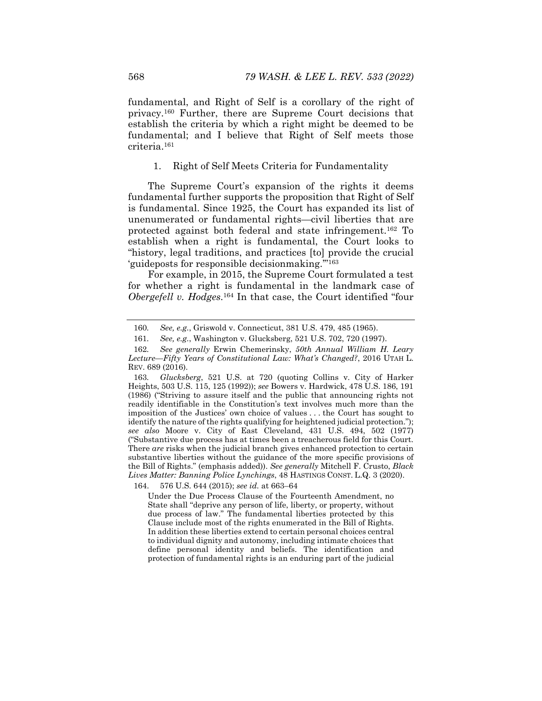fundamental, and Right of Self is a corollary of the right of privacy.160 Further, there are Supreme Court decisions that establish the criteria by which a right might be deemed to be fundamental; and I believe that Right of Self meets those criteria.161

1. Right of Self Meets Criteria for Fundamentality

The Supreme Court's expansion of the rights it deems fundamental further supports the proposition that Right of Self is fundamental. Since 1925, the Court has expanded its list of unenumerated or fundamental rights—civil liberties that are protected against both federal and state infringement.162 To establish when a right is fundamental, the Court looks to "history, legal traditions, and practices [to] provide the crucial 'guideposts for responsible decisionmaking.'"163

For example, in 2015, the Supreme Court formulated a test for whether a right is fundamental in the landmark case of *Obergefell v. Hodges*.164 In that case, the Court identified "four

164. 576 U.S. 644 (2015); *see id.* at 663–64

Under the Due Process Clause of the Fourteenth Amendment, no State shall "deprive any person of life, liberty, or property, without due process of law." The fundamental liberties protected by this Clause include most of the rights enumerated in the Bill of Rights. In addition these liberties extend to certain personal choices central to individual dignity and autonomy, including intimate choices that define personal identity and beliefs. The identification and protection of fundamental rights is an enduring part of the judicial

<sup>160</sup>*. See, e.g.*, Griswold v. Connecticut, 381 U.S. 479, 485 (1965).

<sup>161</sup>*. See, e.g.*, Washington v. Glucksberg, 521 U.S. 702, 720 (1997).

<sup>162</sup>*. See generally* Erwin Chemerinsky, *50th Annual William H. Leary Lecture—Fifty Years of Constitutional Law: What's Changed?*, 2016 UTAH L. REV. 689 (2016).

<sup>163</sup>*. Glucksberg*, 521 U.S. at 720 (quoting Collins v. City of Harker Heights, 503 U.S. 115, 125 (1992)); *see* Bowers v. Hardwick, 478 U.S. 186, 191 (1986) ("Striving to assure itself and the public that announcing rights not readily identifiable in the Constitution's text involves much more than the imposition of the Justices' own choice of values . . . the Court has sought to identify the nature of the rights qualifying for heightened judicial protection."); *see also* Moore v. City of East Cleveland, 431 U.S. 494, 502 (1977) ("Substantive due process has at times been a treacherous field for this Court. There *are* risks when the judicial branch gives enhanced protection to certain substantive liberties without the guidance of the more specific provisions of the Bill of Rights." (emphasis added)). *See generally* Mitchell F. Crusto, *Black Lives Matter: Banning Police Lynchings*, 48 HASTINGS CONST. L.Q. 3 (2020).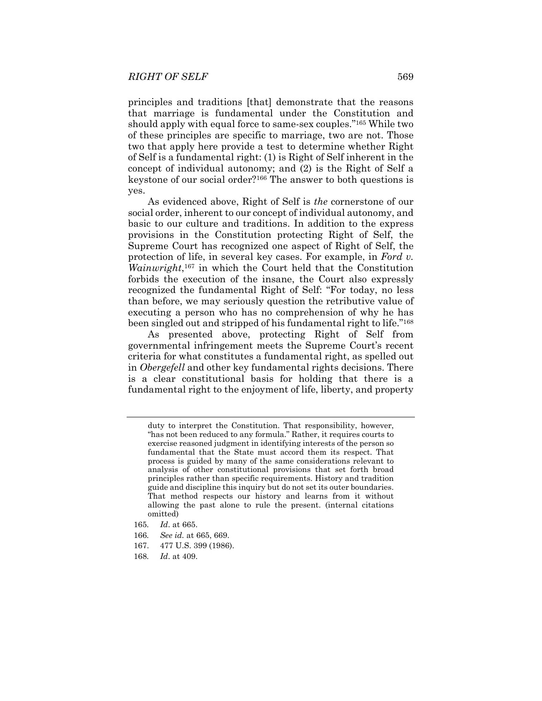principles and traditions [that] demonstrate that the reasons that marriage is fundamental under the Constitution and should apply with equal force to same-sex couples."165 While two of these principles are specific to marriage, two are not. Those two that apply here provide a test to determine whether Right of Self is a fundamental right: (1) is Right of Self inherent in the concept of individual autonomy; and (2) is the Right of Self a keystone of our social order?166 The answer to both questions is yes.

As evidenced above, Right of Self is *the* cornerstone of our social order, inherent to our concept of individual autonomy, and basic to our culture and traditions. In addition to the express provisions in the Constitution protecting Right of Self, the Supreme Court has recognized one aspect of Right of Self, the protection of life, in several key cases. For example, in *Ford v. Wainwright*,167 in which the Court held that the Constitution forbids the execution of the insane, the Court also expressly recognized the fundamental Right of Self: "For today, no less than before, we may seriously question the retributive value of executing a person who has no comprehension of why he has been singled out and stripped of his fundamental right to life."168

As presented above, protecting Right of Self from governmental infringement meets the Supreme Court's recent criteria for what constitutes a fundamental right, as spelled out in *Obergefell* and other key fundamental rights decisions. There is a clear constitutional basis for holding that there is a fundamental right to the enjoyment of life, liberty, and property

- 166*. See id.* at 665, 669.
- 167. 477 U.S. 399 (1986).
- 168*. Id*. at 409.

duty to interpret the Constitution. That responsibility, however, "has not been reduced to any formula." Rather, it requires courts to exercise reasoned judgment in identifying interests of the person so fundamental that the State must accord them its respect. That process is guided by many of the same considerations relevant to analysis of other constitutional provisions that set forth broad principles rather than specific requirements. History and tradition guide and discipline this inquiry but do not set its outer boundaries. That method respects our history and learns from it without allowing the past alone to rule the present. (internal citations omitted)

<sup>165</sup>*. Id*. at 665.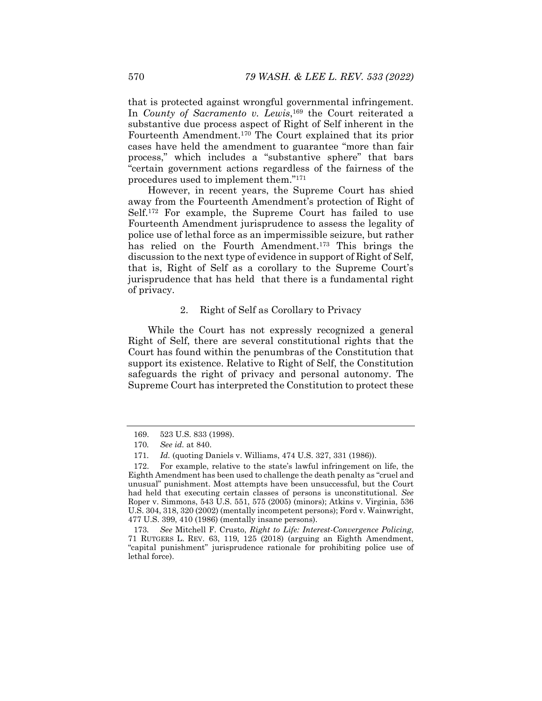that is protected against wrongful governmental infringement. In *County of Sacramento v. Lewis*,<sup>169</sup> the Court reiterated a substantive due process aspect of Right of Self inherent in the Fourteenth Amendment.170 The Court explained that its prior cases have held the amendment to guarantee "more than fair process," which includes a "substantive sphere" that bars "certain government actions regardless of the fairness of the procedures used to implement them."171

However, in recent years, the Supreme Court has shied away from the Fourteenth Amendment's protection of Right of Self.172 For example, the Supreme Court has failed to use Fourteenth Amendment jurisprudence to assess the legality of police use of lethal force as an impermissible seizure, but rather has relied on the Fourth Amendment.<sup>173</sup> This brings the discussion to the next type of evidence in support of Right of Self, that is, Right of Self as a corollary to the Supreme Court's jurisprudence that has held that there is a fundamental right of privacy.

#### 2. Right of Self as Corollary to Privacy

While the Court has not expressly recognized a general Right of Self, there are several constitutional rights that the Court has found within the penumbras of the Constitution that support its existence. Relative to Right of Self, the Constitution safeguards the right of privacy and personal autonomy. The Supreme Court has interpreted the Constitution to protect these

 <sup>169. 523</sup> U.S. 833 (1998).

<sup>170</sup>*. See id.* at 840.

<sup>171</sup>*. Id.* (quoting Daniels v. Williams, 474 U.S. 327, 331 (1986)).

 <sup>172.</sup> For example, relative to the state's lawful infringement on life, the Eighth Amendment has been used to challenge the death penalty as "cruel and unusual" punishment. Most attempts have been unsuccessful, but the Court had held that executing certain classes of persons is unconstitutional. *See* Roper v. Simmons, 543 U.S. 551, 575 (2005) (minors); Atkins v. Virginia, 536 U.S. 304, 318, 320 (2002) (mentally incompetent persons); Ford v. Wainwright, 477 U.S. 399, 410 (1986) (mentally insane persons).

<sup>173</sup>*. See* Mitchell F. Crusto, *Right to Life: Interest-Convergence Policing*, 71 RUTGERS L. REV. 63, 119, 125 (2018) (arguing an Eighth Amendment, "capital punishment" jurisprudence rationale for prohibiting police use of lethal force).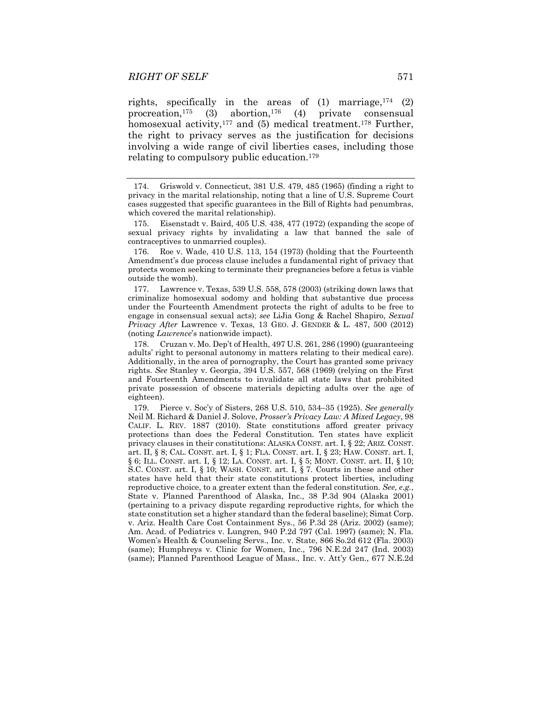rights, specifically in the areas of  $(1)$  marriage,  $174$   $(2)$ procreation,<sup>175</sup> (3) abortion,<sup>176</sup> (4) private consensual homosexual activity,<sup>177</sup> and (5) medical treatment.<sup>178</sup> Further, the right to privacy serves as the justification for decisions involving a wide range of civil liberties cases, including those relating to compulsory public education.179

 176. Roe v. Wade, 410 U.S. 113, 154 (1973) (holding that the Fourteenth Amendment's due process clause includes a fundamental right of privacy that protects women seeking to terminate their pregnancies before a fetus is viable outside the womb).

 177. Lawrence v. Texas, 539 U.S. 558, 578 (2003) (striking down laws that criminalize homosexual sodomy and holding that substantive due process under the Fourteenth Amendment protects the right of adults to be free to engage in consensual sexual acts); *see* LiJia Gong & Rachel Shapiro, *Sexual Privacy After* Lawrence v. Texas, 13 GEO. J. GENDER & L. 487, 500 (2012) (noting *Lawrence*'s nationwide impact).

 178. Cruzan v. Mo. Dep't of Health, 497 U.S. 261, 286 (1990) (guaranteeing adults' right to personal autonomy in matters relating to their medical care). Additionally, in the area of pornography, the Court has granted some privacy rights. *See* Stanley v. Georgia, 394 U.S. 557, 568 (1969) (relying on the First and Fourteenth Amendments to invalidate all state laws that prohibited private possession of obscene materials depicting adults over the age of eighteen).

 179. Pierce v. Soc'y of Sisters, 268 U.S. 510, 534–35 (1925). *See generally* Neil M. Richard & Daniel J. Solove, *Prosser's Privacy Law: A Mixed Legacy*, 98 CALIF. L. REV. 1887 (2010). State constitutions afford greater privacy protections than does the Federal Constitution. Ten states have explicit privacy clauses in their constitutions: ALASKA CONST. art. I, § 22; ARIZ. CONST. art. II, § 8; CAL. CONST. art. I, § 1; FLA. CONST. art. I, § 23; HAW. CONST. art. I, § 6; ILL. CONST. art. I, § 12; LA. CONST. art. I, § 5; MONT. CONST. art. II, § 10; S.C. CONST. art. I, § 10; WASH. CONST. art. I, § 7. Courts in these and other states have held that their state constitutions protect liberties, including reproductive choice, to a greater extent than the federal constitution. *See, e.g.*, State v. Planned Parenthood of Alaska, Inc., 38 P.3d 904 (Alaska 2001) (pertaining to a privacy dispute regarding reproductive rights, for which the state constitution set a higher standard than the federal baseline); Simat Corp. v. Ariz. Health Care Cost Containment Sys., 56 P.3d 28 (Ariz. 2002) (same); Am. Acad. of Pediatrics v. Lungren, 940 P.2d 797 (Cal. 1997) (same); N. Fla. Women's Health & Counseling Servs., Inc. v. State, 866 So.2d 612 (Fla. 2003) (same); Humphreys v. Clinic for Women, Inc., 796 N.E.2d 247 (Ind. 2003) (same); Planned Parenthood League of Mass., Inc. v. Att'y Gen., 677 N.E.2d

 <sup>174.</sup> Griswold v. Connecticut, 381 U.S. 479, 485 (1965) (finding a right to privacy in the marital relationship, noting that a line of U.S. Supreme Court cases suggested that specific guarantees in the Bill of Rights had penumbras, which covered the marital relationship).

 <sup>175.</sup> Eisenstadt v. Baird, 405 U.S. 438, 477 (1972) (expanding the scope of sexual privacy rights by invalidating a law that banned the sale of contraceptives to unmarried couples).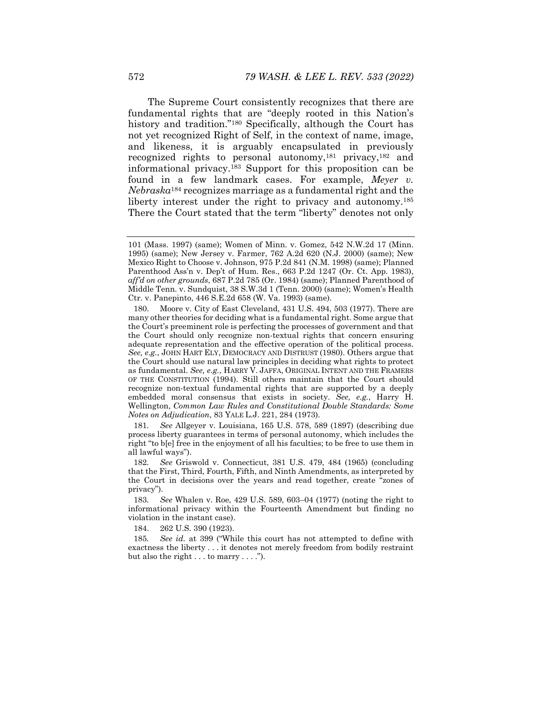The Supreme Court consistently recognizes that there are fundamental rights that are "deeply rooted in this Nation's history and tradition."<sup>180</sup> Specifically, although the Court has not yet recognized Right of Self, in the context of name, image, and likeness, it is arguably encapsulated in previously recognized rights to personal autonomy,181 privacy,182 and informational privacy.183 Support for this proposition can be found in a few landmark cases. For example, *Meyer v. Nebraska*<sup>184</sup> recognizes marriage as a fundamental right and the liberty interest under the right to privacy and autonomy.<sup>185</sup> There the Court stated that the term "liberty" denotes not only

181*. See* Allgeyer v. Louisiana, 165 U.S. 578, 589 (1897) (describing due process liberty guarantees in terms of personal autonomy, which includes the right "to b[e] free in the enjoyment of all his faculties; to be free to use them in all lawful ways").

184. 262 U.S. 390 (1923).

185*. See id.* at 399 ("While this court has not attempted to define with exactness the liberty . . . it denotes not merely freedom from bodily restraint but also the right  $\dots$  to marry  $\dots$ .").

<sup>101 (</sup>Mass. 1997) (same); Women of Minn. v. Gomez, 542 N.W.2d 17 (Minn. 1995) (same); New Jersey v. Farmer, 762 A.2d 620 (N.J. 2000) (same); New Mexico Right to Choose v. Johnson, 975 P.2d 841 (N.M. 1998) (same); Planned Parenthood Ass'n v. Dep't of Hum. Res., 663 P.2d 1247 (Or. Ct. App. 1983), *aff'd on other grounds*, 687 P.2d 785 (Or. 1984) (same); Planned Parenthood of Middle Tenn. v. Sundquist, 38 S.W.3d 1 (Tenn. 2000) (same); Women's Health Ctr. v. Panepinto, 446 S.E.2d 658 (W. Va. 1993) (same).

 <sup>180.</sup> Moore v. City of East Cleveland, 431 U.S. 494, 503 (1977). There are many other theories for deciding what is a fundamental right. Some argue that the Court's preeminent role is perfecting the processes of government and that the Court should only recognize non-textual rights that concern ensuring adequate representation and the effective operation of the political process. *See, e.g.*, JOHN HART ELY, DEMOCRACY AND DISTRUST (1980). Others argue that the Court should use natural law principles in deciding what rights to protect as fundamental. *See, e.g.*, HARRY V. JAFFA, ORIGINAL INTENT AND THE FRAMERS OF THE CONSTITUTION (1994). Still others maintain that the Court should recognize non-textual fundamental rights that are supported by a deeply embedded moral consensus that exists in society. *See, e.g.*, Harry H. Wellington, *Common Law Rules and Constitutional Double Standards: Some Notes on Adjudication*, 83 YALE L.J. 221, 284 (1973).

<sup>182</sup>*. See* Griswold v. Connecticut, 381 U.S. 479, 484 (1965) (concluding that the First, Third, Fourth, Fifth, and Ninth Amendments, as interpreted by the Court in decisions over the years and read together, create "zones of privacy").

<sup>183</sup>*. See* Whalen v. Roe, 429 U.S. 589, 603–04 (1977) (noting the right to informational privacy within the Fourteenth Amendment but finding no violation in the instant case).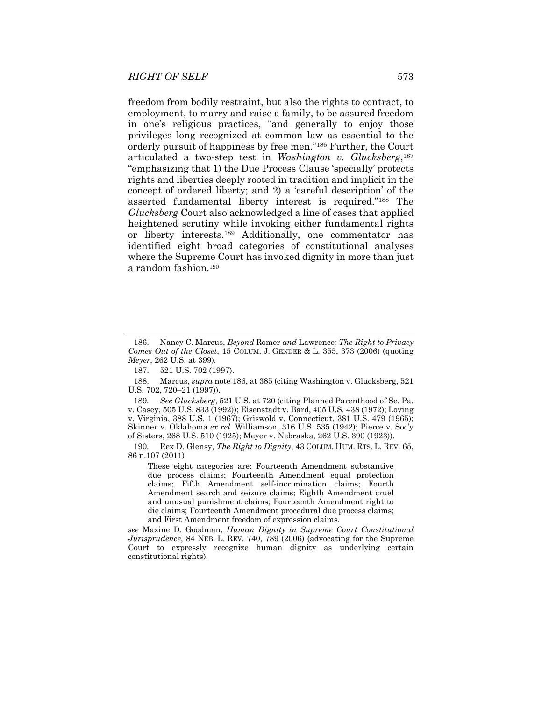freedom from bodily restraint, but also the rights to contract, to employment, to marry and raise a family, to be assured freedom in one's religious practices, "and generally to enjoy those privileges long recognized at common law as essential to the orderly pursuit of happiness by free men."186 Further, the Court articulated a two-step test in *Washington v. Glucksberg*,187 "emphasizing that 1) the Due Process Clause 'specially' protects rights and liberties deeply rooted in tradition and implicit in the concept of ordered liberty; and 2) a 'careful description' of the asserted fundamental liberty interest is required."188 The *Glucksberg* Court also acknowledged a line of cases that applied heightened scrutiny while invoking either fundamental rights or liberty interests.189 Additionally, one commentator has identified eight broad categories of constitutional analyses where the Supreme Court has invoked dignity in more than just a random fashion.190

189*. See Glucksberg*, 521 U.S. at 720 (citing Planned Parenthood of Se. Pa. v. Casey, 505 U.S. 833 (1992)); Eisenstadt v. Bard, 405 U.S. 438 (1972); Loving v. Virginia, 388 U.S. 1 (1967); Griswold v. Connecticut, 381 U.S. 479 (1965); Skinner v. Oklahoma *ex rel.* Williamson, 316 U.S. 535 (1942); Pierce v. Soc'y of Sisters, 268 U.S. 510 (1925); Meyer v. Nebraska, 262 U.S. 390 (1923)).

190*.* Rex D. Glensy, *The Right to Dignity*, 43 COLUM. HUM. RTS. L. REV. 65, 86 n.107 (2011)

These eight categories are: Fourteenth Amendment substantive due process claims; Fourteenth Amendment equal protection claims; Fifth Amendment self-incrimination claims; Fourth Amendment search and seizure claims; Eighth Amendment cruel and unusual punishment claims; Fourteenth Amendment right to die claims; Fourteenth Amendment procedural due process claims; and First Amendment freedom of expression claims.

*see* Maxine D. Goodman, *Human Dignity in Supreme Court Constitutional Jurisprudence*, 84 NEB. L. REV. 740, 789 (2006) (advocating for the Supreme Court to expressly recognize human dignity as underlying certain constitutional rights).

 <sup>186.</sup> Nancy C. Marcus, *Beyond* Romer *and* Lawrence*: The Right to Privacy Comes Out of the Closet*, 15 COLUM. J. GENDER & L. 355, 373 (2006) (quoting *Meyer*, 262 U.S. at 399).

 <sup>187. 521</sup> U.S. 702 (1997).

 <sup>188.</sup> Marcus, *supra* note 186, at 385 (citing Washington v. Glucksberg, 521 U.S. 702, 720–21 (1997)).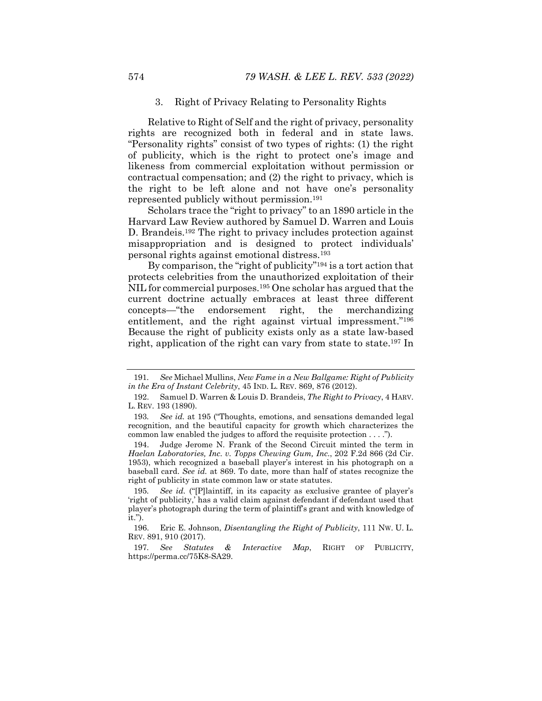### 3. Right of Privacy Relating to Personality Rights

Relative to Right of Self and the right of privacy, personality rights are recognized both in federal and in state laws. "Personality rights" consist of two types of rights: (1) the right of publicity, which is the right to protect one's image and likeness from commercial exploitation without permission or contractual compensation; and (2) the right to privacy, which is the right to be left alone and not have one's personality represented publicly without permission.191

Scholars trace the "right to privacy" to an 1890 article in the Harvard Law Review authored by Samuel D. Warren and Louis D. Brandeis.192 The right to privacy includes protection against misappropriation and is designed to protect individuals' personal rights against emotional distress.193

By comparison, the "right of publicity"194 is a tort action that protects celebrities from the unauthorized exploitation of their NIL for commercial purposes.<sup>195</sup> One scholar has argued that the current doctrine actually embraces at least three different concepts—"the endorsement right, the merchandizing entitlement, and the right against virtual impressment."<sup>196</sup> Because the right of publicity exists only as a state law-based right, application of the right can vary from state to state.197 In

<sup>191</sup>*. See* Michael Mullins, *New Fame in a New Ballgame: Right of Publicity in the Era of Instant Celebrity*, 45 IND. L. REV. 869, 876 (2012).

 <sup>192.</sup> Samuel D. Warren & Louis D. Brandeis, *The Right to Privacy*, 4 HARV. L. REV. 193 (1890).

<sup>193</sup>*. See id.* at 195 ("Thoughts, emotions, and sensations demanded legal recognition, and the beautiful capacity for growth which characterizes the common law enabled the judges to afford the requisite protection . . . .").

 <sup>194.</sup> Judge Jerome N. Frank of the Second Circuit minted the term in *Haelan Laboratories, Inc. v. Topps Chewing Gum, Inc.*, 202 F.2d 866 (2d Cir. 1953), which recognized a baseball player's interest in his photograph on a baseball card. *See id.* at 869. To date, more than half of states recognize the right of publicity in state common law or state statutes.

<sup>195</sup>*. See id.* ("[P]laintiff, in its capacity as exclusive grantee of player's 'right of publicity,' has a valid claim against defendant if defendant used that player's photograph during the term of plaintiff's grant and with knowledge of it.").

 <sup>196.</sup> Eric E. Johnson, *Disentangling the Right of Publicity*, 111 NW. U. L. REV. 891, 910 (2017).

<sup>197</sup>*. See Statutes & Interactive Map*, RIGHT OF PUBLICITY, https://perma.cc/75K8-SA29.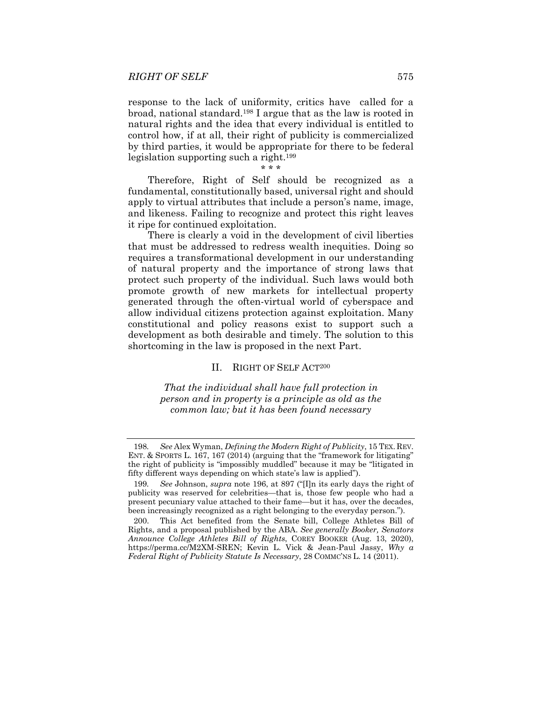response to the lack of uniformity, critics have called for a broad, national standard.198 I argue that as the law is rooted in natural rights and the idea that every individual is entitled to control how, if at all, their right of publicity is commercialized by third parties, it would be appropriate for there to be federal legislation supporting such a right.199

\* \* \*

Therefore, Right of Self should be recognized as a fundamental, constitutionally based, universal right and should apply to virtual attributes that include a person's name, image, and likeness. Failing to recognize and protect this right leaves it ripe for continued exploitation.

There is clearly a void in the development of civil liberties that must be addressed to redress wealth inequities. Doing so requires a transformational development in our understanding of natural property and the importance of strong laws that protect such property of the individual. Such laws would both promote growth of new markets for intellectual property generated through the often-virtual world of cyberspace and allow individual citizens protection against exploitation. Many constitutional and policy reasons exist to support such a development as both desirable and timely. The solution to this shortcoming in the law is proposed in the next Part.

### II. RIGHT OF SELF ACT200

*That the individual shall have full protection in person and in property is a principle as old as the common law; but it has been found necessary* 

<sup>198</sup>*. See* Alex Wyman, *Defining the Modern Right of Publicity*, 15 TEX. REV. ENT. & SPORTS L. 167, 167 (2014) (arguing that the "framework for litigating" the right of publicity is "impossibly muddled" because it may be "litigated in fifty different ways depending on which state's law is applied").

<sup>199</sup>*. See* Johnson, *supra* note 196, at 897 ("[I]n its early days the right of publicity was reserved for celebrities—that is, those few people who had a present pecuniary value attached to their fame—but it has, over the decades, been increasingly recognized as a right belonging to the everyday person.").

 <sup>200.</sup> This Act benefited from the Senate bill, College Athletes Bill of Rights, and a proposal published by the ABA. *See generally Booker, Senators Announce College Athletes Bill of Rights*, COREY BOOKER (Aug. 13, 2020), https://perma.cc/M2XM-SREN; Kevin L. Vick & Jean-Paul Jassy, *Why a Federal Right of Publicity Statute Is Necessary*, 28 COMMC'NS L. 14 (2011).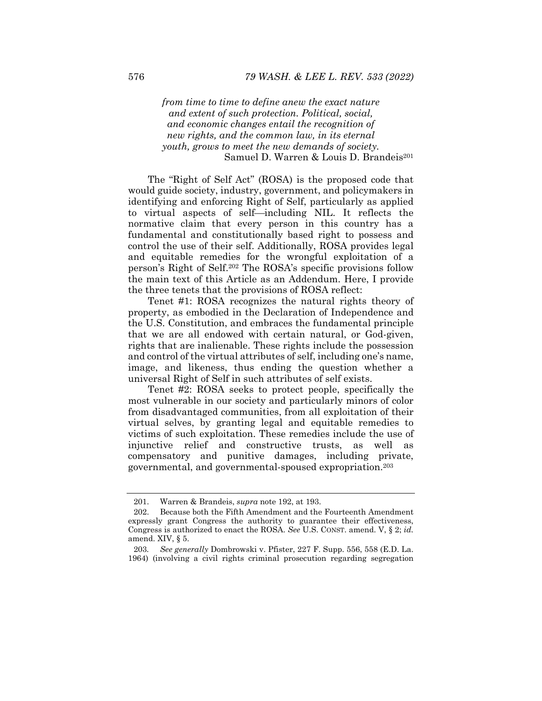*from time to time to define anew the exact nature and extent of such protection. Political, social, and economic changes entail the recognition of new rights, and the common law, in its eternal youth, grows to meet the new demands of society.*  Samuel D. Warren & Louis D. Brandeis<sup>201</sup>

The "Right of Self Act" (ROSA) is the proposed code that would guide society, industry, government, and policymakers in identifying and enforcing Right of Self, particularly as applied to virtual aspects of self—including NIL. It reflects the normative claim that every person in this country has a fundamental and constitutionally based right to possess and control the use of their self. Additionally, ROSA provides legal and equitable remedies for the wrongful exploitation of a person's Right of Self.202 The ROSA's specific provisions follow the main text of this Article as an Addendum. Here, I provide the three tenets that the provisions of ROSA reflect:

Tenet #1: ROSA recognizes the natural rights theory of property, as embodied in the Declaration of Independence and the U.S. Constitution, and embraces the fundamental principle that we are all endowed with certain natural, or God-given, rights that are inalienable. These rights include the possession and control of the virtual attributes of self, including one's name, image, and likeness, thus ending the question whether a universal Right of Self in such attributes of self exists.

Tenet #2: ROSA seeks to protect people, specifically the most vulnerable in our society and particularly minors of color from disadvantaged communities, from all exploitation of their virtual selves, by granting legal and equitable remedies to victims of such exploitation. These remedies include the use of injunctive relief and constructive trusts, as well as compensatory and punitive damages, including private, governmental, and governmental-spoused expropriation.203

 <sup>201.</sup> Warren & Brandeis, *supra* note 192, at 193.

 <sup>202.</sup> Because both the Fifth Amendment and the Fourteenth Amendment expressly grant Congress the authority to guarantee their effectiveness, Congress is authorized to enact the ROSA. *See* U.S. CONST. amend. V, § 2; *id.* amend. XIV, § 5.

<sup>203</sup>*. See generally* Dombrowski v. Pfister, 227 F. Supp. 556, 558 (E.D. La. 1964) (involving a civil rights criminal prosecution regarding segregation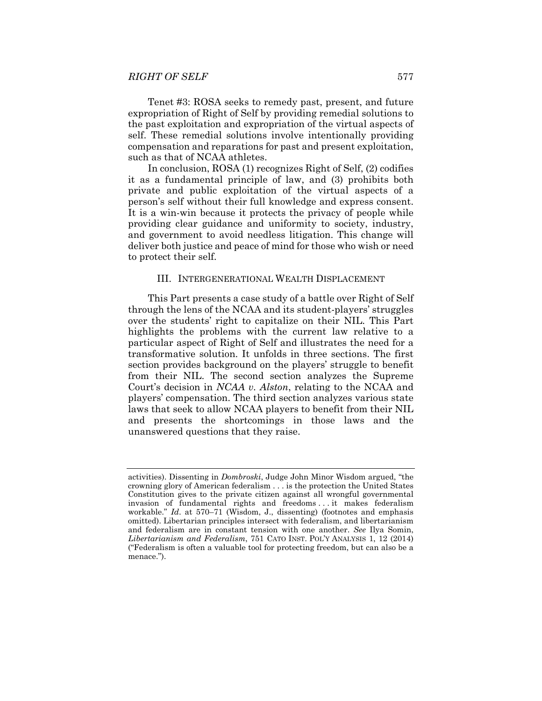Tenet #3: ROSA seeks to remedy past, present, and future expropriation of Right of Self by providing remedial solutions to the past exploitation and expropriation of the virtual aspects of self. These remedial solutions involve intentionally providing compensation and reparations for past and present exploitation, such as that of NCAA athletes.

In conclusion, ROSA (1) recognizes Right of Self, (2) codifies it as a fundamental principle of law, and (3) prohibits both private and public exploitation of the virtual aspects of a person's self without their full knowledge and express consent. It is a win-win because it protects the privacy of people while providing clear guidance and uniformity to society, industry, and government to avoid needless litigation. This change will deliver both justice and peace of mind for those who wish or need to protect their self.

## III. INTERGENERATIONAL WEALTH DISPLACEMENT

This Part presents a case study of a battle over Right of Self through the lens of the NCAA and its student-players' struggles over the students' right to capitalize on their NIL. This Part highlights the problems with the current law relative to a particular aspect of Right of Self and illustrates the need for a transformative solution. It unfolds in three sections. The first section provides background on the players' struggle to benefit from their NIL. The second section analyzes the Supreme Court's decision in *NCAA v. Alston*, relating to the NCAA and players' compensation. The third section analyzes various state laws that seek to allow NCAA players to benefit from their NIL and presents the shortcomings in those laws and the unanswered questions that they raise.

activities). Dissenting in *Dombroski*, Judge John Minor Wisdom argued, "the crowning glory of American federalism . . . is the protection the United States Constitution gives to the private citizen against all wrongful governmental invasion of fundamental rights and freedoms . . . it makes federalism workable." *Id*. at 570–71 (Wisdom, J., dissenting) (footnotes and emphasis omitted). Libertarian principles intersect with federalism, and libertarianism and federalism are in constant tension with one another. *See* Ilya Somin, *Libertarianism and Federalism*, 751 CATO INST. POL'Y ANALYSIS 1, 12 (2014) ("Federalism is often a valuable tool for protecting freedom, but can also be a menace.").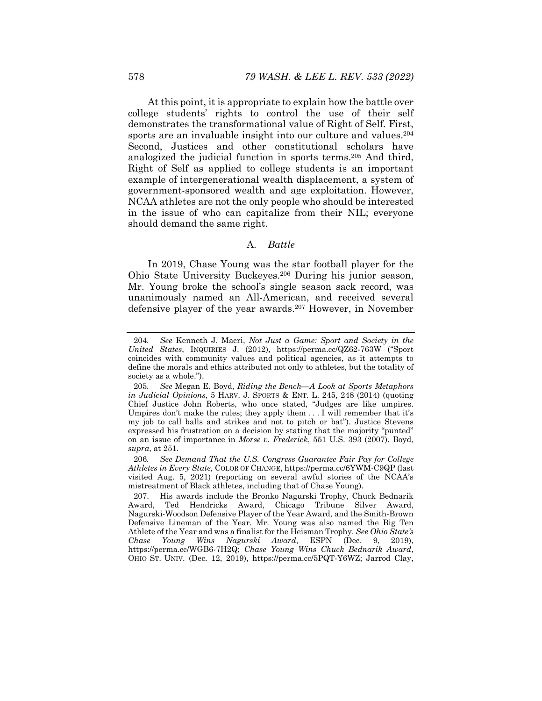At this point, it is appropriate to explain how the battle over college students' rights to control the use of their self demonstrates the transformational value of Right of Self. First, sports are an invaluable insight into our culture and values.<sup>204</sup> Second, Justices and other constitutional scholars have analogized the judicial function in sports terms.205 And third, Right of Self as applied to college students is an important example of intergenerational wealth displacement, a system of government-sponsored wealth and age exploitation. However, NCAA athletes are not the only people who should be interested in the issue of who can capitalize from their NIL; everyone should demand the same right.

# A. *Battle*

In 2019, Chase Young was the star football player for the Ohio State University Buckeyes.206 During his junior season, Mr. Young broke the school's single season sack record, was unanimously named an All-American, and received several defensive player of the year awards.207 However, in November

<sup>204</sup>*. See* Kenneth J. Macri, *Not Just a Game: Sport and Society in the United States*, INQUIRIES J. (2012), https://perma.cc/QZ62-763W ("Sport coincides with community values and political agencies, as it attempts to define the morals and ethics attributed not only to athletes, but the totality of society as a whole.").

<sup>205</sup>*. See* Megan E. Boyd, *Riding the Bench—A Look at Sports Metaphors in Judicial Opinions*, 5 HARV. J. SPORTS & ENT. L. 245, 248 (2014) (quoting Chief Justice John Roberts, who once stated, "Judges are like umpires. Umpires don't make the rules; they apply them . . . I will remember that it's my job to call balls and strikes and not to pitch or bat"). Justice Stevens expressed his frustration on a decision by stating that the majority "punted" on an issue of importance in *Morse v. Frederick*, 551 U.S. 393 (2007). Boyd, *supra*, at 251.

<sup>206</sup>*. See Demand That the U.S. Congress Guarantee Fair Pay for College Athletes in Every State*, COLOR OF CHANGE, https://perma.cc/6YWM-C9QP (last visited Aug. 5, 2021) (reporting on several awful stories of the NCAA's mistreatment of Black athletes, including that of Chase Young).

 <sup>207.</sup> His awards include the Bronko Nagurski Trophy, Chuck Bednarik Award, Ted Hendricks Award, Chicago Tribune Silver Award, Nagurski-Woodson Defensive Player of the Year Award, and the Smith-Brown Defensive Lineman of the Year. Mr. Young was also named the Big Ten Athlete of the Year and was a finalist for the Heisman Trophy. *See Ohio State's Chase Young Wins Nagurski Award*, ESPN (Dec. 9, 2019), https://perma.cc/WGB6-7H2Q; *Chase Young Wins Chuck Bednarik Award*, OHIO ST. UNIV. (Dec. 12, 2019), https://perma.cc/5PQT-Y6WZ; Jarrod Clay,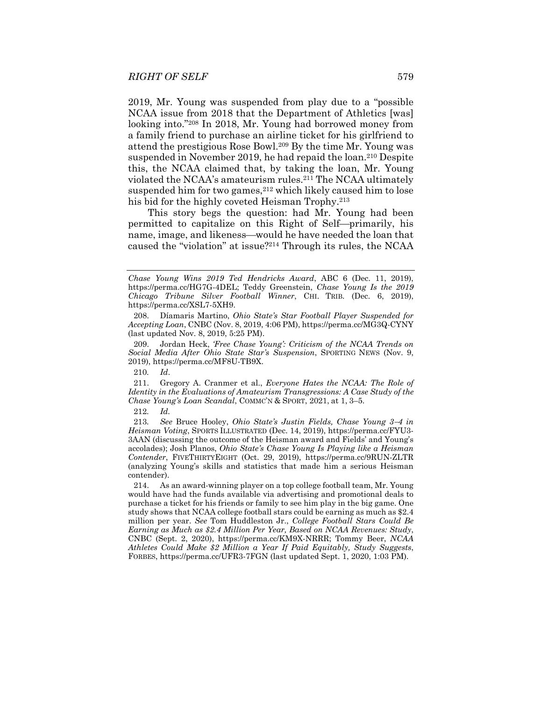2019, Mr. Young was suspended from play due to a "possible NCAA issue from 2018 that the Department of Athletics [was] looking into."208 In 2018, Mr. Young had borrowed money from a family friend to purchase an airline ticket for his girlfriend to attend the prestigious Rose Bowl.209 By the time Mr. Young was suspended in November 2019, he had repaid the loan.<sup>210</sup> Despite this, the NCAA claimed that, by taking the loan, Mr. Young violated the NCAA's amateurism rules.211 The NCAA ultimately suspended him for two games, $2^{12}$  which likely caused him to lose his bid for the highly coveted Heisman Trophy.<sup>213</sup>

This story begs the question: had Mr. Young had been permitted to capitalize on this Right of Self-primarily, his name, image, and likeness—would he have needed the loan that caused the "violation" at issue?214 Through its rules, the NCAA

*Chase Young Wins 2019 Ted Hendricks Award*, ABC 6 (Dec. 11, 2019), https://perma.cc/HG7G-4DEL; Teddy Greenstein, *Chase Young Is the 2019 Chicago Tribune Silver Football Winner*, CHI. TRIB. (Dec. 6, 2019), https://perma.cc/XSL7-5XH9.

 <sup>208.</sup> Díamaris Martino, *Ohio State's Star Football Player Suspended for Accepting Loan*, CNBC (Nov. 8, 2019, 4:06 PM), https://perma.cc/MG3Q-CYNY (last updated Nov. 8, 2019, 5:25 PM).

 <sup>209.</sup> Jordan Heck, *'Free Chase Young': Criticism of the NCAA Trends on Social Media After Ohio State Star's Suspension*, SPORTING NEWS (Nov. 9, 2019), https://perma.cc/MF8U-TB9X.

<sup>210</sup>*. Id*.

 <sup>211.</sup> Gregory A. Cranmer et al., *Everyone Hates the NCAA: The Role of Identity in the Evaluations of Amateurism Transgressions: A Case Study of the Chase Young's Loan Scandal*, COMMC'N & SPORT, 2021, at 1, 3–5.

<sup>212</sup>*. Id.* 

<sup>213</sup>*. See* Bruce Hooley, *Ohio State's Justin Fields, Chase Young 34 in Heisman Voting*, SPORTS ILLUSTRATED (Dec. 14, 2019), https://perma.cc/FYU3- 3AAN (discussing the outcome of the Heisman award and Fields' and Young's accolades); Josh Planos, *Ohio State's Chase Young Is Playing like a Heisman Contender*, FIVETHIRTYEIGHT (Oct. 29, 2019), https://perma.cc/9RUN-ZLTR (analyzing Young's skills and statistics that made him a serious Heisman contender).

 <sup>214.</sup> As an award-winning player on a top college football team, Mr. Young would have had the funds available via advertising and promotional deals to purchase a ticket for his friends or family to see him play in the big game. One study shows that NCAA college football stars could be earning as much as \$2.4 million per year. *See* Tom Huddleston Jr., *College Football Stars Could Be Earning as Much as \$2.4 Million Per Year, Based on NCAA Revenues: Study*, CNBC (Sept. 2, 2020), https://perma.cc/KM9X-NRRR; Tommy Beer, *NCAA Athletes Could Make \$2 Million a Year If Paid Equitably, Study Suggests*, FORBES, https://perma.cc/UFR3-7FGN (last updated Sept. 1, 2020, 1:03 PM).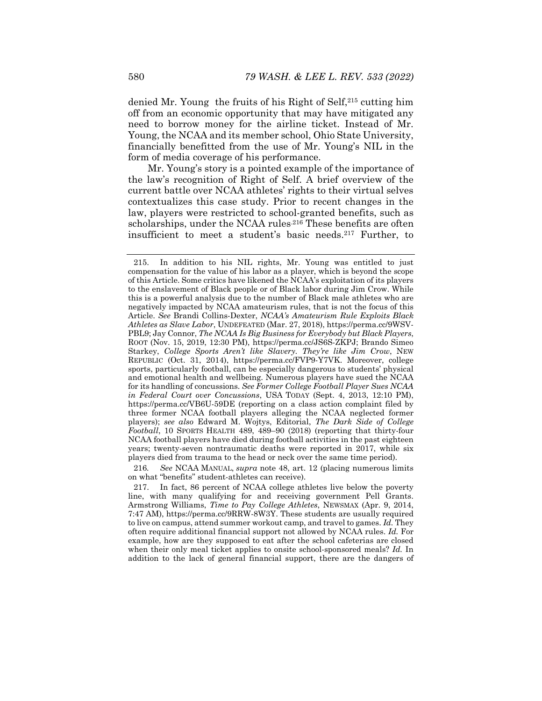denied Mr. Young the fruits of his Right of Self,215 cutting him off from an economic opportunity that may have mitigated any need to borrow money for the airline ticket. Instead of Mr. Young, the NCAA and its member school, Ohio State University, financially benefitted from the use of Mr. Young's NIL in the form of media coverage of his performance.

Mr. Young's story is a pointed example of the importance of the law's recognition of Right of Self. A brief overview of the current battle over NCAA athletes' rights to their virtual selves contextualizes this case study. Prior to recent changes in the law, players were restricted to school-granted benefits, such as scholarships, under the NCAA rules.<sup>216</sup> These benefits are often insufficient to meet a student's basic needs.217 Further, to

216*. See* NCAA MANUAL, *supra* note 48, art. 12 (placing numerous limits on what "benefits" student-athletes can receive).

 <sup>215.</sup> In addition to his NIL rights, Mr. Young was entitled to just compensation for the value of his labor as a player, which is beyond the scope of this Article. Some critics have likened the NCAA's exploitation of its players to the enslavement of Black people or of Black labor during Jim Crow. While this is a powerful analysis due to the number of Black male athletes who are negatively impacted by NCAA amateurism rules, that is not the focus of this Article. *See* Brandi Collins-Dexter, *NCAA's Amateurism Rule Exploits Black Athletes as Slave Labor*, UNDEFEATED (Mar. 27, 2018), https://perma.cc/9WSV-PBL9; Jay Connor, *The NCAA Is Big Business for Everybody but Black Players*, ROOT (Nov. 15, 2019, 12:30 PM), https://perma.cc/JS6S-ZKPJ; Brando Simeo Starkey, *College Sports Aren't like Slavery. They're like Jim Crow*, NEW REPUBLIC (Oct. 31, 2014), https://perma.cc/FVP9-Y7VK. Moreover, college sports, particularly football, can be especially dangerous to students' physical and emotional health and wellbeing. Numerous players have sued the NCAA for its handling of concussions. *See Former College Football Player Sues NCAA in Federal Court over Concussions*, USA TODAY (Sept. 4, 2013, 12:10 PM), https://perma.cc/VB6U-59DE (reporting on a class action complaint filed by three former NCAA football players alleging the NCAA neglected former players); *see also* Edward M. Wojtys, Editorial, *The Dark Side of College Football*, 10 SPORTS HEALTH 489, 489–90 (2018) (reporting that thirty-four NCAA football players have died during football activities in the past eighteen years; twenty-seven nontraumatic deaths were reported in 2017, while six players died from trauma to the head or neck over the same time period).

 <sup>217.</sup> In fact, 86 percent of NCAA college athletes live below the poverty line, with many qualifying for and receiving government Pell Grants. Armstrong Williams, *Time to Pay College Athletes*, NEWSMAX (Apr. 9, 2014, 7:47 AM), https://perma.cc/9RRW-8W3Y. These students are usually required to live on campus, attend summer workout camp, and travel to games. *Id.* They often require additional financial support not allowed by NCAA rules. *Id.* For example, how are they supposed to eat after the school cafeterias are closed when their only meal ticket applies to onsite school-sponsored meals? *Id.* In addition to the lack of general financial support, there are the dangers of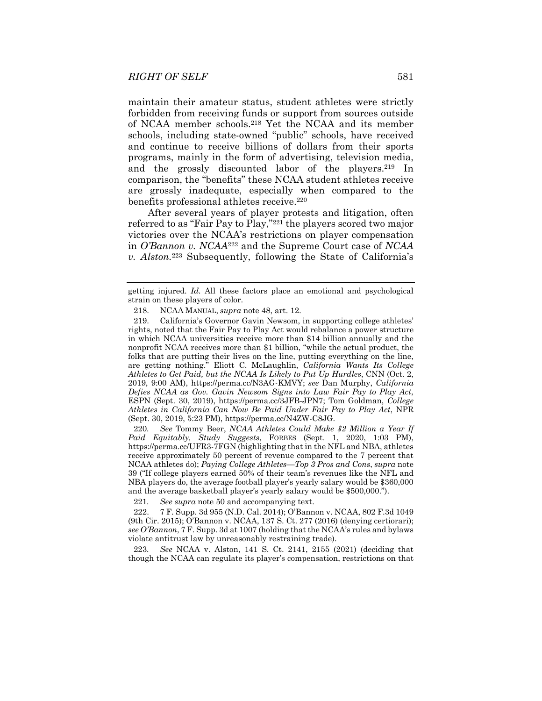maintain their amateur status, student athletes were strictly forbidden from receiving funds or support from sources outside of NCAA member schools.218 Yet the NCAA and its member schools, including state-owned "public" schools, have received and continue to receive billions of dollars from their sports programs, mainly in the form of advertising, television media, and the grossly discounted labor of the players.219 In comparison, the "benefits" these NCAA student athletes receive are grossly inadequate, especially when compared to the benefits professional athletes receive.<sup>220</sup>

After several years of player protests and litigation, often referred to as "Fair Pay to Play,"221 the players scored two major victories over the NCAA's restrictions on player compensation in *O'Bannon v. NCAA*222 and the Supreme Court case of *NCAA v. Alston.*223 Subsequently, following the State of California's

220*. See* Tommy Beer, *NCAA Athletes Could Make \$2 Million a Year If Paid Equitably, Study Suggests*, FORBES (Sept. 1, 2020, 1:03 PM), https://perma.cc/UFR3-7FGN (highlighting that in the NFL and NBA, athletes receive approximately 50 percent of revenue compared to the 7 percent that NCAA athletes do); *Paying College Athletes—Top 3 Pros and Cons*, *supra* note 39 ("If college players earned 50% of their team's revenues like the NFL and NBA players do, the average football player's yearly salary would be \$360,000 and the average basketball player's yearly salary would be \$500,000.").

221*. See supra* note 50 and accompanying text.

 222. 7 F. Supp. 3d 955 (N.D. Cal. 2014); O'Bannon v. NCAA, 802 F.3d 1049 (9th Cir. 2015); O'Bannon v. NCAA, 137 S. Ct. 277 (2016) (denying certiorari); *see O'Bannon*, 7 F. Supp. 3d at 1007 (holding that the NCAA's rules and bylaws violate antitrust law by unreasonably restraining trade).

223*. See* NCAA v. Alston, 141 S. Ct. 2141, 2155 (2021) (deciding that though the NCAA can regulate its player's compensation, restrictions on that

getting injured. *Id.* All these factors place an emotional and psychological strain on these players of color.

 <sup>218.</sup> NCAA MANUAL, *supra* note 48, art. 12.

 <sup>219.</sup> California's Governor Gavin Newsom, in supporting college athletes' rights, noted that the Fair Pay to Play Act would rebalance a power structure in which NCAA universities receive more than \$14 billion annually and the nonprofit NCAA receives more than \$1 billion, "while the actual product, the folks that are putting their lives on the line, putting everything on the line, are getting nothing." Eliott C. McLaughlin, *California Wants Its College Athletes to Get Paid, but the NCAA Is Likely to Put Up Hurdles*, CNN (Oct. 2, 2019, 9:00 AM), https://perma.cc/N3AG-KMVY; *see* Dan Murphy, *California Defies NCAA as Gov. Gavin Newsom Signs into Law Fair Pay to Play Act*, ESPN (Sept. 30, 2019), https://perma.cc/3JFB-JPN7; Tom Goldman, *College Athletes in California Can Now Be Paid Under Fair Pay to Play Act*, NPR (Sept. 30, 2019, 5:23 PM), https://perma.cc/N4ZW-C8JG.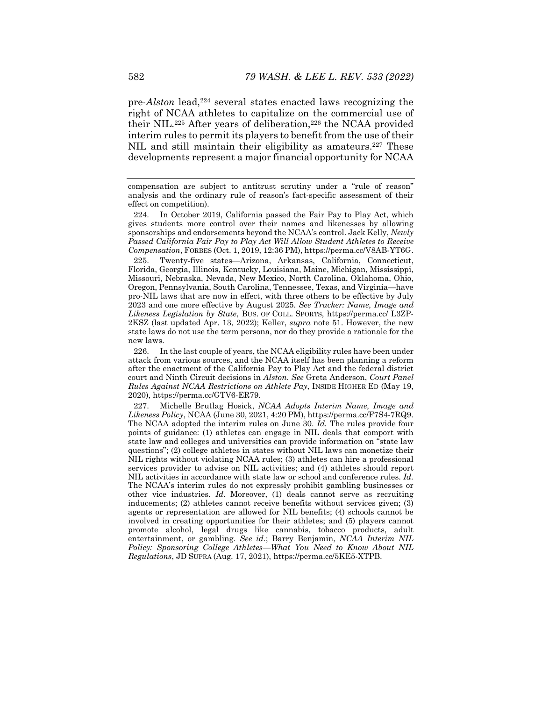pre-*Alston* lead,<sup>224</sup> several states enacted laws recognizing the right of NCAA athletes to capitalize on the commercial use of their NIL.<sup>225</sup> After years of deliberation,<sup>226</sup> the NCAA provided interim rules to permit its players to benefit from the use of their NIL and still maintain their eligibility as amateurs.<sup>227</sup> These developments represent a major financial opportunity for NCAA

 224. In October 2019, California passed the Fair Pay to Play Act, which gives students more control over their names and likenesses by allowing sponsorships and endorsements beyond the NCAA's control. Jack Kelly, *Newly*  Passed California Fair Pay to Play Act Will Allow Student Athletes to Receive *Compensation*, FORBES (Oct. 1, 2019, 12:36 PM), https://perma.cc/V8AB-YT6G.

 225. Twenty-five states—Arizona, Arkansas, California, Connecticut, Florida, Georgia, Illinois, Kentucky, Louisiana, Maine, Michigan, Mississippi, Missouri, Nebraska, Nevada, New Mexico, North Carolina, Oklahoma, Ohio, Oregon, Pennsylvania, South Carolina, Tennessee, Texas, and Virginia—have pro-NIL laws that are now in effect, with three others to be effective by July 2023 and one more effective by August 2025. *See Tracker: Name, Image and Likeness Legislation by State*, BUS. OF COLL. SPORTS, https://perma.cc/ L3ZP-2KSZ (last updated Apr. 13, 2022); Keller, *supra* note 51. However, the new state laws do not use the term persona, nor do they provide a rationale for the new laws.

 226. In the last couple of years, the NCAA eligibility rules have been under attack from various sources, and the NCAA itself has been planning a reform after the enactment of the California Pay to Play Act and the federal district court and Ninth Circuit decisions in *Alston*. *See* Greta Anderson, *Court Panel Rules Against NCAA Restrictions on Athlete Pay*, INSIDE HIGHER ED (May 19, 2020), https://perma.cc/GTV6-ER79.

 227. Michelle Brutlag Hosick, *NCAA Adopts Interim Name, Image and Likeness Policy*, NCAA (June 30, 2021, 4:20 PM), https://perma.cc/F7S4-7RQ9. The NCAA adopted the interim rules on June 30. *Id.* The rules provide four points of guidance: (1) athletes can engage in NIL deals that comport with state law and colleges and universities can provide information on "state law questions"; (2) college athletes in states without NIL laws can monetize their NIL rights without violating NCAA rules; (3) athletes can hire a professional services provider to advise on NIL activities; and (4) athletes should report NIL activities in accordance with state law or school and conference rules. *Id.*  The NCAA's interim rules do not expressly prohibit gambling businesses or other vice industries. *Id.* Moreover, (1) deals cannot serve as recruiting inducements; (2) athletes cannot receive benefits without services given; (3) agents or representation are allowed for NIL benefits; (4) schools cannot be involved in creating opportunities for their athletes; and (5) players cannot promote alcohol, legal drugs like cannabis, tobacco products, adult entertainment, or gambling. *See id.*; Barry Benjamin, *NCAA Interim NIL Policy: Sponsoring College Athletes—What You Need to Know About NIL Regulations*, JD SUPRA (Aug. 17, 2021), https://perma.cc/5KE5-XTPB.

compensation are subject to antitrust scrutiny under a "rule of reason" analysis and the ordinary rule of reason's fact-specific assessment of their effect on competition).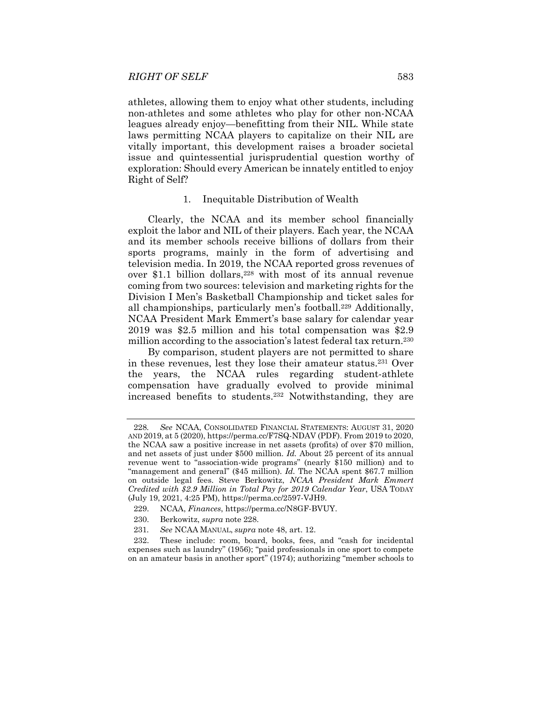athletes, allowing them to enjoy what other students, including non-athletes and some athletes who play for other non-NCAA leagues already enjoy—benefitting from their NIL. While state laws permitting NCAA players to capitalize on their NIL are vitally important, this development raises a broader societal issue and quintessential jurisprudential question worthy of exploration: Should every American be innately entitled to enjoy Right of Self?

#### 1. Inequitable Distribution of Wealth

Clearly, the NCAA and its member school financially exploit the labor and NIL of their players. Each year, the NCAA and its member schools receive billions of dollars from their sports programs, mainly in the form of advertising and television media. In 2019, the NCAA reported gross revenues of over \$1.1 billion dollars,<sup>228</sup> with most of its annual revenue coming from two sources: television and marketing rights for the Division I Men's Basketball Championship and ticket sales for all championships, particularly men's football.229 Additionally, NCAA President Mark Emmert's base salary for calendar year 2019 was \$2.5 million and his total compensation was \$2.9 million according to the association's latest federal tax return.<sup>230</sup>

By comparison, student players are not permitted to share in these revenues, lest they lose their amateur status.231 Over the years, the NCAA rules regarding student-athlete compensation have gradually evolved to provide minimal increased benefits to students.232 Notwithstanding, they are

<sup>228</sup>*. See* NCAA, CONSOLIDATED FINANCIAL STATEMENTS: AUGUST 31, 2020 AND 2019, at 5 (2020), https://perma.cc/F7SQ-NDAV (PDF). From 2019 to 2020, the NCAA saw a positive increase in net assets (profits) of over \$70 million, and net assets of just under \$500 million. *Id.* About 25 percent of its annual revenue went to "association-wide programs" (nearly \$150 million) and to "management and general" (\$45 million). *Id.* The NCAA spent \$67.7 million on outside legal fees. Steve Berkowitz, *NCAA President Mark Emmert Credited with \$2.9 Million in Total Pay for 2019 Calendar Year*, USA TODAY (July 19, 2021, 4:25 PM), https://perma.cc/2597-VJH9.

 <sup>229.</sup> NCAA, *Finances*, https://perma.cc/N8GF-BVUY.

 <sup>230.</sup> Berkowitz, *supra* note 228.

<sup>231</sup>*. See* NCAA MANUAL, *supra* note 48, art. 12.

 <sup>232.</sup> These include: room, board, books, fees, and "cash for incidental expenses such as laundry" (1956); "paid professionals in one sport to compete on an amateur basis in another sport" (1974); authorizing "member schools to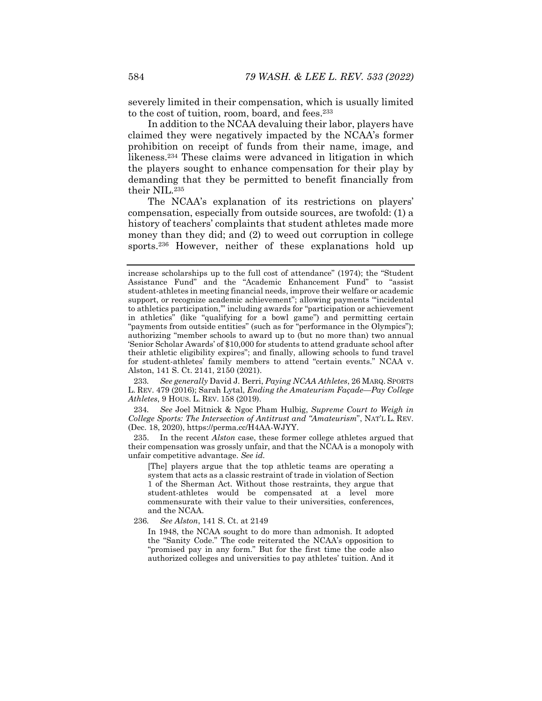severely limited in their compensation, which is usually limited to the cost of tuition, room, board, and fees.233

In addition to the NCAA devaluing their labor, players have claimed they were negatively impacted by the NCAA's former prohibition on receipt of funds from their name, image, and likeness.234 These claims were advanced in litigation in which the players sought to enhance compensation for their play by demanding that they be permitted to benefit financially from their NIL.235

The NCAA's explanation of its restrictions on players' compensation, especially from outside sources, are twofold: (1) a history of teachers' complaints that student athletes made more money than they did; and (2) to weed out corruption in college sports.<sup>236</sup> However, neither of these explanations hold up

233*. See generally* David J. Berri, *Paying NCAA Athletes*, 26 MARQ. SPORTS L. REV. 479 (2016); Sarah Lytal, *Ending the Amateurism Façade—Pay College Athletes*, 9 HOUS. L. REV. 158 (2019).

234*. See* Joel Mitnick & Ngoc Pham Hulbig, *Supreme Court to Weigh in College Sports: The Intersection of Antitrust and "Amateurism*", NAT'L L. REV. (Dec. 18, 2020), https://perma.cc/H4AA-WJYY.

 235. In the recent *Alston* case, these former college athletes argued that their compensation was grossly unfair, and that the NCAA is a monopoly with unfair competitive advantage. *See id.*

[The] players argue that the top athletic teams are operating a system that acts as a classic restraint of trade in violation of Section 1 of the Sherman Act. Without those restraints, they argue that student-athletes would be compensated at a level more commensurate with their value to their universities, conferences, and the NCAA.

236*. See Alston*, 141 S. Ct. at 2149

In 1948, the NCAA sought to do more than admonish. It adopted the "Sanity Code." The code reiterated the NCAA's opposition to "promised pay in any form." But for the first time the code also authorized colleges and universities to pay athletes' tuition. And it

increase scholarships up to the full cost of attendance" (1974); the "Student Assistance Fund" and the "Academic Enhancement Fund" to "assist student-athletes in meeting financial needs, improve their welfare or academic support, or recognize academic achievement"; allowing payments "'incidental to athletics participation,'" including awards for "participation or achievement in athletics" (like "qualifying for a bowl game") and permitting certain "payments from outside entities" (such as for "performance in the Olympics"); authorizing "member schools to award up to (but no more than) two annual 'Senior Scholar Awards' of \$10,000 for students to attend graduate school after their athletic eligibility expires"; and finally, allowing schools to fund travel for student-athletes' family members to attend "certain events." NCAA v. Alston, 141 S. Ct. 2141, 2150 (2021).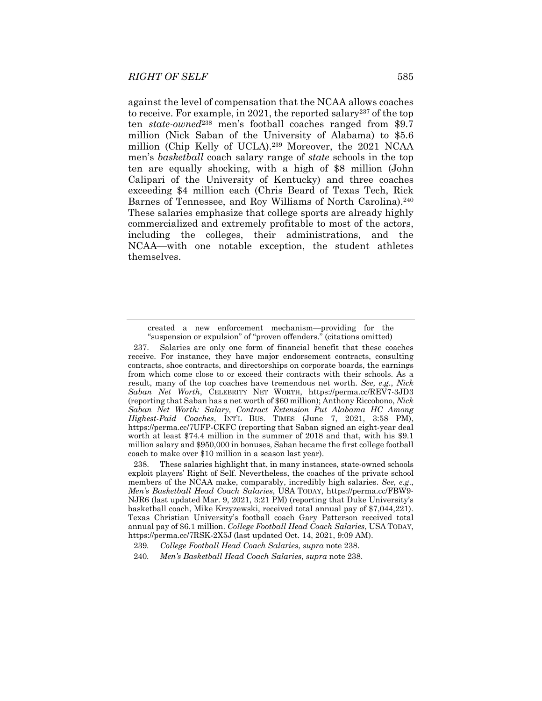against the level of compensation that the NCAA allows coaches to receive. For example, in 2021, the reported salary<sup>237</sup> of the top ten *state-owned*238 men's football coaches ranged from \$9.7 million (Nick Saban of the University of Alabama) to \$5.6 million (Chip Kelly of UCLA).239 Moreover, the 2021 NCAA men's *basketball* coach salary range of *state* schools in the top ten are equally shocking, with a high of \$8 million (John Calipari of the University of Kentucky) and three coaches exceeding \$4 million each (Chris Beard of Texas Tech, Rick Barnes of Tennessee, and Roy Williams of North Carolina).<sup>240</sup> These salaries emphasize that college sports are already highly commercialized and extremely profitable to most of the actors, including the colleges, their administrations, and the NCAA—with one notable exception, the student athletes themselves.

created a new enforcement mechanism—providing for the "suspension or expulsion" of "proven offenders." (citations omitted)

 <sup>237.</sup> Salaries are only one form of financial benefit that these coaches receive. For instance, they have major endorsement contracts, consulting contracts, shoe contracts, and directorships on corporate boards, the earnings from which come close to or exceed their contracts with their schools. As a result, many of the top coaches have tremendous net worth. *See, e.g*., *Nick Saban Net Worth*, CELEBRITY NET WORTH, https://perma.cc/REV7-3JD3 (reporting that Saban has a net worth of \$60 million); Anthony Riccobono, *Nick Saban Net Worth: Salary, Contract Extension Put Alabama HC Among Highest-Paid Coaches*, INT'L BUS. TIMES (June 7, 2021, 3:58 PM), https://perma.cc/7UFP-CKFC (reporting that Saban signed an eight-year deal worth at least \$74.4 million in the summer of 2018 and that, with his \$9.1 million salary and \$950,000 in bonuses, Saban became the first college football coach to make over \$10 million in a season last year).

 <sup>238.</sup> These salaries highlight that, in many instances, state-owned schools exploit players' Right of Self. Nevertheless, the coaches of the private school members of the NCAA make, comparably, incredibly high salaries. *See, e.g*., *Men's Basketball Head Coach Salaries*, USA TODAY, https://perma.cc/FBW9- NJR6 (last updated Mar. 9, 2021, 3:21 PM) (reporting that Duke University's basketball coach, Mike Krzyzewski, received total annual pay of \$7,044,221). Texas Christian University's football coach Gary Patterson received total annual pay of \$6.1 million. *College Football Head Coach Salaries*, USA TODAY, https://perma.cc/7RSK-2X5J (last updated Oct. 14, 2021, 9:09 AM).

<sup>239</sup>*. College Football Head Coach Salaries*, *supra* note 238.

<sup>240</sup>*. Men's Basketball Head Coach Salaries*, *supra* note 238.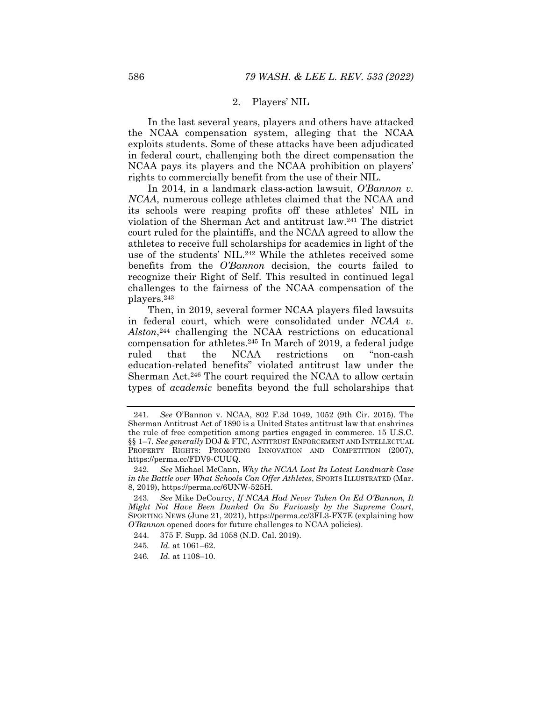#### 2. Players' NIL

In the last several years, players and others have attacked the NCAA compensation system, alleging that the NCAA exploits students. Some of these attacks have been adjudicated in federal court, challenging both the direct compensation the NCAA pays its players and the NCAA prohibition on players' rights to commercially benefit from the use of their NIL.

In 2014, in a landmark class-action lawsuit, *O'Bannon v. NCAA*, numerous college athletes claimed that the NCAA and its schools were reaping profits off these athletes' NIL in violation of the Sherman Act and antitrust law.241 The district court ruled for the plaintiffs, and the NCAA agreed to allow the athletes to receive full scholarships for academics in light of the use of the students' NIL.<sup>242</sup> While the athletes received some benefits from the *O'Bannon* decision, the courts failed to recognize their Right of Self. This resulted in continued legal challenges to the fairness of the NCAA compensation of the players.243

Then, in 2019, several former NCAA players filed lawsuits in federal court, which were consolidated under *NCAA v. Alston*,244 challenging the NCAA restrictions on educational compensation for athletes.245 In March of 2019, a federal judge ruled that the NCAA restrictions on "non-cash education-related benefits" violated antitrust law under the Sherman Act.246 The court required the NCAA to allow certain types of *academic* benefits beyond the full scholarships that

- 245*. Id.* at 1061–62.
- 246*. Id.* at 1108–10.

<sup>241</sup>*. See* O'Bannon v. NCAA, 802 F.3d 1049, 1052 (9th Cir. 2015). The Sherman Antitrust Act of 1890 is a United States antitrust law that enshrines the rule of free competition among parties engaged in commerce. 15 U.S.C. §§ 1–7. *See generally* DOJ & FTC, ANTITRUST ENFORCEMENT AND INTELLECTUAL PROPERTY RIGHTS: PROMOTING INNOVATION AND COMPETITION (2007), https://perma.cc/FDV9-CUUQ.

<sup>242</sup>*. See* Michael McCann, *Why the NCAA Lost Its Latest Landmark Case in the Battle over What Schools Can Offer Athletes*, SPORTS ILLUSTRATED (Mar. 8, 2019), https://perma.cc/6UNW-525H.

<sup>243</sup>*. See* Mike DeCourcy, *If NCAA Had Never Taken On Ed O'Bannon, It Might Not Have Been Dunked On So Furiously by the Supreme Court*, SPORTING NEWS (June 21, 2021), https://perma.cc/3FL3-FX7E (explaining how *O'Bannon* opened doors for future challenges to NCAA policies).

 <sup>244. 375</sup> F. Supp. 3d 1058 (N.D. Cal. 2019).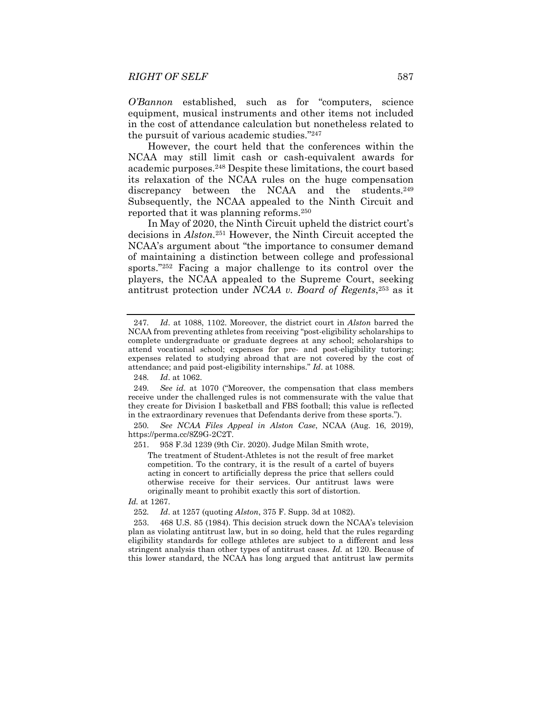*O'Bannon* established, such as for "computers, science equipment, musical instruments and other items not included in the cost of attendance calculation but nonetheless related to the pursuit of various academic studies."247

However, the court held that the conferences within the NCAA may still limit cash or cash-equivalent awards for academic purposes.248 Despite these limitations, the court based its relaxation of the NCAA rules on the huge compensation discrepancy between the NCAA and the students.<sup>249</sup> Subsequently, the NCAA appealed to the Ninth Circuit and reported that it was planning reforms.250

In May of 2020, the Ninth Circuit upheld the district court's decisions in *Alston.*251 However, the Ninth Circuit accepted the NCAA's argument about "the importance to consumer demand of maintaining a distinction between college and professional sports."252 Facing a major challenge to its control over the players, the NCAA appealed to the Supreme Court, seeking antitrust protection under *NCAA v. Board of Regents*,253 as it

The treatment of Student-Athletes is not the result of free market competition. To the contrary, it is the result of a cartel of buyers acting in concert to artificially depress the price that sellers could otherwise receive for their services. Our antitrust laws were originally meant to prohibit exactly this sort of distortion.

*Id.* at 1267.

252*. Id*. at 1257 (quoting *Alston*, 375 F. Supp. 3d at 1082).

 253. 468 U.S. 85 (1984). This decision struck down the NCAA's television plan as violating antitrust law, but in so doing, held that the rules regarding eligibility standards for college athletes are subject to a different and less stringent analysis than other types of antitrust cases. *Id.* at 120. Because of this lower standard, the NCAA has long argued that antitrust law permits

<sup>247</sup>*. Id*. at 1088, 1102. Moreover, the district court in *Alston* barred the NCAA from preventing athletes from receiving "post-eligibility scholarships to complete undergraduate or graduate degrees at any school; scholarships to attend vocational school; expenses for pre- and post-eligibility tutoring; expenses related to studying abroad that are not covered by the cost of attendance; and paid post-eligibility internships." *Id*. at 1088.

<sup>248</sup>*. Id*. at 1062.

<sup>249</sup>*. See id*. at 1070 ("Moreover, the compensation that class members receive under the challenged rules is not commensurate with the value that they create for Division I basketball and FBS football; this value is reflected in the extraordinary revenues that Defendants derive from these sports.").

<sup>250</sup>*. See NCAA Files Appeal in Alston Case*, NCAA (Aug. 16, 2019), https://perma.cc/8Z9G-2C2T.

 <sup>251. 958</sup> F.3d 1239 (9th Cir. 2020). Judge Milan Smith wrote,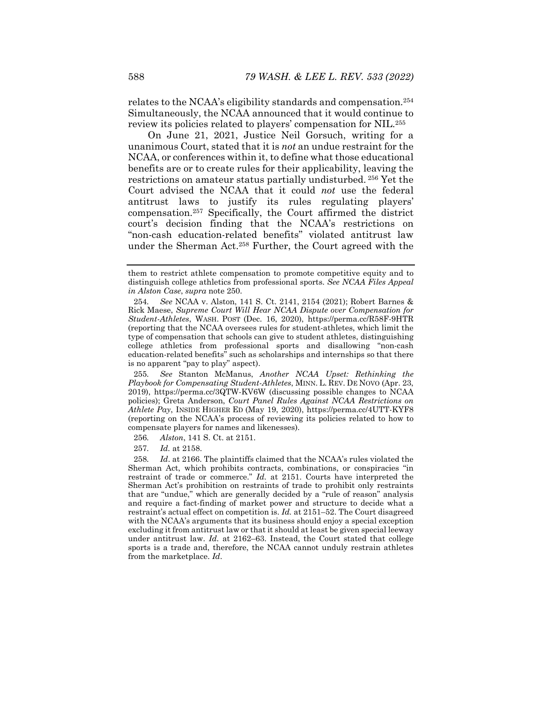relates to the NCAA's eligibility standards and compensation.254 Simultaneously, the NCAA announced that it would continue to review its policies related to players' compensation for NIL.255

On June 21, 2021, Justice Neil Gorsuch, writing for a unanimous Court, stated that it is *not* an undue restraint for the NCAA, or conferences within it, to define what those educational benefits are or to create rules for their applicability, leaving the restrictions on amateur status partially undisturbed. 256 Yet the Court advised the NCAA that it could *not* use the federal antitrust laws to justify its rules regulating players' compensation.257 Specifically, the Court affirmed the district court's decision finding that the NCAA's restrictions on "non-cash education-related benefits" violated antitrust law under the Sherman Act.258 Further, the Court agreed with the

255*. See* Stanton McManus, *Another NCAA Upset: Rethinking the Playbook for Compensating Student-Athletes*, MINN. L. REV. DE NOVO (Apr. 23, 2019), https://perma.cc/3QTW-KV6W (discussing possible changes to NCAA policies); Greta Anderson, *Court Panel Rules Against NCAA Restrictions on Athlete Pay*, INSIDE HIGHER ED (May 19, 2020), https://perma.cc/4UTT-KYF8 (reporting on the NCAA's process of reviewing its policies related to how to compensate players for names and likenesses).

257*. Id.* at 2158.

258*. Id*. at 2166. The plaintiffs claimed that the NCAA's rules violated the Sherman Act, which prohibits contracts, combinations, or conspiracies "in restraint of trade or commerce." *Id.* at 2151. Courts have interpreted the Sherman Act's prohibition on restraints of trade to prohibit only restraints that are "undue," which are generally decided by a "rule of reason" analysis and require a fact-finding of market power and structure to decide what a restraint's actual effect on competition is. *Id.* at 2151–52. The Court disagreed with the NCAA's arguments that its business should enjoy a special exception excluding it from antitrust law or that it should at least be given special leeway under antitrust law. *Id.* at 2162–63. Instead, the Court stated that college sports is a trade and, therefore, the NCAA cannot unduly restrain athletes from the marketplace. *Id*.

them to restrict athlete compensation to promote competitive equity and to distinguish college athletics from professional sports. *See NCAA Files Appeal in Alston Case*, *supra* note 250.

<sup>254</sup>*. See* NCAA v. Alston, 141 S. Ct. 2141, 2154 (2021); Robert Barnes & Rick Maese, *Supreme Court Will Hear NCAA Dispute over Compensation for Student-Athletes*, WASH. POST (Dec. 16, 2020), https://perma.cc/R58F-9HTR (reporting that the NCAA oversees rules for student-athletes, which limit the type of compensation that schools can give to student athletes, distinguishing college athletics from professional sports and disallowing "non-cash education-related benefits" such as scholarships and internships so that there is no apparent "pay to play" aspect).

<sup>256</sup>*. Alston*, 141 S. Ct. at 2151.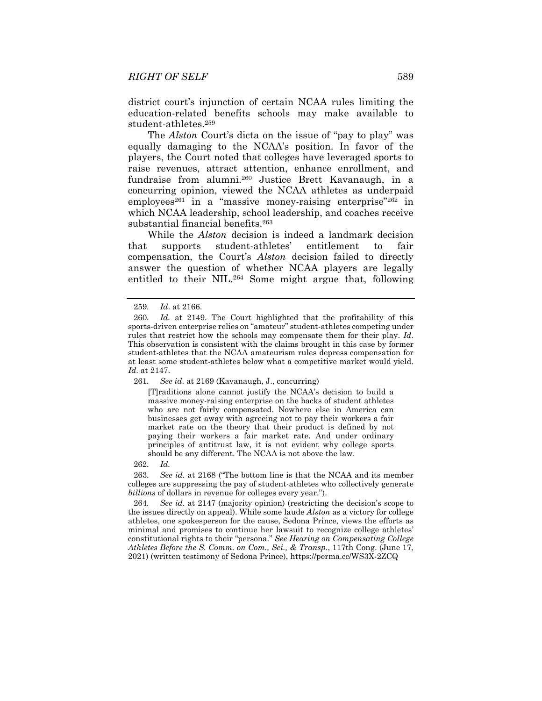district court's injunction of certain NCAA rules limiting the education-related benefits schools may make available to student-athletes.259

The *Alston* Court's dicta on the issue of "pay to play" was equally damaging to the NCAA's position. In favor of the players, the Court noted that colleges have leveraged sports to raise revenues, attract attention, enhance enrollment, and fundraise from alumni.260 Justice Brett Kavanaugh, in a concurring opinion, viewed the NCAA athletes as underpaid employees<sup>261</sup> in a "massive money-raising enterprise"<sup>262</sup> in which NCAA leadership, school leadership, and coaches receive substantial financial benefits.263

While the *Alston* decision is indeed a landmark decision that supports student-athletes' entitlement to fair compensation, the Court's *Alston* decision failed to directly answer the question of whether NCAA players are legally entitled to their NIL.264 Some might argue that, following

[T]raditions alone cannot justify the NCAA's decision to build a massive money-raising enterprise on the backs of student athletes who are not fairly compensated. Nowhere else in America can businesses get away with agreeing not to pay their workers a fair market rate on the theory that their product is defined by not paying their workers a fair market rate. And under ordinary principles of antitrust law, it is not evident why college sports should be any different. The NCAA is not above the law.

262*. Id.*

263*. See id.* at 2168 ("The bottom line is that the NCAA and its member colleges are suppressing the pay of student-athletes who collectively generate *billions* of dollars in revenue for colleges every year.").

264*. See id.* at 2147 (majority opinion) (restricting the decision's scope to the issues directly on appeal). While some laude *Alston* as a victory for college athletes, one spokesperson for the cause, Sedona Prince, views the efforts as minimal and promises to continue her lawsuit to recognize college athletes' constitutional rights to their "persona." *See Hearing on Compensating College Athletes Before the S. Comm. on Com., Sci., & Transp.*, 117th Cong. (June 17, 2021) (written testimony of Sedona Prince), https://perma.cc/WS3X-2ZCQ

<sup>259</sup>*. Id*. at 2166.

<sup>260</sup>*. Id.* at 2149. The Court highlighted that the profitability of this sports-driven enterprise relies on "amateur" student-athletes competing under rules that restrict how the schools may compensate them for their play. *Id*. This observation is consistent with the claims brought in this case by former student-athletes that the NCAA amateurism rules depress compensation for at least some student-athletes below what a competitive market would yield. *Id*. at 2147.

<sup>261</sup>*. See id*. at 2169 (Kavanaugh, J., concurring)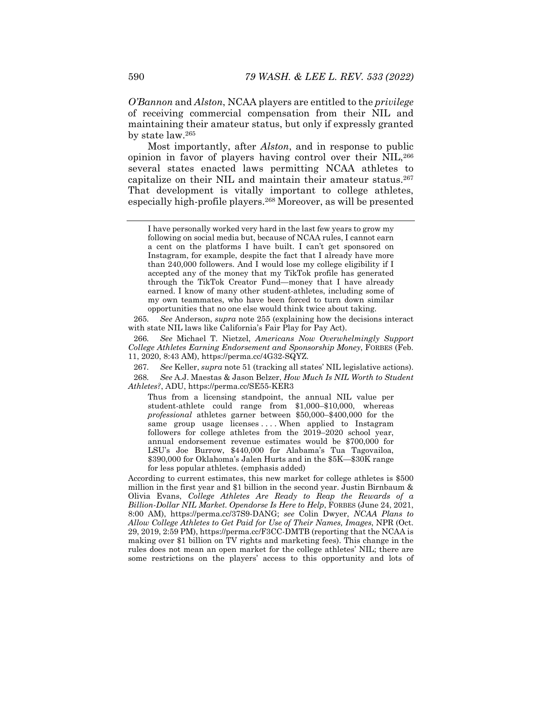*O'Bannon* and *Alston*, NCAA players are entitled to the *privilege* of receiving commercial compensation from their NIL and maintaining their amateur status, but only if expressly granted by state law.265

Most importantly, after *Alston*, and in response to public opinion in favor of players having control over their NIL,266 several states enacted laws permitting NCAA athletes to capitalize on their NIL and maintain their amateur status.<sup>267</sup> That development is vitally important to college athletes, especially high-profile players.268 Moreover, as will be presented

265*. See* Anderson, *supra* note 255 (explaining how the decisions interact with state NIL laws like California's Fair Play for Pay Act).

266*. See* Michael T. Nietzel, *Americans Now Overwhelmingly Support College Athletes Earning Endorsement and Sponsorship Money*, FORBES (Feb. 11, 2020, 8:43 AM), https://perma.cc/4G32-SQYZ.

267*. See* Keller, *supra* note 51 (tracking all states' NIL legislative actions).

268*. See* A.J. Maestas & Jason Belzer, *How Much Is NIL Worth to Student Athletes?*, ADU, https://perma.cc/SE55-KER3

Thus from a licensing standpoint, the annual NIL value per student-athlete could range from \$1,000–\$10,000, whereas *professional* athletes garner between \$50,000–\$400,000 for the same group usage licenses ... When applied to Instagram followers for college athletes from the 2019–2020 school year, annual endorsement revenue estimates would be \$700,000 for LSU's Joe Burrow, \$440,000 for Alabama's Tua Tagovailoa, \$390,000 for Oklahoma's Jalen Hurts and in the \$5K—\$30K range for less popular athletes. (emphasis added)

According to current estimates, this new market for college athletes is \$500 million in the first year and \$1 billion in the second year. Justin Birnbaum & Olivia Evans, *College Athletes Are Ready to Reap the Rewards of a Billion-Dollar NIL Market. Opendorse Is Here to Help*, FORBES (June 24, 2021, 8:00 AM), https://perma.cc/37S9-DANG; *see* Colin Dwyer, *NCAA Plans to Allow College Athletes to Get Paid for Use of Their Names, Images*, NPR (Oct. 29, 2019, 2:59 PM), https://perma.cc/F3CC-DMTB (reporting that the NCAA is making over \$1 billion on TV rights and marketing fees). This change in the rules does not mean an open market for the college athletes' NIL; there are some restrictions on the players' access to this opportunity and lots of

I have personally worked very hard in the last few years to grow my following on social media but, because of NCAA rules, I cannot earn a cent on the platforms I have built. I can't get sponsored on Instagram, for example, despite the fact that I already have more than 240,000 followers. And I would lose my college eligibility if I accepted any of the money that my TikTok profile has generated through the TikTok Creator Fund—money that I have already earned. I know of many other student-athletes, including some of my own teammates, who have been forced to turn down similar opportunities that no one else would think twice about taking.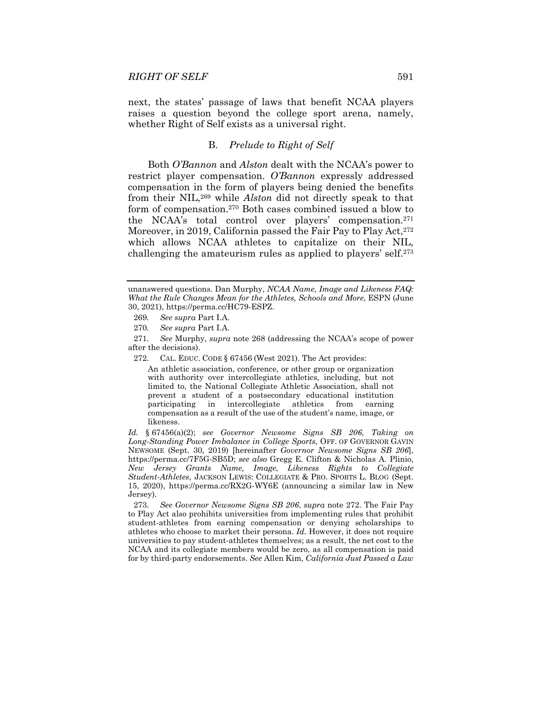next, the states' passage of laws that benefit NCAA players raises a question beyond the college sport arena, namely, whether Right of Self exists as a universal right.

# B. *Prelude to Right of Self*

Both *O'Bannon* and *Alston* dealt with the NCAA's power to restrict player compensation. *O'Bannon* expressly addressed compensation in the form of players being denied the benefits from their NIL,269 while *Alston* did not directly speak to that form of compensation.270 Both cases combined issued a blow to the NCAA's total control over players' compensation.271 Moreover, in 2019, California passed the Fair Pay to Play Act, 272 which allows NCAA athletes to capitalize on their NIL, challenging the amateurism rules as applied to players' self.273

An athletic association, conference, or other group or organization with authority over intercollegiate athletics, including, but not limited to, the National Collegiate Athletic Association, shall not prevent a student of a postsecondary educational institution participating in intercollegiate athletics from earning compensation as a result of the use of the student's name, image, or likeness.

*Id.* § 67456(a)(2); *see Governor Newsome Signs SB 206, Taking on Long-Standing Power Imbalance in College Sports*, OFF. OF GOVERNOR GAVIN NEWSOME (Sept. 30, 2019) [hereinafter *Governor Newsome Signs SB 206*], https://perma.cc/7F5G-SB5D; *see also* Gregg E. Clifton & Nicholas A. Plinio, *New Jersey Grants Name, Image, Likeness Rights to Collegiate Student-Athletes*, JACKSON LEWIS: COLLEGIATE & PRO. SPORTS L. BLOG (Sept. 15, 2020), https://perma.cc/RX2G-WY6E (announcing a similar law in New Jersey).

273*. See Governor Newsome Signs SB 206*, *supra* note 272. The Fair Pay to Play Act also prohibits universities from implementing rules that prohibit student-athletes from earning compensation or denying scholarships to athletes who choose to market their persona. *Id.* However, it does not require universities to pay student-athletes themselves; as a result, the net cost to the NCAA and its collegiate members would be zero, as all compensation is paid for by third-party endorsements. *See* Allen Kim, *California Just Passed a Law* 

unanswered questions. Dan Murphy, *NCAA Name, Image and Likeness FAQ: What the Rule Changes Mean for the Athletes, Schools and More*, ESPN (June 30, 2021), https://perma.cc/HC79-ESPZ.

<sup>269</sup>*. See supra* Part I.A.

<sup>270</sup>*. See supra* Part I.A.

<sup>271</sup>*. See* Murphy, *supra* note 268 (addressing the NCAA's scope of power after the decisions).

 <sup>272.</sup> CAL. EDUC. CODE § 67456 (West 2021). The Act provides: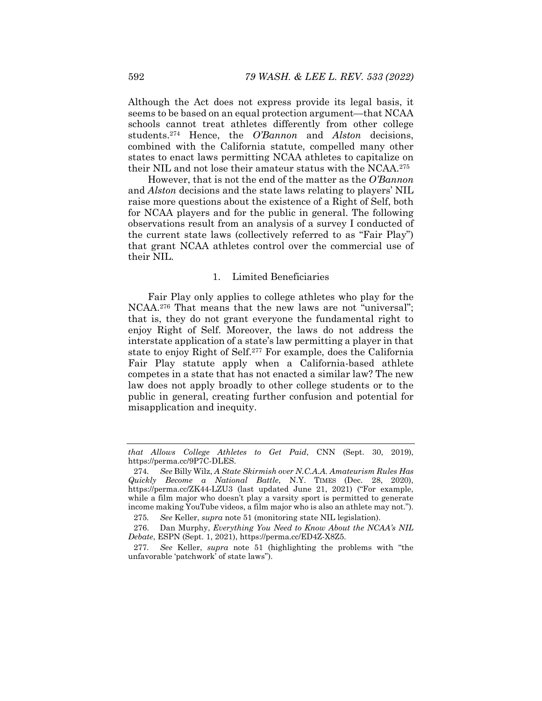Although the Act does not express provide its legal basis, it seems to be based on an equal protection argument—that NCAA schools cannot treat athletes differently from other college students.274 Hence, the *O'Bannon* and *Alston* decisions, combined with the California statute, compelled many other states to enact laws permitting NCAA athletes to capitalize on their NIL and not lose their amateur status with the NCAA.275

However, that is not the end of the matter as the *O'Bannon* and *Alston* decisions and the state laws relating to players' NIL raise more questions about the existence of a Right of Self, both for NCAA players and for the public in general. The following observations result from an analysis of a survey I conducted of the current state laws (collectively referred to as "Fair Play") that grant NCAA athletes control over the commercial use of their NIL.

# 1. Limited Beneficiaries

Fair Play only applies to college athletes who play for the NCAA.276 That means that the new laws are not "universal"; that is, they do not grant everyone the fundamental right to enjoy Right of Self. Moreover, the laws do not address the interstate application of a state's law permitting a player in that state to enjoy Right of Self.277 For example, does the California Fair Play statute apply when a California-based athlete competes in a state that has not enacted a similar law? The new law does not apply broadly to other college students or to the public in general, creating further confusion and potential for misapplication and inequity.

*that Allows College Athletes to Get Paid*, CNN (Sept. 30, 2019), https://perma.cc/9P7C-DLES.

<sup>274</sup>*. See* Billy Wilz, *A State Skirmish over N.C.A.A. Amateurism Rules Has Quickly Become a National Battle*, N.Y. TIMES (Dec. 28, 2020), https://perma.cc/ZK44-LZU3 (last updated June 21, 2021) ("For example, while a film major who doesn't play a varsity sport is permitted to generate income making YouTube videos, a film major who is also an athlete may not.").

<sup>275</sup>*. See* Keller, *supra* note 51 (monitoring state NIL legislation).

 <sup>276.</sup> Dan Murphy, *Everything You Need to Know About the NCAA's NIL Debate*, ESPN (Sept. 1, 2021), https://perma.cc/ED4Z-X8Z5.

<sup>277</sup>*. See* Keller, *supra* note 51 (highlighting the problems with "the unfavorable 'patchwork' of state laws").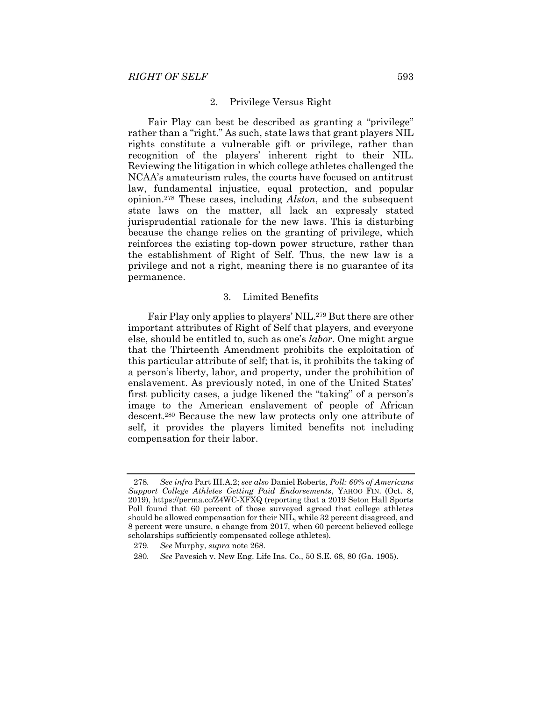#### 2. Privilege Versus Right

Fair Play can best be described as granting a "privilege" rather than a "right." As such, state laws that grant players NIL rights constitute a vulnerable gift or privilege, rather than recognition of the players' inherent right to their NIL. Reviewing the litigation in which college athletes challenged the NCAA's amateurism rules, the courts have focused on antitrust law, fundamental injustice, equal protection, and popular opinion.278 These cases, including *Alston*, and the subsequent state laws on the matter, all lack an expressly stated jurisprudential rationale for the new laws. This is disturbing because the change relies on the granting of privilege, which reinforces the existing top-down power structure, rather than the establishment of Right of Self. Thus, the new law is a privilege and not a right, meaning there is no guarantee of its permanence.

# 3. Limited Benefits

Fair Play only applies to players' NIL.279 But there are other important attributes of Right of Self that players, and everyone else, should be entitled to, such as one's *labor*. One might argue that the Thirteenth Amendment prohibits the exploitation of this particular attribute of self; that is, it prohibits the taking of a person's liberty, labor, and property, under the prohibition of enslavement. As previously noted, in one of the United States' first publicity cases, a judge likened the "taking" of a person's image to the American enslavement of people of African descent.280 Because the new law protects only one attribute of self, it provides the players limited benefits not including compensation for their labor.

<sup>278</sup>*. See infra* Part III.A.2; *see also* Daniel Roberts, *Poll: 60% of Americans Support College Athletes Getting Paid Endorsements*, YAHOO FIN. (Oct. 8, 2019), https://perma.cc/Z4WC-XFXQ (reporting that a 2019 Seton Hall Sports Poll found that 60 percent of those surveyed agreed that college athletes should be allowed compensation for their NIL, while 32 percent disagreed, and 8 percent were unsure, a change from 2017, when 60 percent believed college scholarships sufficiently compensated college athletes).

<sup>279</sup>*. See* Murphy, *supra* note 268.

<sup>280</sup>*. See* Pavesich v. New Eng. Life Ins. Co., 50 S.E. 68, 80 (Ga. 1905).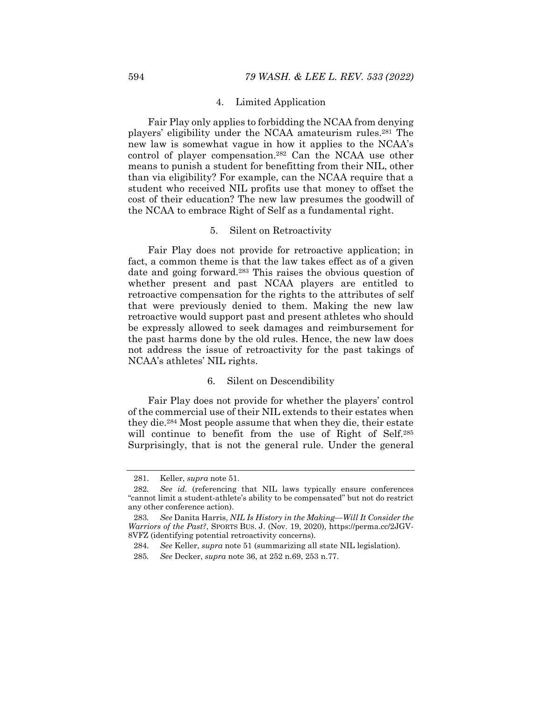### 4. Limited Application

Fair Play only applies to forbidding the NCAA from denying players' eligibility under the NCAA amateurism rules.281 The new law is somewhat vague in how it applies to the NCAA's control of player compensation.282 Can the NCAA use other means to punish a student for benefitting from their NIL, other than via eligibility? For example, can the NCAA require that a student who received NIL profits use that money to offset the cost of their education? The new law presumes the goodwill of the NCAA to embrace Right of Self as a fundamental right.

#### 5. Silent on Retroactivity

Fair Play does not provide for retroactive application; in fact, a common theme is that the law takes effect as of a given date and going forward.283 This raises the obvious question of whether present and past NCAA players are entitled to retroactive compensation for the rights to the attributes of self that were previously denied to them. Making the new law retroactive would support past and present athletes who should be expressly allowed to seek damages and reimbursement for the past harms done by the old rules. Hence, the new law does not address the issue of retroactivity for the past takings of NCAA's athletes' NIL rights.

### 6. Silent on Descendibility

Fair Play does not provide for whether the players' control of the commercial use of their NIL extends to their estates when they die.284 Most people assume that when they die, their estate will continue to benefit from the use of Right of Self.<sup>285</sup> Surprisingly, that is not the general rule. Under the general

 <sup>281.</sup> Keller, *supra* note 51.

<sup>282</sup>*. See id.* (referencing that NIL laws typically ensure conferences "cannot limit a student-athlete's ability to be compensated" but not do restrict any other conference action).

<sup>283</sup>*. See* Danita Harris, *NIL Is History in the Making—Will It Consider the Warriors of the Past?*, SPORTS BUS. J. (Nov. 19, 2020), https://perma.cc/2JGV-8VFZ (identifying potential retroactivity concerns).

<sup>284</sup>*. See* Keller, *supra* note 51 (summarizing all state NIL legislation).

<sup>285</sup>*. See* Decker, *supra* note 36, at 252 n.69, 253 n.77.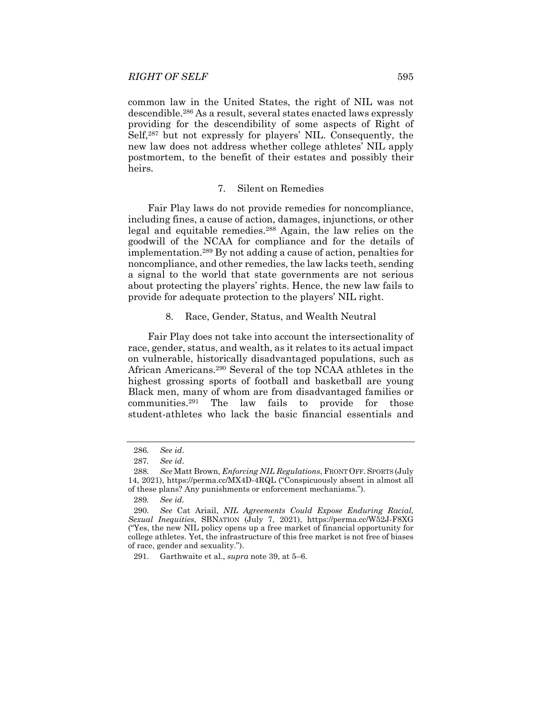common law in the United States, the right of NIL was not descendible.286 As a result, several states enacted laws expressly providing for the descendibility of some aspects of Right of Self,287 but not expressly for players' NIL. Consequently, the new law does not address whether college athletes' NIL apply postmortem, to the benefit of their estates and possibly their heirs.

### 7. Silent on Remedies

Fair Play laws do not provide remedies for noncompliance, including fines, a cause of action, damages, injunctions, or other legal and equitable remedies.288 Again, the law relies on the goodwill of the NCAA for compliance and for the details of implementation.289 By not adding a cause of action, penalties for noncompliance, and other remedies, the law lacks teeth, sending a signal to the world that state governments are not serious about protecting the players' rights. Hence, the new law fails to provide for adequate protection to the players' NIL right.

### 8. Race, Gender, Status, and Wealth Neutral

Fair Play does not take into account the intersectionality of race, gender, status, and wealth, as it relates to its actual impact on vulnerable, historically disadvantaged populations, such as African Americans.290 Several of the top NCAA athletes in the highest grossing sports of football and basketball are young Black men, many of whom are from disadvantaged families or communities.291 The law fails to provide for those student-athletes who lack the basic financial essentials and

<sup>286</sup>*. See id*.

<sup>287</sup>*. See id*.

<sup>288</sup>*. See* Matt Brown, *Enforcing NIL Regulations*, FRONT OFF. SPORTS (July 14, 2021), https://perma.cc/MX4D-4RQL ("Conspicuously absent in almost all of these plans? Any punishments or enforcement mechanisms.").

<sup>289</sup>*. See id.*

<sup>290</sup>*. See* Cat Ariail, *NIL Agreements Could Expose Enduring Racial, Sexual Inequities*, SBNATION (July 7, 2021), https://perma.cc/W52J-F8XG ("Yes, the new NIL policy opens up a free market of financial opportunity for college athletes. Yet, the infrastructure of this free market is not free of biases of race, gender and sexuality.").

 <sup>291.</sup> Garthwaite et al., *supra* note 39, at 5–6.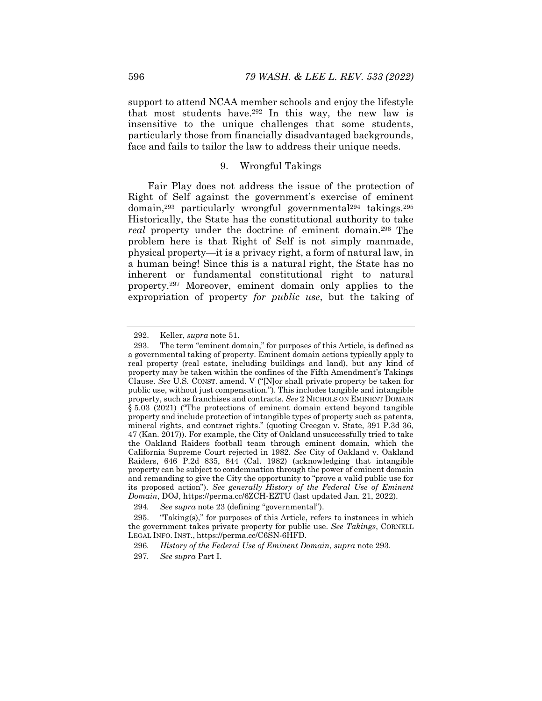support to attend NCAA member schools and enjoy the lifestyle that most students have.292 In this way, the new law is insensitive to the unique challenges that some students, particularly those from financially disadvantaged backgrounds, face and fails to tailor the law to address their unique needs.

# 9. Wrongful Takings

Fair Play does not address the issue of the protection of Right of Self against the government's exercise of eminent domain,<sup>293</sup> particularly wrongful governmental<sup>294</sup> takings.<sup>295</sup> Historically, the State has the constitutional authority to take *real* property under the doctrine of eminent domain.296 The problem here is that Right of Self is not simply manmade, physical property—it is a privacy right, a form of natural law, in a human being! Since this is a natural right, the State has no inherent or fundamental constitutional right to natural property.297 Moreover, eminent domain only applies to the expropriation of property *for public use*, but the taking of

 <sup>292.</sup> Keller, *supra* note 51.

 <sup>293.</sup> The term "eminent domain," for purposes of this Article, is defined as a governmental taking of property. Eminent domain actions typically apply to real property (real estate, including buildings and land), but any kind of property may be taken within the confines of the Fifth Amendment's Takings Clause. *See* U.S. CONST. amend. V ("[N]or shall private property be taken for public use, without just compensation."). This includes tangible and intangible property, such as franchises and contracts. *See* 2 NICHOLS ON EMINENT DOMAIN § 5.03 (2021) ("The protections of eminent domain extend beyond tangible property and include protection of intangible types of property such as patents, mineral rights, and contract rights." (quoting Creegan v. State, 391 P.3d 36, 47 (Kan. 2017)). For example, the City of Oakland unsuccessfully tried to take the Oakland Raiders football team through eminent domain, which the California Supreme Court rejected in 1982. *See* City of Oakland v. Oakland Raiders, 646 P.2d 835, 844 (Cal. 1982) (acknowledging that intangible property can be subject to condemnation through the power of eminent domain and remanding to give the City the opportunity to "prove a valid public use for its proposed action"). *See generally History of the Federal Use of Eminent Domain*, DOJ, https://perma.cc/6ZCH-EZTU (last updated Jan. 21, 2022).

<sup>294</sup>*. See supra* note 23 (defining "governmental").

 <sup>295. &</sup>quot;Taking(s)," for purposes of this Article, refers to instances in which the government takes private property for public use. *See Takings*, CORNELL LEGAL INFO. INST., https://perma.cc/C6SN-6HFD.

<sup>296</sup>*. History of the Federal Use of Eminent Domain*, *supra* note 293.

<sup>297</sup>*. See supra* Part I.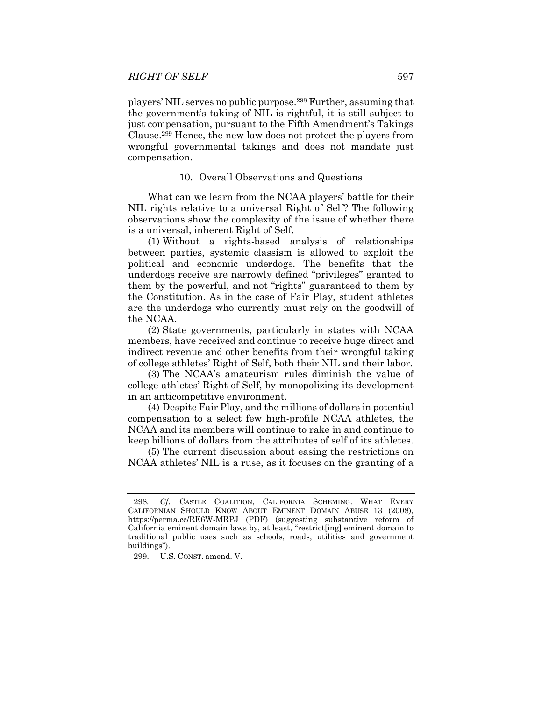players' NIL serves no public purpose.298 Further, assuming that the government's taking of NIL is rightful, it is still subject to just compensation, pursuant to the Fifth Amendment's Takings Clause.299 Hence, the new law does not protect the players from wrongful governmental takings and does not mandate just compensation.

### 10. Overall Observations and Questions

What can we learn from the NCAA players' battle for their NIL rights relative to a universal Right of Self? The following observations show the complexity of the issue of whether there is a universal, inherent Right of Self.

(1)Without a rights-based analysis of relationships between parties, systemic classism is allowed to exploit the political and economic underdogs. The benefits that the underdogs receive are narrowly defined "privileges" granted to them by the powerful, and not "rights" guaranteed to them by the Constitution. As in the case of Fair Play, student athletes are the underdogs who currently must rely on the goodwill of the NCAA.

(2) State governments, particularly in states with NCAA members, have received and continue to receive huge direct and indirect revenue and other benefits from their wrongful taking of college athletes' Right of Self, both their NIL and their labor.

(3) The NCAA's amateurism rules diminish the value of college athletes' Right of Self, by monopolizing its development in an anticompetitive environment.

(4) Despite Fair Play, and the millions of dollars in potential compensation to a select few high-profile NCAA athletes, the NCAA and its members will continue to rake in and continue to keep billions of dollars from the attributes of self of its athletes.

(5)The current discussion about easing the restrictions on NCAA athletes' NIL is a ruse, as it focuses on the granting of a

<sup>298</sup>*. Cf*. CASTLE COALITION, CALIFORNIA SCHEMING: WHAT EVERY CALIFORNIAN SHOULD KNOW ABOUT EMINENT DOMAIN ABUSE 13 (2008), https://perma.cc/RE6W-MRPJ (PDF) (suggesting substantive reform of California eminent domain laws by, at least, "restrict[ing] eminent domain to traditional public uses such as schools, roads, utilities and government buildings").

 <sup>299.</sup> U.S. CONST. amend. V.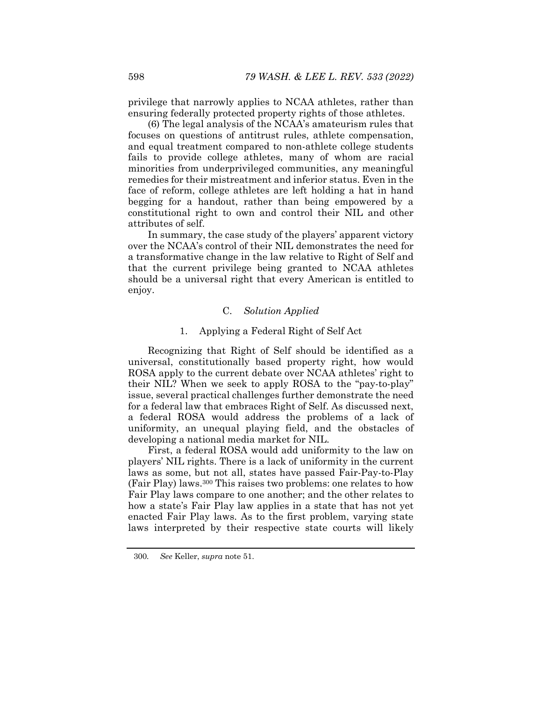privilege that narrowly applies to NCAA athletes, rather than ensuring federally protected property rights of those athletes.

(6) The legal analysis of the NCAA's amateurism rules that focuses on questions of antitrust rules, athlete compensation, and equal treatment compared to non-athlete college students fails to provide college athletes, many of whom are racial minorities from underprivileged communities, any meaningful remedies for their mistreatment and inferior status. Even in the face of reform, college athletes are left holding a hat in hand begging for a handout, rather than being empowered by a constitutional right to own and control their NIL and other attributes of self.

In summary, the case study of the players' apparent victory over the NCAA's control of their NIL demonstrates the need for a transformative change in the law relative to Right of Self and that the current privilege being granted to NCAA athletes should be a universal right that every American is entitled to enjoy.

### C. *Solution Applied*

### 1. Applying a Federal Right of Self Act

Recognizing that Right of Self should be identified as a universal, constitutionally based property right, how would ROSA apply to the current debate over NCAA athletes' right to their NIL? When we seek to apply ROSA to the "pay-to-play" issue, several practical challenges further demonstrate the need for a federal law that embraces Right of Self. As discussed next, a federal ROSA would address the problems of a lack of uniformity, an unequal playing field, and the obstacles of developing a national media market for NIL.

First, a federal ROSA would add uniformity to the law on players' NIL rights. There is a lack of uniformity in the current laws as some, but not all, states have passed Fair-Pay-to-Play (Fair Play) laws.300 This raises two problems: one relates to how Fair Play laws compare to one another; and the other relates to how a state's Fair Play law applies in a state that has not yet enacted Fair Play laws. As to the first problem, varying state laws interpreted by their respective state courts will likely

<sup>300</sup>*. See* Keller, *supra* note 51.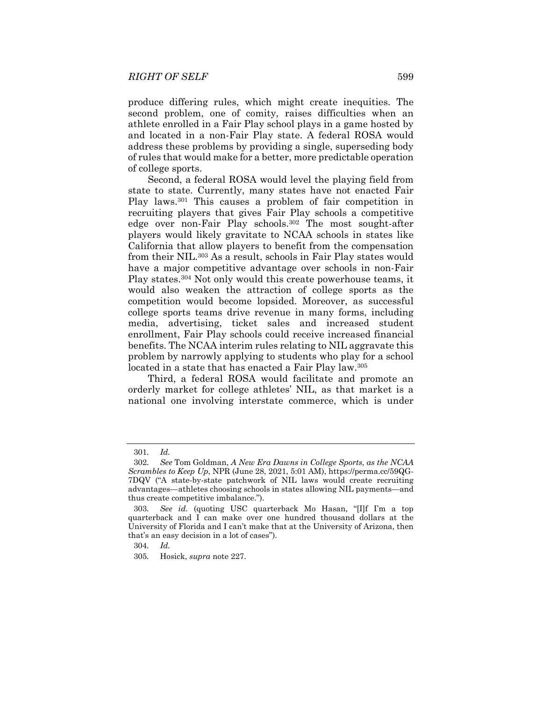produce differing rules, which might create inequities. The second problem, one of comity, raises difficulties when an athlete enrolled in a Fair Play school plays in a game hosted by and located in a non-Fair Play state. A federal ROSA would address these problems by providing a single, superseding body of rules that would make for a better, more predictable operation of college sports.

Second, a federal ROSA would level the playing field from state to state. Currently, many states have not enacted Fair Play laws.301 This causes a problem of fair competition in recruiting players that gives Fair Play schools a competitive edge over non-Fair Play schools.302 The most sought-after players would likely gravitate to NCAA schools in states like California that allow players to benefit from the compensation from their NIL.303 As a result, schools in Fair Play states would have a major competitive advantage over schools in non-Fair Play states.304 Not only would this create powerhouse teams, it would also weaken the attraction of college sports as the competition would become lopsided. Moreover, as successful college sports teams drive revenue in many forms, including media, advertising, ticket sales and increased student enrollment, Fair Play schools could receive increased financial benefits. The NCAA interim rules relating to NIL aggravate this problem by narrowly applying to students who play for a school located in a state that has enacted a Fair Play law.<sup>305</sup>

Third, a federal ROSA would facilitate and promote an orderly market for college athletes' NIL, as that market is a national one involving interstate commerce, which is under

<sup>301</sup>*. Id.*

<sup>302</sup>*. See* Tom Goldman, *A New Era Dawns in College Sports, as the NCAA Scrambles to Keep Up*, NPR (June 28, 2021, 5:01 AM), https://perma.cc/59QG-7DQV ("A state-by-state patchwork of NIL laws would create recruiting advantages—athletes choosing schools in states allowing NIL payments—and thus create competitive imbalance.").

<sup>303</sup>*. See id.* (quoting USC quarterback Mo Hasan, "[I]f I'm a top quarterback and I can make over one hundred thousand dollars at the University of Florida and I can't make that at the University of Arizona, then that's an easy decision in a lot of cases").

<sup>304</sup>*. Id.* 

<sup>305</sup>*.* Hosick, *supra* note 227.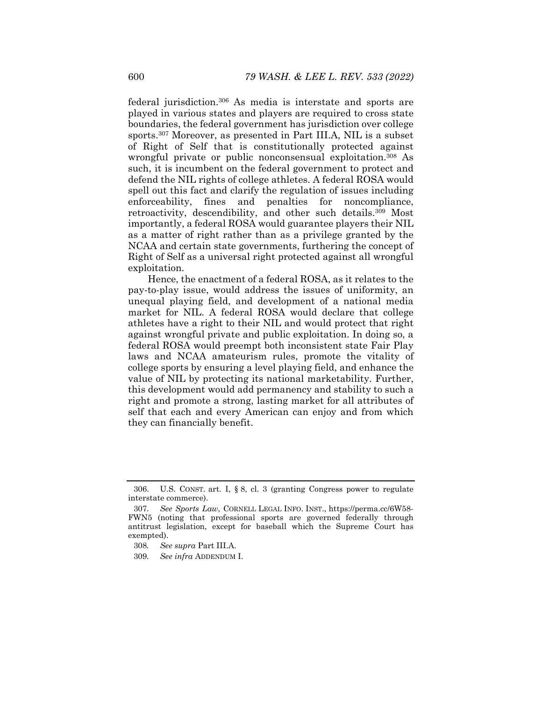federal jurisdiction.306 As media is interstate and sports are played in various states and players are required to cross state boundaries, the federal government has jurisdiction over college sports.307 Moreover, as presented in Part III.A, NIL is a subset of Right of Self that is constitutionally protected against wrongful private or public nonconsensual exploitation.<sup>308</sup> As such, it is incumbent on the federal government to protect and defend the NIL rights of college athletes. A federal ROSA would spell out this fact and clarify the regulation of issues including enforceability, fines and penalties for noncompliance, retroactivity, descendibility, and other such details.<sup>309</sup> Most importantly, a federal ROSA would guarantee players their NIL as a matter of right rather than as a privilege granted by the NCAA and certain state governments, furthering the concept of Right of Self as a universal right protected against all wrongful exploitation.

Hence, the enactment of a federal ROSA, as it relates to the pay-to-play issue, would address the issues of uniformity, an unequal playing field, and development of a national media market for NIL. A federal ROSA would declare that college athletes have a right to their NIL and would protect that right against wrongful private and public exploitation. In doing so, a federal ROSA would preempt both inconsistent state Fair Play laws and NCAA amateurism rules, promote the vitality of college sports by ensuring a level playing field, and enhance the value of NIL by protecting its national marketability. Further, this development would add permanency and stability to such a right and promote a strong, lasting market for all attributes of self that each and every American can enjoy and from which they can financially benefit.

 <sup>306.</sup> U.S. CONST. art. I, § 8, cl. 3 (granting Congress power to regulate interstate commerce).

<sup>307</sup>*. See Sports Law*, CORNELL LEGAL INFO. INST., https://perma.cc/6W58- FWN5 (noting that professional sports are governed federally through antitrust legislation, except for baseball which the Supreme Court has exempted).

<sup>308</sup>*. See supra* Part III.A.

<sup>309</sup>*. See infra* ADDENDUM I.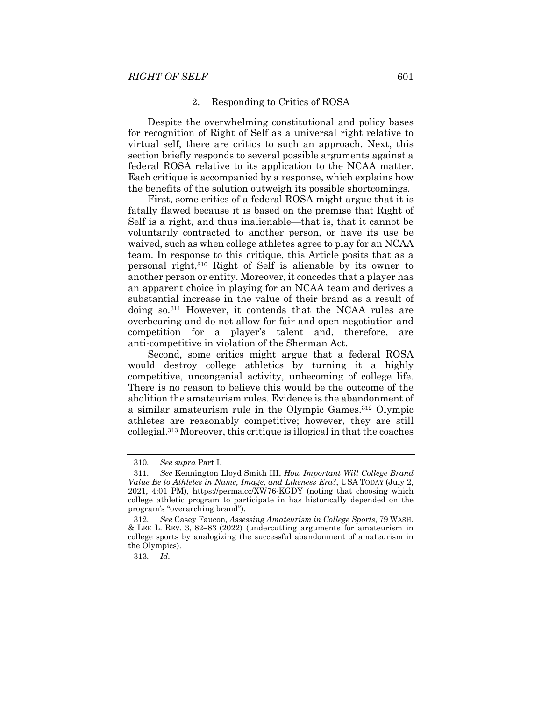#### 2. Responding to Critics of ROSA

Despite the overwhelming constitutional and policy bases for recognition of Right of Self as a universal right relative to virtual self, there are critics to such an approach. Next, this section briefly responds to several possible arguments against a federal ROSA relative to its application to the NCAA matter. Each critique is accompanied by a response, which explains how the benefits of the solution outweigh its possible shortcomings.

First, some critics of a federal ROSA might argue that it is fatally flawed because it is based on the premise that Right of Self is a right, and thus inalienable—that is, that it cannot be voluntarily contracted to another person, or have its use be waived, such as when college athletes agree to play for an NCAA team. In response to this critique, this Article posits that as a personal right,310 Right of Self is alienable by its owner to another person or entity. Moreover, it concedes that a player has an apparent choice in playing for an NCAA team and derives a substantial increase in the value of their brand as a result of doing so.311 However, it contends that the NCAA rules are overbearing and do not allow for fair and open negotiation and competition for a player's talent and, therefore, are anti-competitive in violation of the Sherman Act.

Second, some critics might argue that a federal ROSA would destroy college athletics by turning it a highly competitive, uncongenial activity, unbecoming of college life. There is no reason to believe this would be the outcome of the abolition the amateurism rules. Evidence is the abandonment of a similar amateurism rule in the Olympic Games.312 Olympic athletes are reasonably competitive; however, they are still collegial.313 Moreover, this critique is illogical in that the coaches

313*. Id.* 

<sup>310</sup>*. See supra* Part I.

<sup>311</sup>*. See* Kennington Lloyd Smith III, *How Important Will College Brand Value Be to Athletes in Name, Image, and Likeness Era?*, USA TODAY (July 2, 2021, 4:01 PM), https://perma.cc/XW76-KGDY (noting that choosing which college athletic program to participate in has historically depended on the program's "overarching brand").

<sup>312</sup>*. See* Casey Faucon, *Assessing Amateurism in College Sports*, 79 WASH. & LEE L. REV. 3,  $82-83$  (2022) (undercutting arguments for amateurism in college sports by analogizing the successful abandonment of amateurism in the Olympics).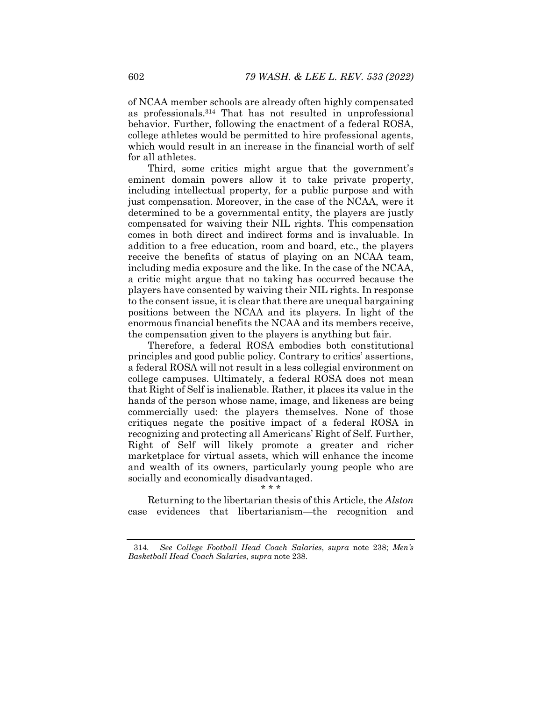of NCAA member schools are already often highly compensated as professionals.314 That has not resulted in unprofessional behavior. Further, following the enactment of a federal ROSA, college athletes would be permitted to hire professional agents, which would result in an increase in the financial worth of self for all athletes.

Third, some critics might argue that the government's eminent domain powers allow it to take private property, including intellectual property, for a public purpose and with just compensation. Moreover, in the case of the NCAA, were it determined to be a governmental entity, the players are justly compensated for waiving their NIL rights. This compensation comes in both direct and indirect forms and is invaluable. In addition to a free education, room and board, etc., the players receive the benefits of status of playing on an NCAA team, including media exposure and the like. In the case of the NCAA, a critic might argue that no taking has occurred because the players have consented by waiving their NIL rights. In response to the consent issue, it is clear that there are unequal bargaining positions between the NCAA and its players. In light of the enormous financial benefits the NCAA and its members receive, the compensation given to the players is anything but fair.

Therefore, a federal ROSA embodies both constitutional principles and good public policy. Contrary to critics' assertions, a federal ROSA will not result in a less collegial environment on college campuses. Ultimately, a federal ROSA does not mean that Right of Self is inalienable. Rather, it places its value in the hands of the person whose name, image, and likeness are being commercially used: the players themselves. None of those critiques negate the positive impact of a federal ROSA in recognizing and protecting all Americans' Right of Self. Further, Right of Self will likely promote a greater and richer marketplace for virtual assets, which will enhance the income and wealth of its owners, particularly young people who are socially and economically disadvantaged.

#### \* \* \*

Returning to the libertarian thesis of this Article, the *Alston* case evidences that libertarianism—the recognition and

<sup>314</sup>*. See College Football Head Coach Salaries*, *supra* note 238; *Men's Basketball Head Coach Salaries*, *supra* note 238.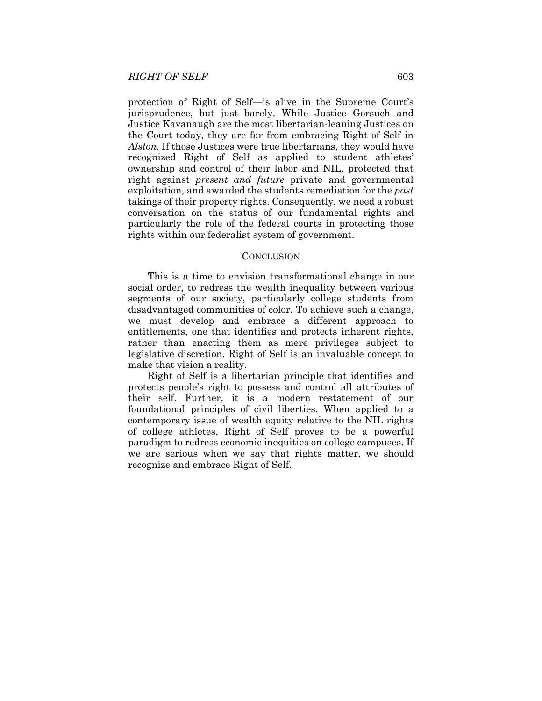protection of Right of Self—is alive in the Supreme Court's jurisprudence, but just barely. While Justice Gorsuch and Justice Kavanaugh are the most libertarian-leaning Justices on the Court today, they are far from embracing Right of Self in *Alston.* If those Justices were true libertarians, they would have recognized Right of Self as applied to student athletes' ownership and control of their labor and NIL, protected that right against *present and future* private and governmental exploitation, and awarded the students remediation for the *past* takings of their property rights. Consequently, we need a robust conversation on the status of our fundamental rights and particularly the role of the federal courts in protecting those rights within our federalist system of government.

### **CONCLUSION**

This is a time to envision transformational change in our social order, to redress the wealth inequality between various segments of our society, particularly college students from disadvantaged communities of color. To achieve such a change, we must develop and embrace a different approach to entitlements, one that identifies and protects inherent rights, rather than enacting them as mere privileges subject to legislative discretion. Right of Self is an invaluable concept to make that vision a reality.

Right of Self is a libertarian principle that identifies and protects people's right to possess and control all attributes of their self. Further, it is a modern restatement of our foundational principles of civil liberties. When applied to a contemporary issue of wealth equity relative to the NIL rights of college athletes, Right of Self proves to be a powerful paradigm to redress economic inequities on college campuses. If we are serious when we say that rights matter, we should recognize and embrace Right of Self.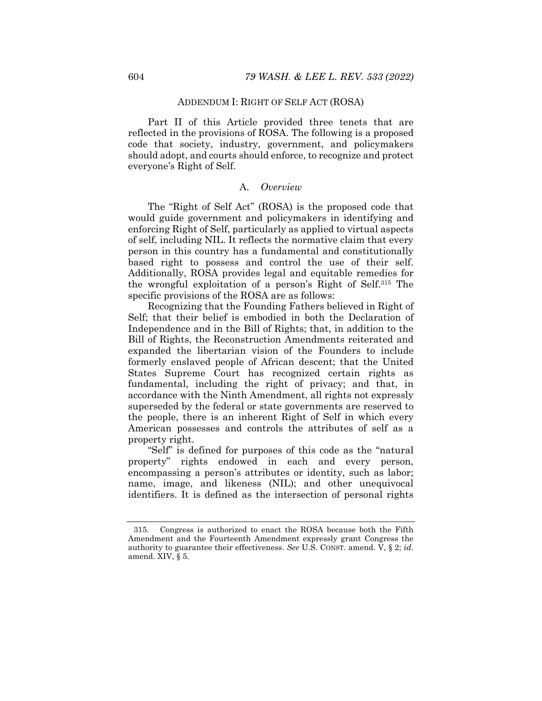## ADDENDUM I: RIGHT OF SELF ACT (ROSA)

Part II of this Article provided three tenets that are reflected in the provisions of ROSA. The following is a proposed code that society, industry, government, and policymakers should adopt, and courts should enforce, to recognize and protect everyone's Right of Self.

## A. *Overview*

The "Right of Self Act" (ROSA) is the proposed code that would guide government and policymakers in identifying and enforcing Right of Self, particularly as applied to virtual aspects of self, including NIL. It reflects the normative claim that every person in this country has a fundamental and constitutionally based right to possess and control the use of their self. Additionally, ROSA provides legal and equitable remedies for the wrongful exploitation of a person's Right of Self.315 The specific provisions of the ROSA are as follows:

Recognizing that the Founding Fathers believed in Right of Self; that their belief is embodied in both the Declaration of Independence and in the Bill of Rights; that, in addition to the Bill of Rights, the Reconstruction Amendments reiterated and expanded the libertarian vision of the Founders to include formerly enslaved people of African descent; that the United States Supreme Court has recognized certain rights as fundamental, including the right of privacy; and that, in accordance with the Ninth Amendment, all rights not expressly superseded by the federal or state governments are reserved to the people, there is an inherent Right of Self in which every American possesses and controls the attributes of self as a property right.

"Self" is defined for purposes of this code as the "natural property" rights endowed in each and every person, encompassing a person's attributes or identity, such as labor; name, image, and likeness (NIL); and other unequivocal identifiers. It is defined as the intersection of personal rights

 <sup>315.</sup> Congress is authorized to enact the ROSA because both the Fifth Amendment and the Fourteenth Amendment expressly grant Congress the authority to guarantee their effectiveness. *See* U.S. CONST. amend. V, § 2; *id.* amend. XIV, § 5.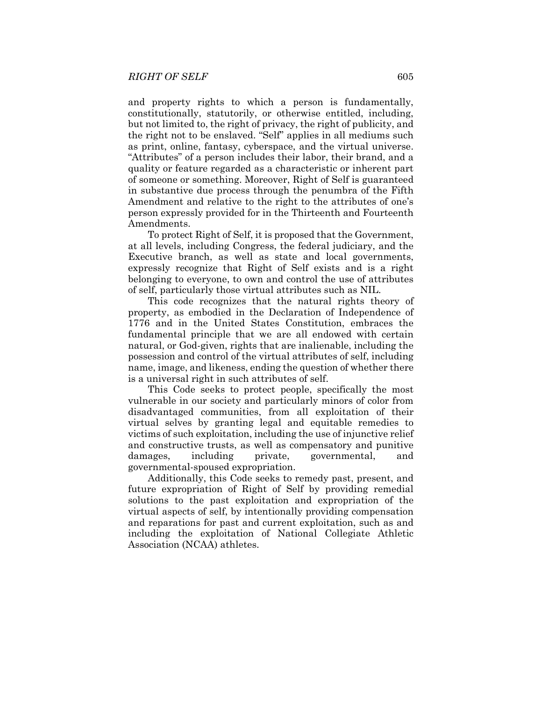and property rights to which a person is fundamentally, constitutionally, statutorily, or otherwise entitled, including, but not limited to, the right of privacy, the right of publicity, and the right not to be enslaved. "Self" applies in all mediums such as print, online, fantasy, cyberspace, and the virtual universe. "Attributes" of a person includes their labor, their brand, and a quality or feature regarded as a characteristic or inherent part of someone or something. Moreover, Right of Self is guaranteed in substantive due process through the penumbra of the Fifth Amendment and relative to the right to the attributes of one's person expressly provided for in the Thirteenth and Fourteenth Amendments.

To protect Right of Self, it is proposed that the Government, at all levels, including Congress, the federal judiciary, and the Executive branch, as well as state and local governments, expressly recognize that Right of Self exists and is a right belonging to everyone, to own and control the use of attributes of self, particularly those virtual attributes such as NIL.

This code recognizes that the natural rights theory of property, as embodied in the Declaration of Independence of 1776 and in the United States Constitution, embraces the fundamental principle that we are all endowed with certain natural, or God-given, rights that are inalienable, including the possession and control of the virtual attributes of self, including name, image, and likeness, ending the question of whether there is a universal right in such attributes of self.

This Code seeks to protect people, specifically the most vulnerable in our society and particularly minors of color from disadvantaged communities, from all exploitation of their virtual selves by granting legal and equitable remedies to victims of such exploitation, including the use of injunctive relief and constructive trusts, as well as compensatory and punitive damages, including private, governmental, and governmental-spoused expropriation.

Additionally, this Code seeks to remedy past, present, and future expropriation of Right of Self by providing remedial solutions to the past exploitation and expropriation of the virtual aspects of self, by intentionally providing compensation and reparations for past and current exploitation, such as and including the exploitation of National Collegiate Athletic Association (NCAA) athletes.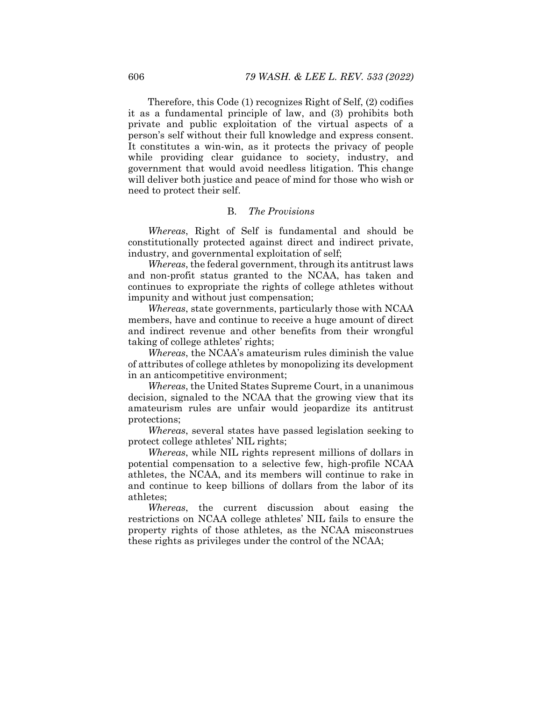Therefore, this Code (1) recognizes Right of Self, (2) codifies it as a fundamental principle of law, and (3) prohibits both private and public exploitation of the virtual aspects of a person's self without their full knowledge and express consent. It constitutes a win-win, as it protects the privacy of people while providing clear guidance to society, industry, and government that would avoid needless litigation. This change will deliver both justice and peace of mind for those who wish or need to protect their self.

## B. *The Provisions*

*Whereas*, Right of Self is fundamental and should be constitutionally protected against direct and indirect private, industry, and governmental exploitation of self;

*Whereas*, the federal government, through its antitrust laws and non-profit status granted to the NCAA, has taken and continues to expropriate the rights of college athletes without impunity and without just compensation;

*Whereas*, state governments, particularly those with NCAA members, have and continue to receive a huge amount of direct and indirect revenue and other benefits from their wrongful taking of college athletes' rights;

*Whereas*, the NCAA's amateurism rules diminish the value of attributes of college athletes by monopolizing its development in an anticompetitive environment;

*Whereas*, the United States Supreme Court, in a unanimous decision, signaled to the NCAA that the growing view that its amateurism rules are unfair would jeopardize its antitrust protections;

*Whereas*, several states have passed legislation seeking to protect college athletes' NIL rights;

*Whereas*, while NIL rights represent millions of dollars in potential compensation to a selective few, high-profile NCAA athletes, the NCAA, and its members will continue to rake in and continue to keep billions of dollars from the labor of its athletes;

*Whereas*, the current discussion about easing the restrictions on NCAA college athletes' NIL fails to ensure the property rights of those athletes, as the NCAA misconstrues these rights as privileges under the control of the NCAA;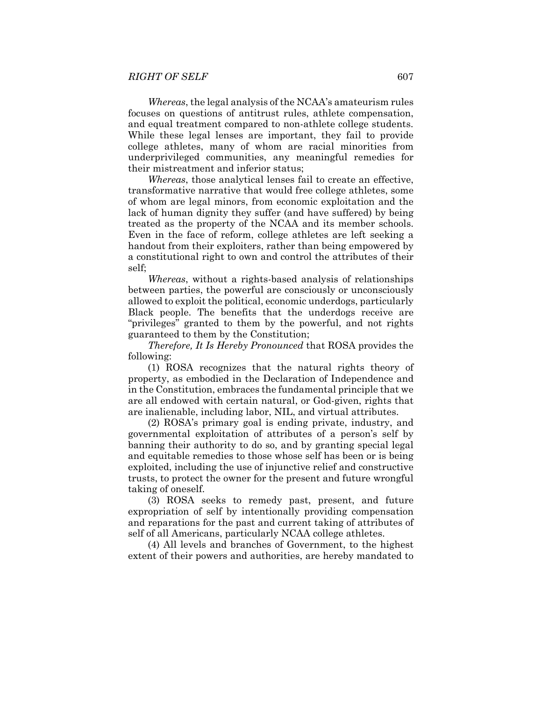*Whereas*, the legal analysis of the NCAA's amateurism rules focuses on questions of antitrust rules, athlete compensation, and equal treatment compared to non-athlete college students. While these legal lenses are important, they fail to provide college athletes, many of whom are racial minorities from underprivileged communities, any meaningful remedies for their mistreatment and inferior status;

*Whereas*, those analytical lenses fail to create an effective, transformative narrative that would free college athletes, some of whom are legal minors, from economic exploitation and the lack of human dignity they suffer (and have suffered) by being treated as the property of the NCAA and its member schools. Even in the face of reform, college athletes are left seeking a handout from their exploiters, rather than being empowered by a constitutional right to own and control the attributes of their self;

*Whereas*, without a rights-based analysis of relationships between parties, the powerful are consciously or unconsciously allowed to exploit the political, economic underdogs, particularly Black people. The benefits that the underdogs receive are "privileges" granted to them by the powerful, and not rights guaranteed to them by the Constitution;

*Therefore, It Is Hereby Pronounced* that ROSA provides the following:

(1) ROSA recognizes that the natural rights theory of property, as embodied in the Declaration of Independence and in the Constitution, embraces the fundamental principle that we are all endowed with certain natural, or God-given, rights that are inalienable, including labor, NIL, and virtual attributes.

(2) ROSA's primary goal is ending private, industry, and governmental exploitation of attributes of a person's self by banning their authority to do so, and by granting special legal and equitable remedies to those whose self has been or is being exploited, including the use of injunctive relief and constructive trusts, to protect the owner for the present and future wrongful taking of oneself.

(3) ROSA seeks to remedy past, present, and future expropriation of self by intentionally providing compensation and reparations for the past and current taking of attributes of self of all Americans, particularly NCAA college athletes.

(4) All levels and branches of Government, to the highest extent of their powers and authorities, are hereby mandated to